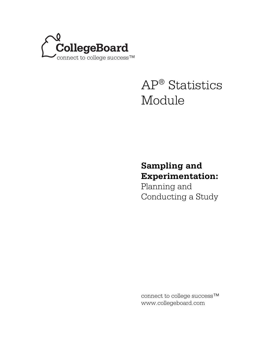

# AP® Statistics Module

# **Sampling and Experimentation:**

Planning and Conducting a Study

connect to college success™ www.collegeboard.com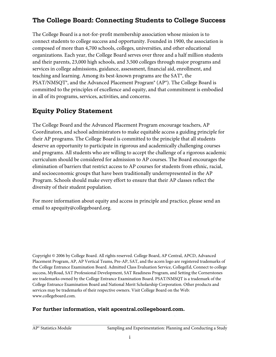# **The College Board: Connecting Students to College Success**

The College Board is a not-for-profit membership association whose mission is to connect students to college success and opportunity. Founded in 1900, the association is composed of more than 4,700 schools, colleges, universities, and other educational organizations. Each year, the College Board serves over three and a half million students and their parents, 23,000 high schools, and 3,500 colleges through major programs and services in college admissions, guidance, assessment, financial aid, enrollment, and teaching and learning. Among its best-known programs are the SAT®, the PSAT/NMSQT®, and the Advanced Placement Program® (AP®). The College Board is committed to the principles of excellence and equity, and that commitment is embodied in all of its programs, services, activities, and concerns.

# **Equity Policy Statement**

The College Board and the Advanced Placement Program encourage teachers, AP Coordinators, and school administrators to make equitable access a guiding principle for their AP programs. The College Board is committed to the principle that all students deserve an opportunity to participate in rigorous and academically challenging courses and programs. All students who are willing to accept the challenge of a rigorous academic curriculum should be considered for admission to AP courses. The Board encourages the elimination of barriers that restrict access to AP courses for students from ethnic, racial, and socioeconomic groups that have been traditionally underrepresented in the AP Program. Schools should make every effort to ensure that their AP classes reflect the diversity of their student population.

For more information about equity and access in principle and practice, please send an email to apequity@collegeboard.org.

Copyright © 2006 by College Board. All rights reserved. College Board, AP Central, APCD, Advanced Placement Program, AP, AP Vertical Teams, Pre-AP, SAT, and the acorn logo are registered trademarks of the College Entrance Examination Board. Admitted Class Evaluation Service, CollegeEd, Connect to college success, MyRoad, SAT Professional Development, SAT Readiness Program, and Setting the Cornerstones are trademarks owned by the College Entrance Examination Board. PSAT/NMSQT is a trademark of the College Entrance Examination Board and National Merit Scholarship Corporation. Other products and services may be trademarks of their respective owners. Visit College Board on the Web: www.collegeboard.com.

#### **For further information, visit apcentral.collegeboard.com.**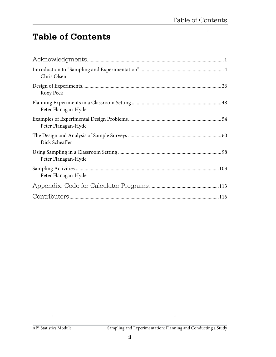# **Table of Contents**

| Chris Olsen         |
|---------------------|
| Roxy Peck           |
| Peter Flanagan-Hyde |
| Peter Flanagan-Hyde |
| Dick Scheaffer      |
| Peter Flanagan-Hyde |
| Peter Flanagan-Hyde |
|                     |
|                     |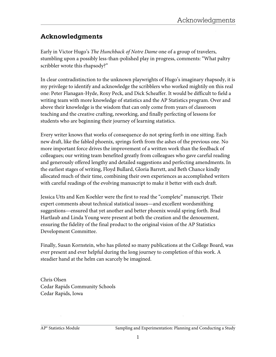# **Acknowledgments**

Early in Victor Hugo's *The Hunchback of Notre Dame* one of a group of travelers, stumbling upon a possibly less-than-polished play in progress, comments: "What paltry scribbler wrote this rhapsody?"

In clear contradistinction to the unknown playwrights of Hugo's imaginary rhapsody, it is my privilege to identify and acknowledge the scribblers who worked mightily on this real one: Peter Flanagan-Hyde, Roxy Peck, and Dick Scheaffer. It would be difficult to field a writing team with more knowledge of statistics and the AP Statistics program. Over and above their knowledge is the wisdom that can only come from years of classroom teaching and the creative crafting, reworking, and finally perfecting of lessons for students who are beginning their journey of learning statistics.

Every writer knows that works of consequence do not spring forth in one sitting. Each new draft, like the fabled phoenix, springs forth from the ashes of the previous one. No more important force drives the improvement of a written work than the feedback of colleagues; our writing team benefited greatly from colleagues who gave careful reading and generously offered lengthy and detailed suggestions and perfecting amendments. In the earliest stages of writing, Floyd Bullard, Gloria Barrett, and Beth Chance kindly allocated much of their time, combining their own experiences as accomplished writers with careful readings of the evolving manuscript to make it better with each draft.

Jessica Utts and Ken Koehler were the first to read the "complete" manuscript. Their expert comments about technical statistical issues—and excellent wordsmithing suggestions—ensured that yet another and better phoenix would spring forth. Brad Hartlaub and Linda Young were present at both the creation and the denouement, ensuring the fidelity of the final product to the original vision of the AP Statistics Development Committee.

Finally, Susan Kornstein, who has piloted so many publications at the College Board, was ever present and ever helpful during the long journey to completion of this work. A steadier hand at the helm can scarcely be imagined.

Chris Olsen Cedar Rapids Community Schools Cedar Rapids, Iowa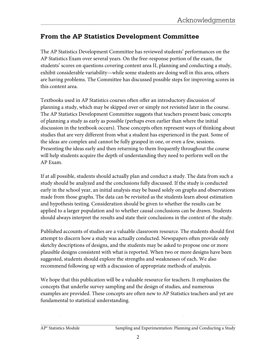# **From the AP Statistics Development Committee**

The AP Statistics Development Committee has reviewed students' performances on the AP Statistics Exam over several years. On the free-response portion of the exam, the students' scores on questions covering content area II, planning and conducting a study, exhibit considerable variability—while some students are doing well in this area, others are having problems. The Committee has discussed possible steps for improving scores in this content area.

Textbooks used in AP Statistics courses often offer an introductory discussion of planning a study, which may be skipped over or simply not revisited later in the course. The AP Statistics Development Committee suggests that teachers present basic concepts of planning a study as early as possible (perhaps even earlier than where the initial discussion in the textbook occurs). These concepts often represent ways of thinking about studies that are very different from what a student has experienced in the past. Some of the ideas are complex and cannot be fully grasped in one, or even a few, sessions. Presenting the ideas early and then returning to them frequently throughout the course will help students acquire the depth of understanding they need to perform well on the AP Exam.

If at all possible, students should actually plan and conduct a study. The data from such a study should be analyzed and the conclusions fully discussed. If the study is conducted early in the school year, an initial analysis may be based solely on graphs and observations made from those graphs. The data can be revisited as the students learn about estimation and hypothesis testing. Consideration should be given to whether the results can be applied to a larger population and to whether causal conclusions can be drawn. Students should always interpret the results and state their conclusions in the context of the study.

Published accounts of studies are a valuable classroom resource. The students should first attempt to discern how a study was actually conducted. Newspapers often provide only sketchy descriptions of designs, and the students may be asked to propose one or more plausible designs consistent with what is reported. When two or more designs have been suggested, students should explore the strengths and weaknesses of each. We also recommend following up with a discussion of appropriate methods of analysis.

We hope that this publication will be a valuable resource for teachers. It emphasizes the concepts that underlie survey sampling and the design of studies, and numerous examples are provided. These concepts are often new to AP Statistics teachers and yet are fundamental to statistical understanding.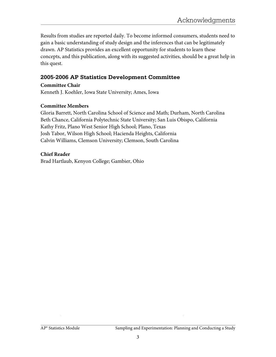Results from studies are reported daily. To become informed consumers, students need to gain a basic understanding of study design and the inferences that can be legitimately drawn. AP Statistics provides an excellent opportunity for students to learn these concepts, and this publication, along with its suggested activities, should be a great help in this quest.

#### **2005-2006 AP Statistics Development Committee**

#### **Committee Chair**

Kenneth J. Koehler, Iowa State University; Ames, Iowa

#### **Committee Members**

Gloria Barrett, North Carolina School of Science and Math; Durham, North Carolina Beth Chance, California Polytechnic State University; San Luis Obispo, California Kathy Fritz, Plano West Senior High School; Plano, Texas Josh Tabor, Wilson High School; Hacienda Heights, California Calvin Williams, Clemson University; Clemson, South Carolina

#### **Chief Reader**

Brad Hartlaub, Kenyon College; Gambier, Ohio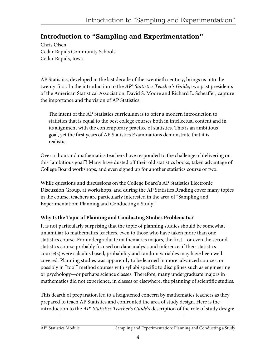# **Introduction to "Sampling and Experimentation"**

Chris Olsen Cedar Rapids Community Schools Cedar Rapids, Iowa

AP Statistics, developed in the last decade of the twentieth century, brings us into the twenty-first. In the introduction to the *AP® Statistics Teacher's Guide*, two past presidents of the American Statistical Association, David S. Moore and Richard L. Scheaffer, capture the importance and the vision of AP Statistics:

The intent of the AP Statistics curriculum is to offer a modern introduction to statistics that is equal to the best college courses both in intellectual content and in its alignment with the contemporary practice of statistics. This is an ambitious goal, yet the first years of AP Statistics Examinations demonstrate that it is realistic.

Over a thousand mathematics teachers have responded to the challenge of delivering on this "ambitious goal"! Many have dusted off their old statistics books, taken advantage of College Board workshops, and even signed up for another statistics course or two.

While questions and discussions on the College Board's AP Statistics Electronic Discussion Group, at workshops, and during the AP Statistics Reading cover many topics in the course, teachers are particularly interested in the area of "Sampling and Experimentation: Planning and Conducting a Study."

#### **Why Is the Topic of Planning and Conducting Studies Problematic?**

It is not particularly surprising that the topic of planning studies should be somewhat unfamiliar to mathematics teachers, even to those who have taken more than one statistics course. For undergraduate mathematics majors, the first—or even the second statistics course probably focused on data analysis and inference; if their statistics course(s) were calculus based, probability and random variables may have been well covered. Planning studies was apparently to be learned in more advanced courses, or possibly in "tool" method courses with syllabi specific to disciplines such as engineering or psychology—or perhaps science classes. Therefore, many undergraduate majors in mathematics did not experience, in classes or elsewhere, the planning of scientific studies.

This dearth of preparation led to a heightened concern by mathematics teachers as they prepared to teach AP Statistics and confronted the area of study design. Here is the introduction to the *AP*® *Statistics Teacher's Guide*'s description of the role of study design: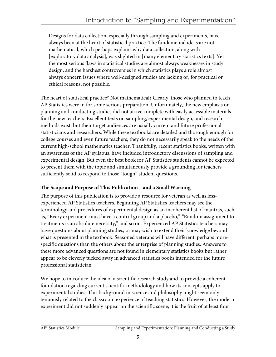Designs for data collection, especially through sampling and experiments, have always been at the heart of statistical practice. The fundamental ideas are not mathematical, which perhaps explains why data collection, along with [exploratory data analysis], was slighted in [many elementary statistics texts]. Yet the most serious flaws in statistical studies are almost always weaknesses in study design, and the harshest controversies in which statistics plays a role almost always concern issues where well-designed studies are lacking or, for practical or ethical reasons, not possible.

The heart of statistical practice? Not mathematical? Clearly, those who planned to teach AP Statistics were in for some serious preparation. Unfortunately, the new emphasis on planning and conducting studies did not arrive complete with easily accessible materials for the new teachers. Excellent texts on sampling, experimental design, and research methods exist, but their target audiences are usually current and future professional statisticians and researchers. While these textbooks are detailed and thorough enough for college courses and even future teachers, they do not necessarily speak to the needs of the current high-school mathematics teacher. Thankfully, recent statistics books, written with an awareness of the AP syllabus, have included introductory discussions of sampling and experimental design. But even the best book for AP Statistics students cannot be expected to present them with the topic and simultaneously provide a grounding for teachers sufficiently solid to respond to those "tough" student questions.

#### **The Scope and Purpose of This Publication—and a Small Warning**

The purpose of this publication is to provide a resource for veteran as well as lessexperienced AP Statistics teachers. Beginning AP Statistics teachers may see the terminology and procedures of experimental design as an incoherent list of mantras, such as, "Every experiment must have a control group and a placebo," "Random assignment to treatments is an absolute necessity," and so on. Experienced AP Statistics teachers may have questions about planning studies, or may wish to extend their knowledge beyond what is presented in the textbook. Seasoned veterans will have different, perhaps morespecific questions than the others about the enterprise of planning studies. Answers to these more advanced questions are not found in elementary statistics books but rather appear to be cleverly tucked away in advanced statistics books intended for the future professional statistician.

We hope to introduce the idea of a scientific research study and to provide a coherent foundation regarding current scientific methodology and how its concepts apply to experimental studies. This background in science and philosophy might seem only tenuously related to the classroom experience of teaching statistics. However, the modern experiment did not suddenly appear on the scientific scene; it is the fruit of at least four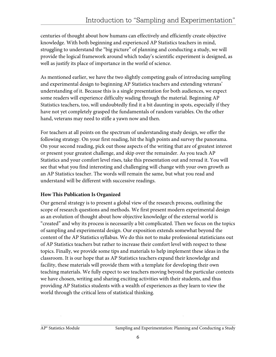centuries of thought about how humans can effectively and efficiently create objective knowledge. With both beginning and experienced AP Statistics teachers in mind, struggling to understand the "big picture" of planning and conducting a study, we will provide the logical framework around which today's scientific experiment is designed, as well as justify its place of importance in the world of science.

As mentioned earlier, we have the two slightly competing goals of introducing sampling and experimental design to beginning AP Statistics teachers and extending veterans' understanding of it. Because this is a single presentation for both audiences, we expect some readers will experience difficulty wading through the material. Beginning AP Statistics teachers, too, will undoubtedly find it a bit daunting in spots, especially if they have not yet completely grasped the fundamentals of random variables. On the other hand, veterans may need to stifle a yawn now and then.

For teachers at all points on the spectrum of understanding study design, we offer the following strategy. On your first reading, hit the high points and survey the panorama. On your second reading, pick out those aspects of the writing that are of greatest interest or present your greatest challenge, and skip over the remainder. As you teach AP Statistics and your comfort level rises, take this presentation out and reread it. You will see that what you find interesting and challenging will change with your own growth as an AP Statistics teacher. The words will remain the same, but what you read and understand will be different with successive readings.

#### **How This Publication Is Organized**

Our general strategy is to present a global view of the research process, outlining the scope of research questions and methods. We first present modern experimental design as an evolution of thought about how objective knowledge of the external world is "created" and why its process is necessarily a bit complicated. Then we focus on the topics of sampling and experimental design. Our exposition extends somewhat beyond the content of the AP Statistics syllabus. We do this not to make professional statisticians out of AP Statistics teachers but rather to increase their comfort level with respect to these topics. Finally, we provide some tips and materials to help implement these ideas in the classroom. It is our hope that as AP Statistics teachers expand their knowledge and facility, these materials will provide them with a template for developing their own teaching materials. We fully expect to see teachers moving beyond the particular contexts we have chosen, writing and sharing exciting activities with their students, and thus providing AP Statistics students with a wealth of experiences as they learn to view the world through the critical lens of statistical thinking.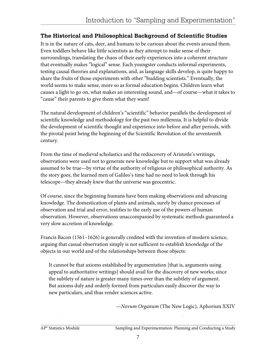## **The Historical and Philosophical Background of Scientific Studies**

It is in the nature of cats, deer, and humans to be curious about the events around them. Even toddlers behave like little scientists as they attempt to make sense of their surroundings, translating the chaos of their early experiences into a coherent structure that eventually makes "logical" sense. Each youngster conducts informal experiments, testing causal theories and explanations, and, as language skills develop, is quite happy to share the fruits of those experiments with other "budding scientists." Eventually, the world seems to make sense, more so as formal education begins. Children learn what causes a light to go on, what makes an interesting sound, and—of course—what it takes to "cause" their parents to give them what they want!

The natural development of children's "scientific" behavior parallels the development of scientific knowledge and methodology for the past two millennia. It is helpful to divide the development of scientific thought and experience into before and after periods, with the pivotal point being the beginning of the Scientific Revolution of the seventeenth century.

From the time of medieval scholastics and the rediscovery of Aristotle's writings, observations were used not to generate new knowledge but to support what was already assumed to be true—by virtue of the authority of religious or philosophical authority. As the story goes, the learned men of Galileo's time had no need to look through his telescope—they already *knew* that the universe was geocentric.

Of course, since the beginning humans have been making observations and advancing knowledge. The domestication of plants and animals, surely by chance processes of observation and trial and error, testifies to the early use of the powers of human observation. However, observations unaccompanied by systematic methods guaranteed a very slow accretion of knowledge.

Francis Bacon (1561–1626) is generally credited with the invention of modern science, arguing that casual observation simply is not sufficient to establish knowledge of the objects in our world and of the relationships between those objects:

It cannot be that axioms established by argumentation [that is, arguments using appeal to authoritative writings] should avail for the discovery of new works; since the subtlety of nature is greater many times over than the subtlety of argument. But axioms duly and orderly formed from particulars easily discover the way to new particulars, and thus render sciences active.

*—Novum Organum* (The New Logic), Aphorism XXIV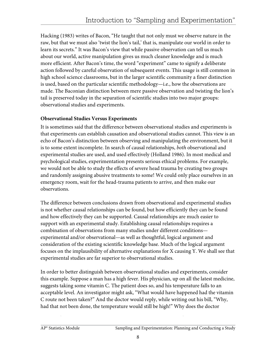Hacking (1983) writes of Bacon, "He taught that not only must we observe nature in the raw, but that we must also 'twist the lion's tail,' that is, manipulate our world in order to learn its secrets." It was Bacon's view that while passive observation can tell us much about our world, active manipulation gives us much cleaner knowledge and is much more efficient. After Bacon's time, the word "experiment" came to signify a deliberate action followed by careful observation of subsequent events. This usage is still common in high school science classrooms, but in the larger scientific community a finer distinction is used, based on the particular scientific methodology—i.e., how the observations are made. The Baconian distinction between mere passive observation and twisting the lion's tail is preserved today in the separation of scientific studies into two major groups: observational studies and experiments.

#### **Observational Studies Versus Experiments**

It is sometimes said that the difference between observational studies and experiments is that experiments can establish causation and observational studies cannot. This view is an echo of Bacon's distinction between observing and manipulating the environment, but it is to some extent incomplete. In search of causal relationships, *both* observational and experimental studies are used, and used effectively (Holland 1986). In most medical and psychological studies, experimentation presents serious ethical problems. For example, we would not be able to study the effects of severe head trauma by creating two groups and randomly assigning abusive treatments to some! We could only place ourselves in an emergency room, wait for the head-trauma patients to arrive, and then make our observations.

The difference between conclusions drawn from observational and experimental studies is not whether causal relationships can be found, but how efficiently they can be found and how effectively they can be supported. Causal relationships are much easier to support with an experimental study. Establishing causal relationships requires a combination of observations from many studies under different conditions experimental and/or observational—as well as thoughtful, logical argument and consideration of the existing scientific knowledge base. Much of the logical argument focuses on the implausibility of alternative explanations for X causing Y. We shall see that experimental studies are far superior to observational studies.

In order to better distinguish between observational studies and experiments, consider this example. Suppose a man has a high fever. His physician, up on all the latest medicine, suggests taking some vitamin C. The patient does so, and his temperature falls to an acceptable level. An investigator might ask, "What would have happened had the vitamin C route not been taken?" And the doctor would reply, while writing out his bill, "Why, had that not been done, the temperature would still be high!" Why does the doctor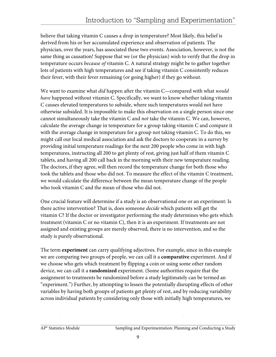believe that taking vitamin C causes a drop in temperature? Most likely, this belief is derived from his or her accumulated experience and observation of patients. The physician, over the years, has associated these two events. Association, however, is not the same thing as causation! Suppose that we (or the physician) wish to verify that the drop in temperature occurs *because of* vitamin C. A natural strategy might be to gather together lots of patients with high temperatures and see if taking vitamin C consistently reduces their fever, with their fever remaining (or going higher) if they go without.

We want to examine what *did* happen after the vitamin C—compared with what *would have* happened without vitamin C. Specifically, we want to know whether taking vitamin C causes elevated temperatures to subside, where such temperatures would not have otherwise subsided. It is impossible to make this observation on a single person since one cannot simultaneously take the vitamin C and *not* take the vitamin C. We can, however, calculate the average change in temperature for a group taking vitamin C and compare it with the average change in temperature for a group not taking vitamin C. To do this, we might call our local medical association and ask the doctors to cooperate in a survey by providing initial temperature readings for the next 200 people who come in with high temperatures, instructing all 200 to get plenty of rest, giving just half of them vitamin C tablets, and having all 200 call back in the morning with their new temperature reading. The doctors, if they agree, will then record the temperature change for both those who took the tablets and those who did not. To measure the effect of the vitamin C treatment, we would calculate the difference between the mean temperature change of the people who took vitamin C and the mean of those who did not.

One crucial feature will determine if a study is an observational one or an experiment: Is there active intervention? That is, does someone *decide* which patients will get the vitamin C? If the doctor or investigator performing the study determines who gets which treatment (vitamin C or no vitamin C), then it is an experiment. If treatments are not assigned and existing groups are merely observed, there is no intervention, and so the study is purely observational.

The term **experiment** can carry qualifying adjectives. For example, since in this example we are comparing two groups of people, we can call it a **comparative** experiment. And if we choose who gets which treatment by flipping a coin or using some other random device, we can call it a **randomized** experiment. (Some authorities require that the assignment to treatments be randomized before a study legitimately can be termed an "experiment.") Further, by attempting to lessen the potentially disrupting effects of other variables by having both groups of patients get plenty of rest, and by reducing variability across individual patients by considering only those with initially high temperatures, we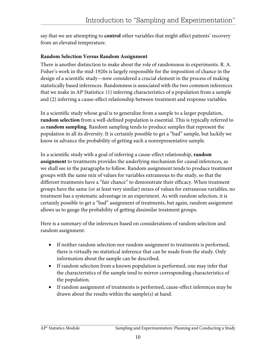say that we are attempting to **control** other variables that might affect patients' recovery from an elevated temperature.

#### **Random Selection Versus Random Assignment**

There is another distinction to make about the role of randomness in experiments. R. A. Fisher's work in the mid-1920s is largely responsible for the imposition of chance in the design of a scientific study—now considered a crucial element in the process of making statistically based inferences. Randomness is associated with the two common inferences that we make in AP Statistics: (1) inferring characteristics of a population from a sample and (2) inferring a cause-effect relationship between treatment and response variables.

In a scientific study whose goal is to generalize from a sample to a larger population, **random selection** from a well-defined population is essential. This is typically referred to as **random sampling**. Random sampling tends to produce samples that represent the population in all its diversity. It is certainly possible to get a "bad" sample, but luckily we know in advance the probability of getting such a nonrepresentative sample.

In a scientific study with a goal of inferring a cause-effect relationship, **random assignment** to treatments provides the underlying mechanism for causal inferences, as we shall see in the paragraphs to follow. Random assignment tends to produce treatment groups with the same mix of values for variables extraneous to the study, so that the different treatments have a "fair chance" to demonstrate their efficacy. When treatment groups have the same (or at least very similar) mixes of values for extraneous variables, no treatment has a systematic advantage in an experiment. As with random selection, it is certainly possible to get a "bad" assignment of treatments, but again, random assignment allows us to gauge the probability of getting dissimilar treatment groups.

Here is a summary of the inferences based on considerations of random selection and random assignment:

- If neither random selection nor random assignment to treatments is performed, there is virtually no statistical inference that can be made from the study. Only information about the sample can be described.
- If random selection from a known population is performed, one may infer that the characteristics of the sample tend to mirror corresponding characteristics of the population.
- If random assignment of treatments is performed, cause-effect inferences may be drawn about the results within the sample(s) at hand.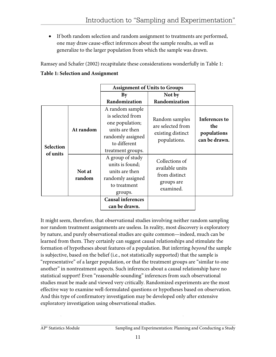• If both random selection and random assignment to treatments are performed, one may draw cause-effect inferences about the sample results, as well as generalize to the larger population from which the sample was drawn.

Ramsey and Schafer (2002) recapitulate these considerations wonderfully in Table 1:

#### **Table 1: Selection and Assignment**

|                              |                  | <b>Assignment of Units to Groups</b>                                                                                               |                                                                               |                                                      |
|------------------------------|------------------|------------------------------------------------------------------------------------------------------------------------------------|-------------------------------------------------------------------------------|------------------------------------------------------|
|                              |                  | By                                                                                                                                 | Not by                                                                        |                                                      |
|                              |                  | Randomization                                                                                                                      | Randomization                                                                 |                                                      |
| <b>Selection</b><br>of units | At random        | A random sample<br>is selected from<br>one population;<br>units are then<br>randomly assigned<br>to different<br>treatment groups. | Random samples<br>are selected from<br>existing distinct<br>populations.      | Inferences to<br>the<br>populations<br>can be drawn. |
|                              | Not at<br>random | A group of study<br>units is found;<br>units are then<br>randomly assigned<br>to treatment<br>groups.                              | Collections of<br>available units<br>from distinct<br>groups are<br>examined. |                                                      |
|                              |                  | <b>Causal inferences</b><br>can be drawn.                                                                                          |                                                                               |                                                      |

It might seem, therefore, that observational studies involving neither random sampling nor random treatment assignments are useless. In reality, most discovery is exploratory by nature, and purely observational studies are quite common—indeed, much can be learned from them. They certainly can suggest causal relationships and stimulate the formation of hypotheses about features of a population. But inferring *beyond* the sample is subjective, based on the belief (i.e., not statistically supported) that the sample is "representative" of a larger population, or that the treatment groups are "similar to one another" in nontreatment aspects. Such inferences about a causal relationship have no statistical support! Even "reasonable-sounding" inferences from such observational studies must be made and viewed very critically. Randomized experiments are the most effective way to examine well-formulated questions or hypotheses based on observation. And this type of confirmatory investigation may be developed only after extensive exploratory investigation using observational studies.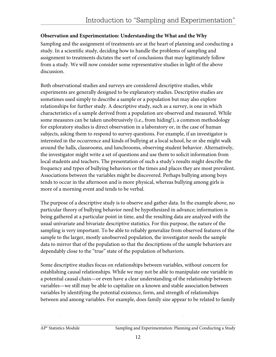#### **Observation and Experimentation: Understanding the What and the Why**

Sampling and the assignment of treatments are at the heart of planning and conducting a study. In a scientific study, deciding how to handle the problems of sampling and assignment to treatments dictates the sort of conclusions that may legitimately follow from a study. We will now consider some representative studies in light of the above discussion.

Both observational studies and surveys are considered descriptive studies, while experiments are generally designed to be explanatory studies. Descriptive studies are sometimes used simply to describe a sample or a population but may also explore relationships for further study. A descriptive study, such as a survey, is one in which characteristics of a sample derived from a population are observed and measured. While some measures can be taken unobtrusively (i.e., from hiding!), a common methodology for exploratory studies is direct observation in a laboratory or, in the case of human subjects, asking them to respond to survey questions. For example, if an investigator is interested in the occurrence and kinds of bullying at a local school, he or she might walk around the halls, classrooms, and lunchrooms, observing student behavior. Alternatively, the investigator might write a set of questions and use them to solicit information from local students and teachers. The presentation of such a study's results might describe the frequency and types of bullying behaviors or the times and places they are most prevalent. Associations between the variables might be discovered. Perhaps bullying among boys tends to occur in the afternoon and is more physical, whereas bullying among girls is more of a morning event and tends to be verbal.

The purpose of a descriptive study is to observe and gather data. In the example above, no particular theory of bullying behavior need be hypothesized in advance; information is being gathered at a particular point in time, and the resulting data are analyzed with the usual univariate and bivariate descriptive statistics. For this purpose, the nature of the sampling is very important. To be able to reliably generalize from observed features of the sample to the larger, mostly unobserved population, the investigator needs the sample data to mirror that of the population so that the descriptions of the sample behaviors are dependably close to the "true" state of the population of behaviors.

Some descriptive studies focus on relationships between variables, without concern for establishing causal relationships. While we may not be able to manipulate one variable in a potential causal chain—or even have a clear understanding of the relationship between variables—we still may be able to capitalize on a known and stable association between variables by identifying the potential existence, form, and strength of relationships between and among variables. For example, does family size appear to be related to family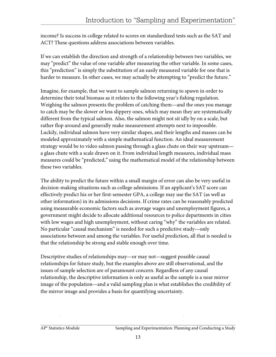income? Is success in college related to scores on standardized tests such as the SAT and ACT? These questions address associations between variables.

If we can establish the direction and strength of a relationship between two variables, we may "predict" the value of one variable after measuring the other variable. In some cases, this "prediction" is simply the substitution of an easily measured variable for one that is harder to measure. In other cases, we may actually be attempting to "predict the future."

Imagine, for example, that we want to sample salmon returning to spawn in order to determine their total biomass as it relates to the following year's fishing regulation. Weighing the salmon presents the problem of catching them—and the ones you manage to catch may be the slower or less slippery ones, which may mean they are systematically different from the typical salmon. Also, the salmon might not sit idly by on a scale, but rather flop around and generally make measurement attempts next to impossible. Luckily, individual salmon have very similar shapes, and their lengths and masses can be modeled approximately with a simple mathematical function. An ideal measurement strategy would be to video salmon passing through a glass chute on their way upstream a glass chute with a scale drawn on it. From individual length measures, individual mass measures could be "predicted," using the mathematical model of the relationship between these two variables.

The ability to predict the future within a small margin of error can also be very useful in decision-making situations such as college admissions. If an applicant's SAT score can effectively predict his or her first-semester GPA, a college may use the SAT (as well as other information) in its admissions decisions. If crime rates can be reasonably predicted using measurable economic factors such as average wages and unemployment figures, a government might decide to allocate additional resources to police departments in cities with low wages and high unemployment, without caring "why" the variables are related. No particular "causal mechanism" is needed for such a predictive study—only associations between and among the variables. For useful prediction, all that is needed is that the relationship be strong and stable enough over time.

Descriptive studies of relationships may—or may not—suggest possible causal relationships for future study, but the examples above are still observational, and the issues of sample selection are of paramount concern. Regardless of any causal relationship, the descriptive information is only as useful as the sample is a near mirror image of the population—and a valid sampling plan is what establishes the credibility of the mirror image and provides a basis for quantifying uncertainty.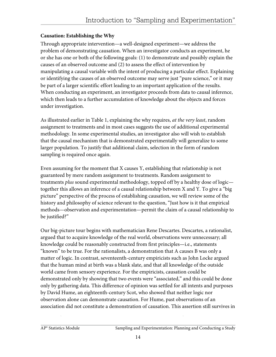#### **Causation: Establishing the Why**

Through appropriate intervention—a well-designed experiment—we address the problem of demonstrating causation. When an investigator conducts an experiment, he or she has one or both of the following goals: (1) to demonstrate and possibly explain the causes of an observed outcome and (2) to assess the effect of intervention by manipulating a causal variable with the intent of producing a particular effect. Explaining or identifying the causes of an observed outcome may serve just "pure science," or it may be part of a larger scientific effort leading to an important application of the results. When conducting an experiment, an investigator proceeds from data to causal inference, which then leads to a further accumulation of knowledge about the objects and forces under investigation.

As illustrated earlier in Table 1, explaining the why requires, *at the very least*, random assignment to treatments and in most cases suggests the use of additional experimental methodology. In some experimental studies, an investigator also will wish to establish that the causal mechanism that is demonstrated experimentally will generalize to some larger population. To justify that additional claim, selection in the form of random sampling is required once again.

Even assuming for the moment that X causes Y, establishing that relationship is not guaranteed by mere random assignment to treatments. Random assignment to treatments *plus* sound experimental methodology, topped off by a healthy dose of logic together this allows an inference of a causal relationship between X and Y. To give a "big picture" perspective of the process of establishing causation, we will review some of the history and philosophy of science relevant to the question, "Just how is it that empirical methods—observation and experimentation—permit the claim of a causal relationship to be justified?"

Our big-picture tour begins with mathematician Rene Descartes. Descartes, a rationalist, argued that to acquire knowledge of the real world, observations were unnecessary; all knowledge could be reasonably constructed from first principles—i.e., statements "known" to be true. For the rationalists, a demonstration that A causes B was only a matter of logic. In contrast, seventeenth-century empiricists such as John Locke argued that the human mind at birth was a blank slate, and that all knowledge of the outside world came from sensory experience. For the empiricists, causation could be demonstrated only by showing that two events were "associated," and this could be done only by gathering data. This difference of opinion was settled for all intents and purposes by David Hume, an eighteenth-century Scot, who showed that neither logic nor observation alone can demonstrate causation. For Hume, past observations of an association did not constitute a demonstration of causation. This assertion still survives in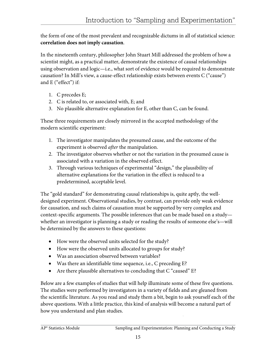the form of one of the most prevalent and recognizable dictums in all of statistical science: **correlation does not imply causation**.

In the nineteenth century, philosopher John Stuart Mill addressed the problem of how a scientist might, as a practical matter, demonstrate the existence of causal relationships using observation and logic—i.e., what sort of evidence would be required to demonstrate causation? In Mill's view, a cause-effect relationship exists between events C ("cause") and E ("effect") if:

- 1. C precedes E;
- 2. C is related to, or associated with, E; and
- 3. No plausible alternative explanation for E, other than C, can be found.

These three requirements are closely mirrored in the accepted methodology of the modern scientific experiment:

- 1. The investigator manipulates the presumed cause, and the outcome of the experiment is observed *after* the manipulation.
- 2. The investigator observes whether or not the variation in the presumed cause is associated with a variation in the observed effect.
- 3. Through various techniques of experimental "design," the plausibility of alternative explanations for the variation in the effect is reduced to a predetermined, acceptable level.

The "gold standard" for demonstrating causal relationships is, quite aptly, the welldesigned experiment. Observational studies, by contrast, can provide only weak evidence for causation, and such claims of causation must be supported by very complex and context-specific arguments. The possible inferences that can be made based on a study whether an investigator is planning a study or reading the results of someone else's—will be determined by the answers to these questions:

- How were the observed units selected for the study?
- How were the observed units allocated to groups for study?
- Was an association observed between variables?
- Was there an identifiable time sequence, i.e., C preceding E?
- Are there plausible alternatives to concluding that C "caused" E?

Below are a few examples of studies that will help illuminate some of these five questions. The studies were performed by investigators in a variety of fields and are gleaned from the scientific literature. As you read and study them a bit, begin to ask yourself each of the above questions. With a little practice, this kind of analysis will become a natural part of how you understand and plan studies.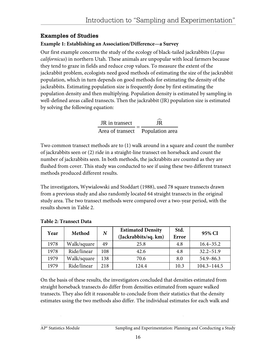## **Examples of Studies**

#### **Example 1: Establishing an Association/Difference—a Survey**

Our first example concerns the study of the ecology of black-tailed jackrabbits (*Lepus californicus*) in northern Utah. These animals are unpopular with local farmers because they tend to graze in fields and reduce crop values. To measure the extent of the jackrabbit problem, ecologists need good methods of estimating the size of the jackrabbit population, which in turn depends on good methods for estimating the density of the jackrabbits. Estimating population size is frequently done by first estimating the population density and then multiplying. Population density is estimated by sampling in well-defined areas called transects. Then the jackrabbit (JR) population size is estimated by solving the following equation:

> JR in transect JR  $\overline{\text{Area of transect}} = \frac{\overline{\text{Population area}}}{\text{Population area}}$

Two common transect methods are to (1) walk around in a square and count the number of jackrabbits seen or (2) ride in a straight-line transect on horseback and count the number of jackrabbits seen. In both methods, the jackrabbits are counted as they are flushed from cover. This study was conducted to see if using these two different transect methods produced different results.

The investigators, Wywialowski and Stoddart (1988), used 78 square transects drawn from a previous study and also randomly located 64 straight transects in the original study area. The two transect methods were compared over a two-year period, with the results shown in Table 2.

| Year | Method      | N   | <b>Estimated Density</b><br>(Jackrabbits/sq. km) | Std.<br>Error | 95% CI          |
|------|-------------|-----|--------------------------------------------------|---------------|-----------------|
| 1978 | Walk/square | 49  | 25.8                                             | 4.8           | $16.4 - 35.2$   |
| 1978 | Ride/linear | 108 | 42.6                                             | 4.8           | $32.2 - 51.9$   |
| 1979 | Walk/square | 138 | 70.6                                             | 8.0           | $54.9 - 86.3$   |
| 1979 | Ride/linear | 218 | 124.4                                            | 10.3          | $104.3 - 144.5$ |

On the basis of these results, the investigators concluded that densities estimated from straight horseback transects do differ from densities estimated from square walked transects. They also felt it reasonable to conclude from their statistics that the density estimates using the two methods also differ. The individual estimates for each walk and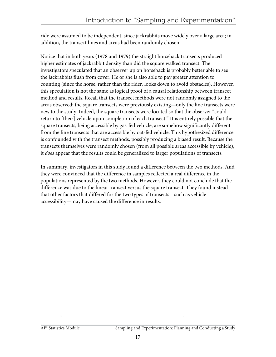ride were assumed to be independent, since jackrabbits move widely over a large area; in addition, the transect lines and areas had been randomly chosen.

Notice that in both years (1978 and 1979) the straight horseback transects produced higher estimates of jackrabbit density than did the square walked transect. The investigators speculated that an observer up on horseback is probably better able to see the jackrabbits flush from cover. He or she is also able to pay greater attention to counting (since the horse, rather than the rider, looks down to avoid obstacles). However, this speculation is not the same as logical proof of a causal relationship between transect method and results. Recall that the transect methods were not randomly assigned to the areas observed: the square transects were previously existing—only the line transects were new to the study. Indeed, the square transects were located so that the observer "could return to [their] vehicle upon completion of each transect." It is entirely possible that the square transects, being accessible by gas-fed vehicle, are somehow significantly different from the line transects that are accessible by oat-fed vehicle. This hypothesized difference is confounded with the transect methods, possibly producing a biased result. Because the transects themselves were randomly chosen (from all possible areas accessible by vehicle), it *does* appear that the results could be generalized to larger populations of transects.

In summary, investigators in this study found a difference between the two methods. And they were convinced that the difference in samples reflected a real difference in the populations represented by the two methods. However, they could not conclude that the difference was due to the linear transect versus the square transect. They found instead that other factors that differed for the two types of transects—such as vehicle accessibility—may have caused the difference in results.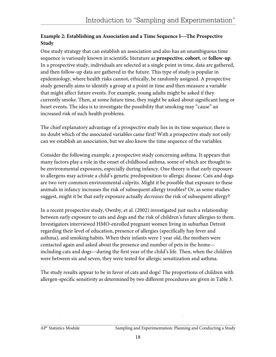#### **Example 2: Establishing an Association and a Time Sequence I—The Prospective Study**

One study strategy that can establish an association and also has an unambiguous time sequence is variously known in scientific literature as **prospective**, **cohort**, or **follow**-**up**. In a prospective study, individuals are selected at a single point in time, data are gathered, and then follow-up data are gathered in the future. This type of study is popular in epidemiology, where health risks cannot, ethically, be randomly assigned. A prospective study generally aims to identify a group at a point in time and then measure a variable that might affect future events. For example, young adults might be asked if they currently smoke. Then, at some future time, they might be asked about significant lung or heart events. The idea is to investigate the possibility that smoking may "cause" an increased risk of such health problems.

The chief explanatory advantage of a prospective study lies in its time sequence; there is no doubt which of the associated variables came first! With a prospective study not only can we establish an association, but we also know the time sequence of the variables.

Consider the following example, a prospective study concerning asthma. It appears that many factors play a role in the onset of childhood asthma, some of which are thought to be environmental exposures, especially during infancy. One theory is that early exposure to allergens may activate a child's genetic predisposition to allergic disease. Cats and dogs are two very common environmental culprits. Might it be possible that exposure to these animals in infancy increases the risk of subsequent allergy troubles? Or, as some studies suggest, might it be that early exposure actually *decreases* the risk of subsequent allergy?

In a recent prospective study, Ownby, et al. (2002) investigated just such a relationship between early exposure to cats and dogs and the risk of children's future allergies to them. Investigators interviewed HMO-enrolled pregnant women living in suburban Detroit regarding their level of education, presence of allergies (specifically hay fever and asthma), and smoking habits. When their infants were 1 year old, the mothers were contacted again and asked about the presence and number of pets in the home including cats and dogs—during the first year of the child's life. Then, when the children were between six and seven, they were tested for allergic sensitization and asthma.

The study results appear to be in favor of cats and dogs! The proportions of children with allergen-specific sensitivity as determined by two different procedures are given in Table 3.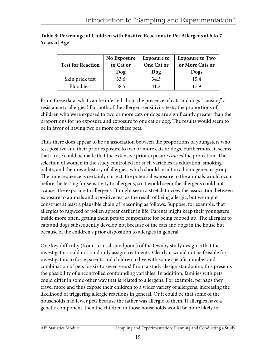| <b>Test for Reaction</b> | No Exposure<br>to Cat or<br>Dog | <b>Exposure to</b><br><b>One Cat or</b><br>Dog | <b>Exposure to Two</b><br>or More Cats or<br>Dogs |
|--------------------------|---------------------------------|------------------------------------------------|---------------------------------------------------|
| Skin prick test          | 33.6                            | 34.3                                           | 15.4                                              |
| Blood test               | 38.5                            | 412                                            | 179                                               |

#### **Table 3: Percentage of Children with Positive Reactions to Pet Allergens at 6 to 7 Years of Age**

From these data, what can be inferred about the presence of cats and dogs "causing" a resistance to allergies? For both of the allergen-sensitivity tests, the proportions of children who were exposed to two or more cats or dogs are significantly greater than the proportions for no exposure and exposure to one cat or dog. The results would seem to be in favor of having two or more of these pets.

Thus there does appear to be an association between the proportions of youngsters who test positive and their prior exposure to two or more cats or dogs. Furthermore, it seems that a case could be made that the extensive prior exposure *caused* the protection. The selection of women in the study controlled for such variables as education, smoking habits, and their own history of allergies, which should result in a homogeneous group. The time sequence is certainly correct; the potential exposure to the animals would occur before the testing for sensitivity to allergens, so it would seem the allergens could not "cause" the exposure to allergens. It might seem a stretch to view the association between exposure to animals and a positive test as the result of being allergic, but we might construct at least a plausible chain of reasoning as follows. Suppose, for example, that allergies to ragweed or pollen appear earlier in life. Parents might keep their youngsters inside more often, getting them pets to compensate for being cooped up. The allergies to cats and dogs subsequently develop not because of the cats and dogs in the house but because of the children's prior disposition to allergies in general.

One key difficulty (from a causal standpoint) of the Ownby study design is that the investigator could not randomly assign treatments. Clearly it would not be feasible for investigators to force parents and children to live with some specific number and combination of pets for six to seven years! From a study-design standpoint, this presents the possibility of uncontrolled confounding variables. In addition, families with pets could differ in some other way that is related to allergens. For example, perhaps they travel more and thus expose their children to a wider variety of allergens, increasing the likelihood of triggering allergic reactions in general. Or it could be that some of the households had fewer pets because the father was allergic to them. If allergies have a genetic component, then the children in those households would be more likely to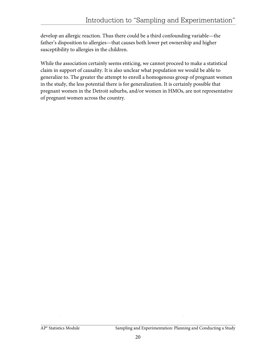develop an allergic reaction. Thus there could be a third confounding variable—the father's disposition to allergies—that causes both lower pet ownership and higher susceptibility to allergies in the children.

While the association certainly seems enticing, we cannot proceed to make a statistical claim in support of causality. It is also unclear what population we would be able to generalize to. The greater the attempt to enroll a homogenous group of pregnant women in the study, the less potential there is for generalization. It is certainly possible that pregnant women in the Detroit suburbs, and/or women in HMOs, are not representative of pregnant women across the country.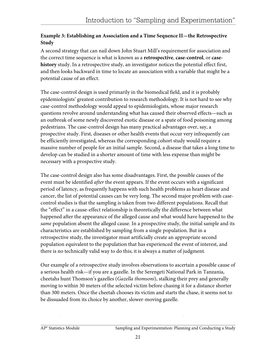#### **Example 3: Establishing an Association and a Time Sequence II—the Retrospective Study**

A second strategy that can nail down John Stuart Mill's requirement for association and the correct time sequence is what is known as a **retrospective**, **case-control**, or **casehistory** study. In a retrospective study, an investigator notices the potential effect first, and then looks backward in time to locate an association with a variable that might be a potential cause of an effect.

The case-control design is used primarily in the biomedical field, and it is probably epidemiologists' greatest contribution to research methodology. It is not hard to see why case-control methodology would appeal to epidemiologists, whose major research questions revolve around understanding what has caused their observed effects—such as an outbreak of some newly discovered exotic disease or a spate of food poisoning among pedestrians. The case-control design has many practical advantages over, say, a prospective study. First, diseases or other health events that occur very infrequently can be efficiently investigated, whereas the corresponding cohort study would require a massive number of people for an initial sample. Second, a disease that takes a long time to develop can be studied in a shorter amount of time with less expense than might be necessary with a prospective study.

The case-control design also has some disadvantages. First, the possible causes of the event must be identified *after* the event appears. If the event occurs with a significant period of latency, as frequently happens with such health problems as heart disease and cancer, the list of potential causes can be very long. The second major problem with casecontrol studies is that the sampling is taken from two different populations. Recall that the "effect" in a cause-effect relationship is theoretically the difference between what happened after the appearance of the alleged cause and what would have happened to the *same* population absent the alleged cause. In a prospective study, the initial sample and its characteristics are established by sampling from a single population. But in a retrospective study, the investigator must artificially create an appropriate second population equivalent to the population that has experienced the event of interest, and there is no technically valid way to do this; it is always a matter of judgment.

Our example of a retrospective study involves observations to ascertain a possible cause of a serious health risk—if you are a gazelle. In the Serengeti National Park in Tanzania, cheetahs hunt Thomson's gazelles (*Gazella thomsoni*), stalking their prey and generally moving to within 30 meters of the selected victim before chasing it for a distance shorter than 300 meters. Once the cheetah chooses its victim and starts the chase, it seems not to be dissuaded from its choice by another, slower-moving gazelle.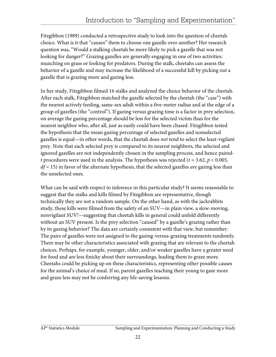Fitzgibbon (1989) conducted a retrospective study to look into the question of cheetah choice. What is it that "causes" them to choose one gazelle over another? Her research question was, "Would a stalking cheetah be more likely to pick a gazelle that was not looking for danger?" Grazing gazelles are generally engaging in one of two activities: munching on grass or looking for predators. During the stalk, cheetahs can assess the behavior of a gazelle and may increase the likelihood of a successful kill by picking out a gazelle that is grazing more and gazing less.

In her study, Fitzgibbon filmed 16 stalks and analyzed the choice behavior of the cheetah. After each stalk, Fitzgibbon matched the gazelle selected by the cheetah (the "case") with the nearest actively feeding, same-sex adult within a five-meter radius and at the edge of a group of gazelles (the "control"). If gazing versus grazing time is a factor in prey selection, on average the gazing percentage should be less for the selected victim than for the nearest neighbor who, after all, just as easily could have been chased. Fitzgibbon tested the hypothesis that the mean gazing percentage of selected gazelles and nonselected gazelles is equal—in other words, that the cheetah does *not* tend to select the least-vigilant prey. Note that each selected prey is compared to its nearest neighbors, the selected and ignored gazelles are not independently chosen in the sampling process, and hence paired*t* procedures were used in the analysis. The hypothesis was rejected (*t* = 3.62, *p* < 0.005, *df* = 15) in favor of the alternate hypothesis, that the selected gazelles *are* gazing less than the unselected ones.

What can be said with respect to inference in this particular study? It seems reasonable to suggest that the stalks and kills filmed by Fitzgibbon are representative, though technically they are not a random sample. On the other hand, as with the jackrabbits study, these kills were filmed from the safety of an SUV—in plain view, a slow-moving, nonvigilant SUV!—suggesting that cheetah kills in general could unfold differently without an SUV present. Is the prey selection "caused" by a gazelle's grazing rather than by its gazing behavior? The data are certainly consistent with that view, but remember: The pairs of gazelles were not assigned to the gazing-versus-grazing treatments randomly. There may be other characteristics associated with grazing that are relevant to the cheetah choices. Perhaps, for example, younger, older, and/or weaker gazelles have a greater need for food and are less finicky about their surroundings, leading them to graze more. Cheetahs could be picking up on these characteristics, representing other possible causes for the animal's choice of meal. If so, parent gazelles teaching their young to gaze more and graze less may not be conferring any life-saving lessons.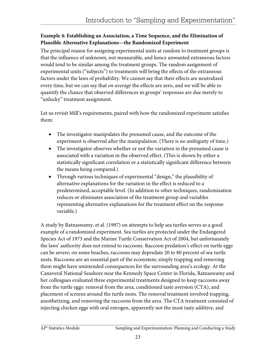#### **Example 4: Establishing an Association, a Time Sequence, and the Elimination of Plausible Alternative Explanations—the Randomized Experiment**

The principal reason for assigning experimental units at random to treatment groups is that the influence of unknown, not measurable, and hence unwanted extraneous factors would tend to be similar among the treatment groups. The random assignment of experimental units ("subjects") to treatments will bring the effects of the extraneous factors under the laws of probability. We cannot say that their effects are neutralized every time, but we can say that *on average* the effects are zero, and we will be able to quantify the chance that observed differences in groups' responses are due merely to "unlucky" treatment assignment.

Let us revisit Mill's requirements, paired with how the randomized experiment satisfies them:

- The investigator manipulates the presumed cause, and the outcome of the experiment is observed after the manipulation. (There is no ambiguity of time.)
- The investigator observes whether or not the variation in the presumed cause is associated with a variation in the observed effect. (This is shown by either a statistically significant correlation or a statistically significant difference between the means being compared.)
- Through various techniques of experimental "design," the plausibility of alternative explanations for the variation in the effect is reduced to a predetermined, acceptable level. (In addition to other techniques, randomization reduces or eliminates association of the treatment group and variables representing alternative explanations for the treatment effect on the response variable.)

A study by Ratnaswamy, et al. (1997) on attempts to help sea turtles serves as a good example of a randomized experiment. Sea turtles are protected under the Endangered Species Act of 1973 and the Marine Turtle Conservation Act of 2004, but unfortunately the laws' authority does not extend to raccoons. Raccoon predation's effect on turtle eggs can be severe; on some beaches, raccoons may depredate 20 to 80 percent of sea turtle nests. Raccoons are an essential part of the ecosystem; simply trapping and removing them might have unintended consequences for the surrounding area's ecology. At the Canaveral National Seashore near the Kennedy Space Center in Florida, Ratnaswamy and her colleagues evaluated three experimental treatments designed to keep raccoons away from the turtle eggs: removal from the area, conditioned taste aversion (CTA), and placement of screens around the turtle nests. The removal treatment involved trapping, anesthetizing, and removing the raccoons from the area. The CTA treatment consisted of injecting chicken eggs with oral estrogen, apparently not the most tasty additive, and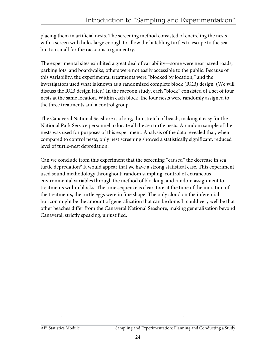placing them in artificial nests. The screening method consisted of encircling the nests with a screen with holes large enough to allow the hatchling turtles to escape to the sea but too small for the raccoons to gain entry.

The experimental sites exhibited a great deal of variability—some were near paved roads, parking lots, and boardwalks; others were not easily accessible to the public. Because of this variability, the experimental treatments were "blocked by location," and the investigators used what is known as a randomized complete block (RCB) design. (We will discuss the RCB design later.) In the raccoon study, each "block" consisted of a set of four nests at the same location. Within each block, the four nests were randomly assigned to the three treatments and a control group.

The Canaveral National Seashore is a long, thin stretch of beach, making it easy for the National Park Service personnel to locate all the sea turtle nests. A random sample of the nests was used for purposes of this experiment. Analysis of the data revealed that, when compared to control nests, only nest screening showed a statistically significant, reduced level of turtle-nest depredation.

Can we conclude from this experiment that the screening "caused" the decrease in sea turtle depredation? It would appear that we have a strong statistical case. This experiment used sound methodology throughout: random sampling, control of extraneous environmental variables through the method of blocking, and random assignment to treatments within blocks. The time sequence is clear, too: at the time of the initiation of the treatments, the turtle eggs were in fine shape! The only cloud on the inferential horizon might be the amount of generalization that can be done. It could very well be that other beaches differ from the Canaveral National Seashore, making generalization beyond Canaveral, strictly speaking, unjustified.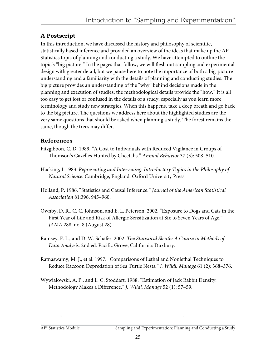# **A Postscript**

In this introduction, we have discussed the history and philosophy of scientific, statistically based inference and provided an overview of the ideas that make up the AP Statistics topic of planning and conducting a study. We have attempted to outline the topic's "big picture." In the pages that follow, we will flesh out sampling and experimental design with greater detail, but we pause here to note the importance of both a big-picture understanding and a familiarity with the details of planning and conducting studies. The big picture provides an understanding of the "why" behind decisions made in the planning and execution of studies; the methodological details provide the "how." It is all too easy to get lost or confused in the details of a study, especially as you learn more terminology and study new strategies. When this happens, take a deep breath and go back to the big picture. The questions we address here about the highlighted studies are the very same questions that should be asked when planning a study. The forest remains the same, though the trees may differ.

## **References**

- Fitzgibbon, C. D. 1989. "A Cost to Individuals with Reduced Vigilance in Groups of Thomson's Gazelles Hunted by Cheetahs." *Animal Behavior* 37 (3): 508–510.
- Hacking, I. 1983. *Representing and Intervening: Introductory Topics in the Philosophy of Natural Science*. Cambridge, England: Oxford University Press.
- Holland, P. 1986. "Statistics and Causal Inference." *Journal of the American Statistical Association* 81:396, 945–960.
- Ownby, D. R., C. C. Johnson, and E. L. Peterson. 2002. "Exposure to Dogs and Cats in the First Year of Life and Risk of Allergic Sensitization at Six to Seven Years of Age." *JAMA* 288, no. 8 (August 28).
- Ramsey, F. L., and D. W. Schafer. 2002. *The Statistical Sleuth: A Course in Methods of Data Analysis*. 2nd ed. Pacific Grove, California: Duxbury.
- Ratnaswamy, M. J., et al. 1997. "Comparisons of Lethal and Nonlethal Techniques to Reduce Raccoon Depredation of Sea Turtle Nests." *J. Wildl. Manage* 61 (2): 368–376.
- Wywialowski, A. P., and L. C. Stoddart. 1988. "Estimation of Jack Rabbit Density: Methodology Makes a Difference." *J. Wildl. Manage* 52 (1): 57–59.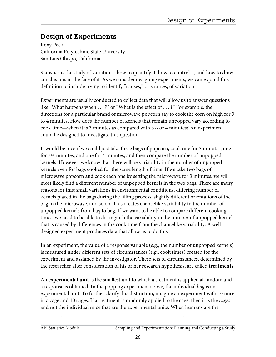# **Design of Experiments**

Roxy Peck California Polytechnic State University San Luis Obispo, California

Statistics is the study of variation—how to quantify it, how to control it, and how to draw conclusions in the face of it. As we consider designing experiments, we can expand this definition to include trying to identify "causes," or sources, of variation.

Experiments are usually conducted to collect data that will allow us to answer questions like "What happens when . . . ?" or "What is the effect of . . . ?" For example, the directions for a particular brand of microwave popcorn say to cook the corn on high for 3 to 4 minutes. How does the number of kernels that remain unpopped vary according to cook time—when it is 3 minutes as compared with 3½ or 4 minutes? An experiment could be designed to investigate this question.

It would be nice if we could just take three bags of popcorn, cook one for 3 minutes, one for 3½ minutes, and one for 4 minutes, and then compare the number of unpopped kernels. However, we know that there will be variability in the number of unpopped kernels even for bags cooked for the same length of time. If we take two bags of microwave popcorn and cook each one by setting the microwave for 3 minutes, we will most likely find a different number of unpopped kernels in the two bags. There are many reasons for this: small variations in environmental conditions, differing number of kernels placed in the bags during the filling process, slightly different orientations of the bag in the microwave, and so on. This creates chancelike variability in the number of unpopped kernels from bag to bag. If we want to be able to compare different cooking times, we need to be able to distinguish the variability in the number of unpopped kernels that is caused by differences in the cook time from the chancelike variability. A welldesigned experiment produces data that allow us to do this.

In an experiment, the value of a response variable (e.g., the number of unpopped kernels) is measured under different sets of circumstances (e.g., cook times) created for the experiment and assigned by the investigator. These sets of circumstances, determined by the researcher after consideration of his or her research hypothesis, are called **treatments**.

An **experimental unit** is the smallest unit to which a treatment is applied at random and a response is obtained. In the popping experiment above, the individual *bag* is an experimental unit. To further clarify this distinction, imagine an experiment with 10 mice in a cage and 10 cages. If a treatment is randomly applied to the cage, then it is the *cages* and not the individual mice that are the experimental units. When humans are the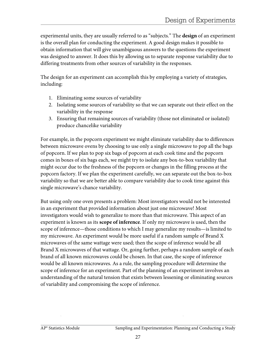experimental units, they are usually referred to as "subjects." The **design** of an experiment is the overall plan for conducting the experiment. A good design makes it possible to obtain information that will give unambiguous answers to the questions the experiment was designed to answer. It does this by allowing us to separate response variability due to differing treatments from other sources of variability in the responses.

The design for an experiment can accomplish this by employing a variety of strategies, including:

- 1. Eliminating some sources of variability
- 2. Isolating some sources of variability so that we can separate out their effect on the variability in the response
- 3. Ensuring that remaining sources of variability (those not eliminated or isolated) produce chancelike variability

For example, in the popcorn experiment we might eliminate variability due to differences between microwave ovens by choosing to use only a single microwave to pop all the bags of popcorn. If we plan to pop six bags of popcorn at each cook time and the popcorn comes in boxes of six bags each, we might try to isolate any box-to-box variability that might occur due to the freshness of the popcorn or changes in the filling process at the popcorn factory. If we plan the experiment carefully, we can separate out the box-to-box variability so that we are better able to compare variability due to cook time against this single microwave's chance variability.

But using only one oven presents a problem: Most investigators would not be interested in an experiment that provided information about just one microwave! Most investigators would wish to generalize to more than that microwave. This aspect of an experiment is known as its **scope of inference**. If only my microwave is used, then the scope of inference—those conditions to which I may generalize my results—is limited to my microwave. An experiment would be more useful if a random sample of Brand X microwaves of the same wattage were used; then the scope of inference would be all Brand X microwaves of that wattage. Or, going further, perhaps a random sample of each brand of all known microwaves could be chosen. In that case, the scope of inference would be all known microwaves. As a rule, the sampling procedure will determine the scope of inference for an experiment. Part of the planning of an experiment involves an understanding of the natural tension that exists between lessening or eliminating sources of variability and compromising the scope of inference.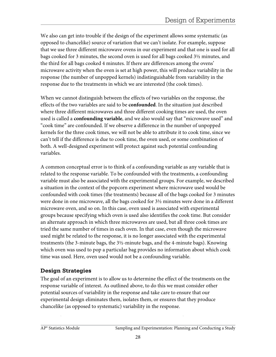We also can get into trouble if the design of the experiment allows some systematic (as opposed to chancelike) source of variation that we can't isolate. For example, suppose that we use three different microwave ovens in our experiment and that one is used for all bags cooked for 3 minutes, the second oven is used for all bags cooked 3½ minutes, and the third for all bags cooked 4 minutes. If there are differences among the ovens' microwave activity when the oven is set at high power, this will produce variability in the response (the number of unpopped kernels) indistinguishable from variability in the response due to the treatments in which we are interested (the cook times).

When we cannot distinguish between the effects of two variables on the response, the effects of the two variables are said to be **confounded**. In the situation just described where three different microwaves and three different cooking times are used, the oven used is called a **confounding variable**, and we also would say that "microwave used" and "cook time" are confounded. If we observe a difference in the number of unpopped kernels for the three cook times, we will not be able to attribute it to cook time, since we can't tell if the difference is due to cook time, the oven used, or some combination of both. A well-designed experiment will protect against such potential confounding variables.

A common conceptual error is to think of a confounding variable as any variable that is related to the response variable. To be confounded with the treatments, a confounding variable must also be associated with the experimental groups. For example, we described a situation in the context of the popcorn experiment where microwave used would be confounded with cook times (the treatments) because all of the bags cooked for 3 minutes were done in one microwave, all the bags cooked for 3½ minutes were done in a different microwave oven, and so on. In this case, oven used is associated with experimental groups because specifying which oven is used also identifies the cook time. But consider an alternate approach in which three microwaves are used, but all three cook times are tried the same number of times in each oven. In that case, even though the microwave used might be related to the response, it is no longer associated with the experimental treatments (the 3-minute bags, the 3½-minute bags, and the 4-minute bags). Knowing which oven was used to pop a particular bag provides no information about which cook time was used. Here, oven used would not be a confounding variable.

#### **Design Strategies**

The goal of an experiment is to allow us to determine the effect of the treatments on the response variable of interest. As outlined above, to do this we must consider other potential sources of variability in the response and take care to ensure that our experimental design eliminates them, isolates them, or ensures that they produce chancelike (as opposed to systematic) variability in the response.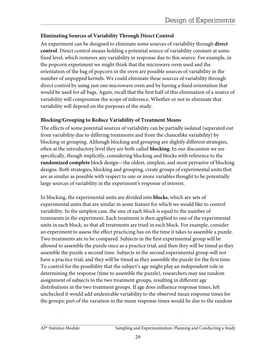#### **Eliminating Sources of Variability Through Direct Control**

An experiment can be designed to eliminate some sources of variability through **direct control**. Direct control means holding a potential source of variability constant at some fixed level, which removes any variability in response due to this source. For example, in the popcorn experiment we might think that the microwave oven used and the orientation of the bag of popcorn in the oven are possible sources of variability in the number of unpopped kernels. We could eliminate these sources of variability through direct control by using just one microwave oven and by having a fixed orientation that would be used for all bags. Again, recall that the first half of this elimination of a source of variability will compromise the scope of inference. Whether or not to eliminate that variability will depend on the purposes of the study.

#### **Blocking/Grouping to Reduce Variability of Treatment Means**

The effects of some potential sources of variability can be partially isolated (separated out from variability due to differing treatments and from the chancelike variability) by blocking or grouping. Although blocking and grouping are slightly different strategies, often at the introductory level they are both called **blocking**. In our discussion we are specifically, though implicitly, considering blocking and blocks with reference to the **randomized complete** block design—the oldest, simplest, and most pervasive of blocking designs. Both strategies, blocking and grouping, create groups of experimental units that are as similar as possible with respect to one or more variables thought to be potentially large sources of variability in the experiment's response of interest.

In blocking, the experimental units are divided into **blocks**, which are sets of experimental units that are similar in some feature for which we would like to control variability. In the simplest case, the size of each block is equal to the number of treatments in the experiment. Each treatment is then applied to one of the experimental units in each block, so that all treatments are tried in each block. For example, consider an experiment to assess the effect practicing has on the time it takes to assemble a puzzle. Two treatments are to be compared. Subjects in the first experimental group will be allowed to assemble the puzzle once as a practice trial, and then they will be timed as they assemble the puzzle a second time. Subjects in the second experimental group will not have a practice trial, and they will be timed as they assemble the puzzle for the first time. To control for the possibility that the subject's age might play an independent role in determining the response (time to assemble the puzzle), researchers may use random assignment of subjects to the two treatment groups, resulting in different age distributions in the two treatment groups. If age does influence response times, left unchecked it would add undesirable variability to the observed mean response times for the groups; part of the variation in the mean response times would be due to the random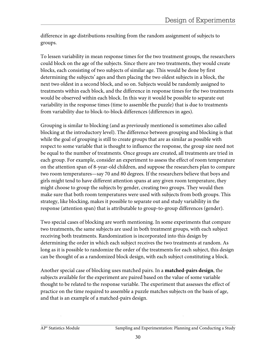difference in age distributions resulting from the random assignment of subjects to groups.

To lessen variability in mean response times for the two treatment groups, the researchers could block on the age of the subjects. Since there are two treatments, they would create blocks, each consisting of two subjects of similar age. This would be done by first determining the subjects' ages and then placing the two oldest subjects in a block, the next two oldest in a second block, and so on. Subjects would be randomly assigned to treatments within each block, and the difference in response times for the two treatments would be observed within each block. In this way it would be possible to separate out variability in the response times (time to assemble the puzzle) that is due to treatments from variability due to block-to-block differences (differences in ages).

Grouping is similar to blocking (and as previously mentioned is sometimes also called blocking at the introductory level). The difference between grouping and blocking is that while the goal of grouping is still to create groups that are as similar as possible with respect to some variable that is thought to influence the response, the group size need not be equal to the number of treatments. Once groups are created, all treatments are tried in each group. For example, consider an experiment to assess the effect of room temperature on the attention span of 8-year-old children, and suppose the researchers plan to compare two room temperatures—say 70 and 80 degrees. If the researchers believe that boys and girls might tend to have different attention spans at any given room temperature, they might choose to group the subjects by gender, creating two groups. They would then make sure that both room temperatures were used with subjects from both groups. This strategy, like blocking, makes it possible to separate out and study variability in the response (attention span) that is attributable to group-to-group differences (gender).

Two special cases of blocking are worth mentioning. In some experiments that compare two treatments, the same subjects are used in both treatment groups, with each subject receiving both treatments. Randomization is incorporated into this design by determining the order in which each subject receives the two treatments at random. As long as it is possible to randomize the order of the treatments for each subject, this design can be thought of as a randomized block design, with each subject constituting a block.

Another special case of blocking uses matched pairs. In a **matched-pairs design**, the subjects available for the experiment are paired based on the value of some variable thought to be related to the response variable. The experiment that assesses the effect of practice on the time required to assemble a puzzle matches subjects on the basis of age, and that is an example of a matched-pairs design.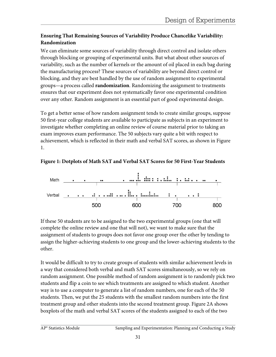#### **Ensuring That Remaining Sources of Variability Produce Chancelike Variability: Randomization**

We can eliminate some sources of variability through direct control and isolate others through blocking or grouping of experimental units. But what about other sources of variability, such as the number of kernels or the amount of oil placed in each bag during the manufacturing process? These sources of variability are beyond direct control or blocking, and they are best handled by the use of random assignment to experimental groups—a process called **randomization**. Randomizing the assignment to treatments ensures that our experiment does not systematically favor one experimental condition over any other. Random assignment is an essential part of good experimental design.

To get a better sense of how random assignment tends to create similar groups, suppose 50 first-year college students are available to participate as subjects in an experiment to investigate whether completing an online review of course material prior to taking an exam improves exam performance. The 50 subjects vary quite a bit with respect to achievement, which is reflected in their math and verbal SAT scores, as shown in Figure 1.

#### **Figure 1: Dotplots of Math SAT and Verbal SAT Scores for 50 First-Year Students**



If these 50 students are to be assigned to the two experimental groups (one that will complete the online review and one that will not), we want to make sure that the assignment of students to groups does not favor one group over the other by tending to assign the higher-achieving students to one group and the lower-achieving students to the other.

It would be difficult to try to create groups of students with similar achievement levels in a way that considered both verbal and math SAT scores simultaneously, so we rely on random assignment. One possible method of random assignment is to randomly pick two students and flip a coin to see which treatments are assigned to which student. Another way is to use a computer to generate a list of random numbers, one for each of the 50 students. Then, we put the 25 students with the smallest random numbers into the first treatment group and other students into the second treatment group. Figure 2A shows boxplots of the math and verbal SAT scores of the students assigned to each of the two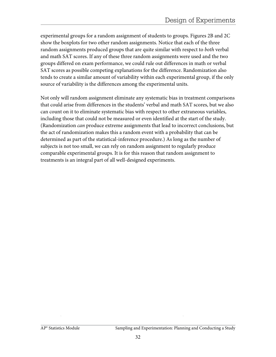experimental groups for a random assignment of students to groups. Figures 2B and 2C show the boxplots for two other random assignments. Notice that each of the three random assignments produced groups that are quite similar with respect to *both* verbal and math SAT scores. If any of these three random assignments were used and the two groups differed on exam performance, we could rule out differences in math or verbal SAT scores as possible competing explanations for the difference. Randomization also tends to create a similar amount of variability within each experimental group, if the only source of variability is the differences among the experimental units.

Not only will random assignment eliminate any systematic bias in treatment comparisons that could arise from differences in the students' verbal and math SAT scores, but we also can count on it to eliminate systematic bias with respect to other extraneous variables, including those that could not be measured or even identified at the start of the study. (Randomization *can* produce extreme assignments that lead to incorrect conclusions, but the act of randomization makes this a random event with a probability that can be determined as part of the statistical-inference procedure.) As long as the number of subjects is not too small, we can rely on random assignment to regularly produce comparable experimental groups. It is for this reason that random assignment to treatments is an integral part of all well-designed experiments.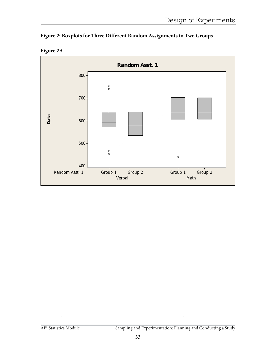



**Figure 2A**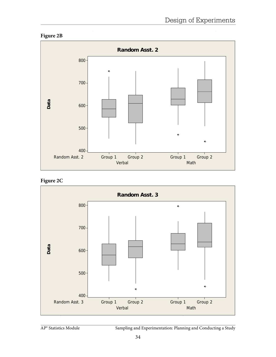







AP® Statistics Module Sampling and Experimentation: Planning and Conducting a Study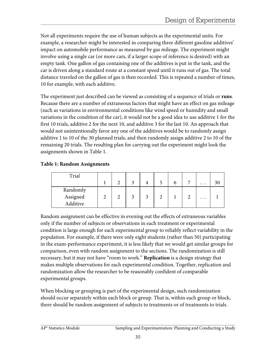Not all experiments require the use of human subjects as the experimental units. For example, a researcher might be interested in comparing three different gasoline additives' impact on automobile performance as measured by gas mileage. The experiment might involve using a single car (or more cars, if a larger scope of inference is desired) with an empty tank. One gallon of gas containing one of the additives is put in the tank, and the car is driven along a standard route at a constant speed until it runs out of gas. The total distance traveled on the gallon of gas is then recorded. This is repeated a number of times, 10 for example, with each additive.

The experiment just described can be viewed as consisting of a sequence of trials or **runs**. Because there are a number of extraneous factors that might have an effect on gas mileage (such as variations in environmental conditions like wind speed or humidity and small variations in the condition of the car), it would not be a good idea to use additive 1 for the first 10 trials, additive 2 for the next 10, and additive 3 for the last 10. An approach that would not unintentionally favor any one of the additives would be to randomly assign additive 1 to 10 of the 30 planned trials, and then randomly assign additive 2 to 10 of the remaining 20 trials. The resulting plan for carrying out the experiment might look the assignments shown in Table 1.

#### **Table 1: Random Assignments**

| Trial                            |   |  |  |          |  |
|----------------------------------|---|--|--|----------|--|
|                                  |   |  |  | $\cdots$ |  |
| Randomly<br>Assigned<br>Additive | ◠ |  |  | $\cdots$ |  |

Random assignment can be effective in evening out the effects of extraneous variables only if the number of subjects or observations in each treatment or experimental condition is large enough for each experimental group to reliably reflect variability in the population. For example, if there were only eight students (rather than 50) participating in the exam-performance experiment, it is less likely that we would get similar groups for comparison, even with random assignment to the sections. The randomization is still necessary, but it may not have "room to work." **Replication** is a design strategy that makes multiple observations for each experimental condition. Together, replication and randomization allow the researcher to be reasonably confident of comparable experimental groups.

When blocking or grouping is part of the experimental design, such randomization should occur separately within each block or group. That is, within each group or block, there should be random assignment of subjects to treatments or of treatments to trials.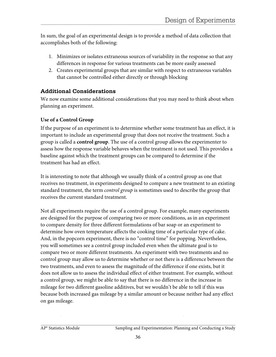In sum, the goal of an experimental design is to provide a method of data collection that accomplishes both of the following:

- 1. Minimizes or isolates extraneous sources of variability in the response so that any differences in response for various treatments can be more easily assessed
- 2. Creates experimental groups that are similar with respect to extraneous variables that cannot be controlled either directly or through blocking

### **Additional Considerations**

We now examine some additional considerations that you may need to think about when planning an experiment.

#### **Use of a Control Group**

If the purpose of an experiment is to determine whether some treatment has an effect, it is important to include an experimental group that does not receive the treatment. Such a group is called a **control group**. The use of a control group allows the experimenter to assess how the response variable behaves when the treatment is not used. This provides a baseline against which the treatment groups can be compared to determine if the treatment has had an effect.

It is interesting to note that although we usually think of a control group as one that receives no treatment, in experiments designed to compare a new treatment to an existing standard treatment, the term *control group* is sometimes used to describe the group that receives the current standard treatment.

Not all experiments require the use of a control group. For example, many experiments are designed for the purpose of comparing two or more conditions, as in an experiment to compare density for three different formulations of bar soap or an experiment to determine how oven temperature affects the cooking time of a particular type of cake. And, in the popcorn experiment, there is no "control time" for popping. Nevertheless, you will sometimes see a control group included even when the ultimate goal is to compare two or more different treatments. An experiment with two treatments and no control group may allow us to determine whether or not there is a difference between the two treatments, and even to assess the magnitude of the difference if one exists, but it does not allow us to assess the individual effect of either treatment. For example, without a control group, we might be able to say that there is no difference in the increase in mileage for two different gasoline additives, but we wouldn't be able to tell if this was because both increased gas mileage by a similar amount or because neither had any effect on gas mileage.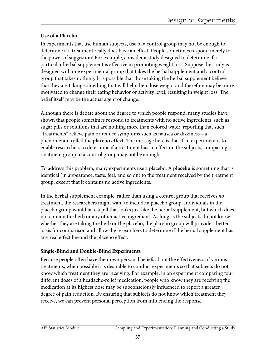#### **Use of a Placebo**

In experiments that use human subjects, use of a control group may not be enough to determine if a treatment really does have an effect. People sometimes respond merely to the power of suggestion! For example, consider a study designed to determine if a particular herbal supplement is effective in promoting weight loss. Suppose the study is designed with one experimental group that takes the herbal supplement and a control group that takes nothing. It is possible that those taking the herbal supplement believe that they are taking something that will help them lose weight and therefore may be more motivated to change their eating behavior or activity level, resulting in weight loss. The belief itself may be the actual agent of change.

Although there is debate about the degree to which people respond, many studies have shown that people sometimes respond to treatments with no active ingredients, such as sugar pills or solutions that are nothing more than colored water, reporting that such "treatments" relieve pain or reduce symptoms such as nausea or dizziness—a phenomenon called the **placebo effect**. The message here is that if an experiment is to enable researchers to determine if a treatment has an effect on the subjects, comparing a treatment group to a control group may not be enough.

To address this problem, many experiments use a placebo. A **placebo** is something that is identical (in appearance, taste, feel, and so on) to the treatment received by the treatment group, except that it contains no active ingredients.

In the herbal supplement example, rather than using a control group that receives *no* treatment, the researchers might want to include a placebo group. Individuals in the placebo group would take a pill that looks just like the herbal supplement, but which does not contain the herb or any other active ingredient. As long as the subjects do not know whether they are taking the herb or the placebo, the placebo group will provide a better basis for comparison and allow the researchers to determine if the herbal supplement has any real effect beyond the placebo effect.

#### **Single-Blind and Double-Blind Experiments**

Because people often have their own personal beliefs about the effectiveness of various treatments, when possible it is desirable to conduct experiments so that subjects do not know which treatment they are receiving. For example, in an experiment comparing four different doses of a headache-relief medication, people who know they are receiving the medication at its highest dose may be subconsciously influenced to report a greater degree of pain reduction. By ensuring that subjects do not know which treatment they receive, we can prevent personal perception from influencing the response.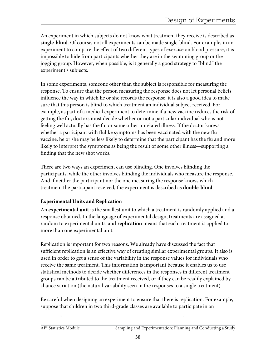An experiment in which subjects do not know what treatment they receive is described as **single-blind**. Of course, not all experiments can be made single-blind. For example, in an experiment to compare the effect of two different types of exercise on blood pressure, it is impossible to hide from participants whether they are in the swimming group or the jogging group. However, when possible, is it generally a good strategy to "blind" the experiment's subjects.

In some experiments, someone other than the subject is responsible for measuring the response. To ensure that the person measuring the response does not let personal beliefs influence the way in which he or she records the response, it is also a good idea to make sure that this person is blind to which treatment an individual subject received. For example, as part of a medical experiment to determine if a new vaccine reduces the risk of getting the flu, doctors must decide whether or not a particular individual who is not feeling well actually has the flu or some other unrelated illness. If the doctor knows whether a participant with flulike symptoms has been vaccinated with the new flu vaccine, he or she may be less likely to determine that the participant has the flu and more likely to interpret the symptoms as being the result of some other illness—supporting a finding that the new shot works.

There are two ways an experiment can use blinding. One involves blinding the participants, while the other involves blinding the individuals who measure the response. And if neither the participant nor the one measuring the response knows which treatment the participant received, the experiment is described as **double-blind**.

#### **Experimental Units and Replication**

An **experimental unit** is the smallest unit to which a treatment is randomly applied and a response obtained. In the language of experimental design, treatments are assigned at random to experimental units, and **replication** means that each treatment is applied to more than one experimental unit.

Replication is important for two reasons. We already have discussed the fact that sufficient replication is an effective way of creating similar experimental groups. It also is used in order to get a sense of the variability in the response values for individuals who receive the same treatment. This information is important because it enables us to use statistical methods to decide whether differences in the responses in different treatment groups can be attributed to the treatment received, or if they can be readily explained by chance variation (the natural variability seen in the responses to a single treatment).

Be careful when designing an experiment to ensure that there is replication. For example, suppose that children in two third-grade classes are available to participate in an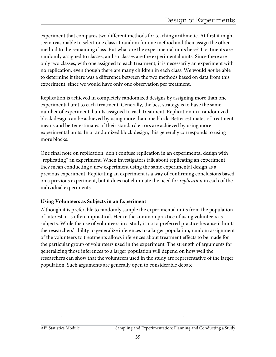experiment that compares two different methods for teaching arithmetic. At first it might seem reasonable to select one class at random for one method and then assign the other method to the remaining class. But what are the experimental units here? Treatments are randomly assigned to classes, and so classes are the experimental units. Since there are only two classes, with one assigned to each treatment, it is necessarily an experiment with no replication, even though there are many children in each class. We would *not* be able to determine if there was a difference between the two methods based on data from this experiment, since we would have only one observation per treatment.

Replication is achieved in completely randomized designs by assigning more than one experimental unit to each treatment. Generally, the best strategy is to have the same number of experimental units assigned to each treatment. Replication in a randomized block design can be achieved by using more than one block. Better estimates of treatment means and better estimates of their standard errors are achieved by using more experimental units. In a randomized block design, this generally corresponds to using more blocks.

One final note on replication: don't confuse replication in an experimental design with "replicating" an experiment. When investigators talk about replicating an experiment, they mean conducting a new experiment using the same experimental design as a previous experiment. Replicating an experiment is a way of confirming conclusions based on a previous experiment, but it does not eliminate the need for *replication* in each of the individual experiments.

#### **Using Volunteers as Subjects in an Experiment**

Although it is preferable to randomly sample the experimental units from the population of interest, it is often impractical. Hence the common practice of using volunteers as subjects. While the use of volunteers in a study is not a preferred practice because it limits the researchers' ability to generalize inferences to a larger population, random assignment of the volunteers to treatments allows inferences about treatment effects to be made for the particular group of volunteers used in the experiment. The strength of arguments for generalizing those inferences to a larger population will depend on how well the researchers can show that the volunteers used in the study are representative of the larger population. Such arguments are generally open to considerable debate.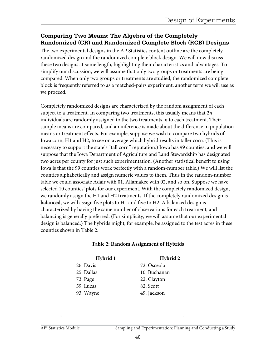#### **Comparing Two Means: The Algebra of the Completely Randomized (CR) and Randomized Complete Block (RCB) Designs**

The two experimental designs in the AP Statistics content outline are the completely randomized design and the randomized complete block design. We will now discuss these two designs at some length, highlighting their characteristics and advantages. To simplify our discussion, we will assume that only two groups or treatments are being compared. When only two groups or treatments are studied, the randomized complete block is frequently referred to as a matched-pairs experiment, another term we will use as we proceed.

Completely randomized designs are characterized by the random assignment of each subject to a treatment. In comparing two treatments, this usually means that 2*n* individuals are randomly assigned to the two treatments, *n* to each treatment. Their sample means are compared, and an inference is made about the difference in population means or treatment effects. For example, suppose we wish to compare two hybrids of Iowa corn, H1 and H2, to see on average which hybrid results in taller corn. (This is necessary to support the state's "tall corn" reputation.) Iowa has 99 counties, and we will suppose that the Iowa Department of Agriculture and Land Stewardship has designated two acres per county for just such experimentation. (Another statistical benefit to using Iowa is that the 99 counties work perfectly with a random-number table.) We will list the counties alphabetically and assign numeric values to them. Thus in the random-number table we could associate Adair with 01, Allamakee with 02, and so on. Suppose we have selected 10 counties' plots for our experiment. With the completely randomized design, we randomly assign the H1 and H2 treatments. If the completely randomized design is **balanced**, we will assign five plots to H1 and five to H2. A balanced design is characterized by having the same number of observations for each treatment, and balancing is generally preferred. (For simplicity, we will assume that our experimental design is balanced.) The hybrids might, for example, be assigned to the test acres in these counties shown in Table 2.

| Hybrid 1   | Hybrid 2     |
|------------|--------------|
| 26. Davis  | 72. Osceola  |
| 25. Dallas | 10. Buchanan |
| 73. Page   | 22. Clayton  |
| 59. Lucas  | 82. Scott    |
| 93. Wayne  | 49. Jackson  |

#### **Table 2: Random Assignment of Hybrids**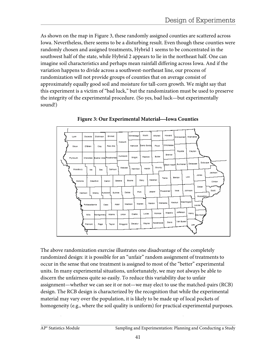As shown on the map in Figure 3, these randomly assigned counties are scattered across Iowa. Nevertheless, there seems to be a disturbing result. Even though these counties were randomly chosen and assigned treatments, Hybrid 1 seems to be concentrated in the southwest half of the state, while Hybrid 2 appears to lie in the northeast half. One can imagine soil characteristics and perhaps mean rainfall differing across Iowa. And if the variation happens to divide across a southwest-northeast line, our process of randomization will not provide groups of counties that on average consist of approximately equally good soil and moisture for tall-corn growth. We might say that this experiment is a victim of "bad luck," but the randomization must be used to preserve the integrity of the experimental procedure. (So yes, bad luck—but experimentally sound!)



**Figure 3: Our Experimental Material—Iowa Counties** 

The above randomization exercise illustrates one disadvantage of the completely randomized design: it is possible for an "unfair" random assignment of treatments to occur in the sense that one treatment is assigned to most of the "better" experimental units. In many experimental situations, unfortunately, we may not always be able to discern the unfairness quite so easily. To reduce this variability due to unfair assignment—whether we can see it or not—we may elect to use the matched-pairs (RCB) design. The RCB design is characterized by the recognition that while the experimental material may vary over the population, it is likely to be made up of local pockets of homogeneity (e.g., where the soil quality is uniform) for practical experimental purposes.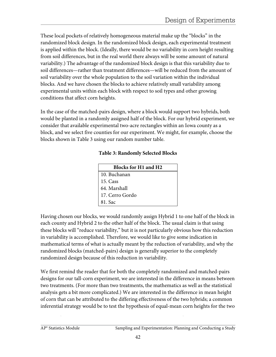These local pockets of relatively homogeneous material make up the "blocks" in the randomized block design. In the randomized block design, each experimental treatment is applied within the block. (Ideally, there would be no variability in corn height resulting from soil differences, but in the real world there always will be some amount of natural variability.) The advantage of the randomized block design is that this variability due to soil differences—rather than treatment differences—will be reduced from the amount of soil variability over the whole population to the soil variation within the individual blocks. And we have chosen the blocks to achieve relatively small variability among experimental units within each block with respect to soil types and other growing conditions that affect corn heights.

In the case of the matched-pairs design, where a block would support two hybrids, both would be planted in a randomly assigned half of the block. For our hybrid experiment, we consider that available experimental two-acre rectangles within an Iowa county as a block, and we select five counties for our experiment. We might, for example, choose the blocks shown in Table 3 using our random number table.

#### **Table 3: Randomly Selected Blocks**

| Blocks for H1 and H2 |  |  |
|----------------------|--|--|
| 10. Buchanan         |  |  |
| 15. Cass             |  |  |
| 64. Marshall         |  |  |
| 17. Cerro Gordo      |  |  |
| 81. Sac              |  |  |

Having chosen our blocks, we would randomly assign Hybrid 1 to one half of the block in each county and Hybrid 2 to the other half of the block. The usual claim is that using these blocks will "reduce variability," but it is not particularly obvious how this reduction in variability is accomplished. Therefore, we would like to give some indication in mathematical terms of what is actually meant by the reduction of variability, and why the randomized blocks (matched-pairs) design is generally superior to the completely randomized design because of this reduction in variability.

We first remind the reader that for both the completely randomized and matched-pairs designs for our tall-corn experiment, we are interested in the difference in means between two treatments. (For more than two treatments, the mathematics as well as the statistical analysis gets a bit more complicated.) We are interested in the difference in mean height of corn that can be attributed to the differing effectiveness of the two hybrids; a common inferential strategy would be to test the hypothesis of equal-mean corn heights for the two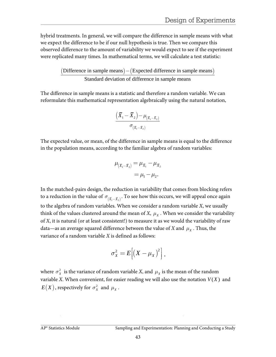hybrid treatments. In general, we will compare the difference in sample means with what we expect the difference to be if our null hypothesis is true. Then we compare this observed difference to the amount of variability we would expect to see if the experiment were replicated many times. In mathematical terms, we will calculate a test statistic:

> (Difference in sample means)  $-($  Expected difference in sample means) Standard deviation of difference in sample means

The difference in sample means is a statistic and therefore a random variable. We can reformulate this mathematical representation algebraically using the natural notation,

$$
\frac{\left(\bar{X}_1 - \bar{X}_2\right) - \mu_{\left(\bar{X}_1 - \bar{X}_2\right)}}{\sigma_{\left(\bar{X}_1 - \bar{X}_2\right)}}
$$

The expected value, or mean, of the difference in sample means is equal to the difference in the population means, according to the familiar algebra of random variables:

$$
\mu_{(\bar{x}_1 - \bar{x}_2)} = \mu_{\bar{x}_1} - \mu_{\bar{x}_2}
$$
  
= 
$$
\mu_1 - \mu_2.
$$

In the matched-pairs design, the reduction in variability that comes from blocking refers to a reduction in the value of  $\sigma_{(\bar{X}_1-\bar{X}_2)}$ . To see how this occurs, we will appeal once again to the algebra of random variables. When we consider a random variable *X*, we usually think of the values clustered around the mean of  $X$ ,  $\mu_X$ . When we consider the variability of *X*, it is natural (or at least consistent!) to measure it as we would the variability of raw data—as an average squared difference between the value of *X* and  $\mu_{\text{x}}$  . Thus, the variance of a random variable *X* is defined as follows:

$$
\sigma_X^2 = E[(X - \mu_X)^2],
$$

where  $\sigma_x^2$  is the variance of random variable *X*, and  $\mu_x$  is the mean of the random variable *X*. When convenient, for easier reading we will also use the notation  $V(X)$  and  $E(X)$ , respectively for  $\sigma_X^2$  and  $\mu_X$ .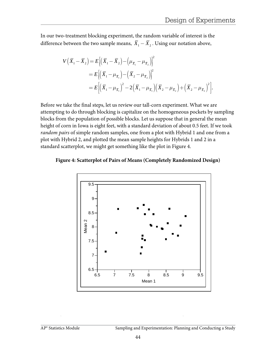In our two-treatment blocking experiment, the random variable of interest is the difference between the two sample means,  $\overline{X}_1 - \overline{X}_2$ . Using our notation above,

$$
V(\bar{X}_1 - \bar{X}_2) = E[(\bar{X}_1 - \bar{X}_2) - (\mu_{\bar{X}_1} - \mu_{\bar{X}_2})]^2
$$
  
= 
$$
E[(\bar{X}_1 - \mu_{\bar{X}_1}) - (\bar{X}_2 - \mu_{\bar{X}_2})]^2
$$
  
= 
$$
E[(\bar{X}_1 - \mu_{\bar{X}_1})^2 - 2(\bar{X}_1 - \mu_{\bar{X}_1})(\bar{X}_2 - \mu_{\bar{X}_2}) + (\bar{X}_2 - \mu_{\bar{X}_2})^2].
$$

Before we take the final steps, let us review our tall-corn experiment. What we are attempting to do through blocking is capitalize on the homogeneous pockets by sampling blocks from the population of possible blocks. Let us suppose that in general the mean height of corn in Iowa is eight feet, with a standard deviation of about 0.5 feet. If we took *random pairs* of simple random samples, one from a plot with Hybrid 1 and one from a plot with Hybrid 2, and plotted the mean sample heights for Hybrids 1 and 2 in a standard scatterplot, we might get something like the plot in Figure 4.

#### **Figure 4: Scatterplot of Pairs of Means (Completely Randomized Design)**



#### AP® Statistics Module Sampling and Experimentation: Planning and Conducting a Study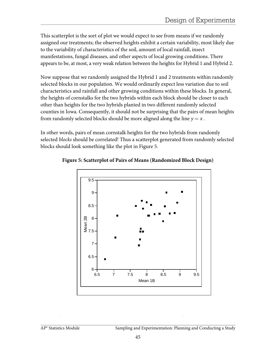This scatterplot is the sort of plot we would expect to see from means if we randomly assigned our treatments; the observed heights exhibit a certain variability, most likely due to the variability of characteristics of the soil, amount of local rainfall, insect manifestations, fungal diseases, and other aspects of local growing conditions. There appears to be, at most, a very weak relation between the heights for Hybrid 1 and Hybrid 2.

Now suppose that we randomly assigned the Hybrid 1 and 2 treatments within randomly selected blocks in our population. We would ordinarily expect less variation due to soil characteristics and rainfall and other growing conditions within these blocks. In general, the heights of cornstalks for the two hybrids within each block should be closer to each other than heights for the two hybrids planted in two different randomly selected counties in Iowa. Consequently, it should not be surprising that the pairs of mean heights from randomly selected blocks should be more aligned along the line  $y = x$ .

In other words, pairs of mean cornstalk heights for the two hybrids from randomly selected *blocks* should be correlated! Thus a scatterplot generated from randomly selected blocks should look something like the plot in Figure 5.



#### **Figure 5: Scatterplot of Pairs of Means (Randomized Block Design)**

AP® Statistics Module Sampling and Experimentation: Planning and Conducting a Study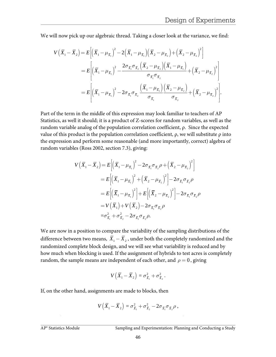We will now pick up our algebraic thread. Taking a closer look at the variance, we find:

$$
V(\bar{X}_1 - \bar{X}_2) = E\left[\left(\bar{X}_1 - \mu_{\bar{X}_1}\right)^2 - 2\left(\bar{X}_1 - \mu_{\bar{X}_1}\right)\left(\bar{X}_2 - \mu_{\bar{X}_2}\right) + \left(\bar{X}_2 - \mu_{\bar{X}_2}\right)^2\right]
$$
  
\n
$$
= E\left[\left(\bar{X}_1 - \mu_{\bar{X}_1}\right)^2 - \frac{2\sigma_{\bar{X}_1}\sigma_{\bar{X}_2}\left(\bar{X}_2 - \mu_{\bar{X}_2}\right)\left(\bar{X}_1 - \mu_{\bar{X}_1}\right)}{\sigma_{\bar{X}_1}\sigma_{\bar{X}_2}} + \left(\bar{X}_2 - \mu_{\bar{X}_2}\right)^2\right]
$$
  
\n
$$
= E\left[\left(\bar{X}_1 - \mu_{\bar{X}_1}\right)^2 - 2\sigma_{\bar{X}_1}\sigma_{\bar{X}_2}\frac{\left(\bar{X}_1 - \mu_{\bar{X}_1}\right)\left(\bar{X}_2 - \mu_{\bar{X}_2}\right)}{\sigma_{\bar{X}_1} + \left(\bar{X}_2 - \mu_{\bar{X}_2}\right)^2\right].
$$

Part of the term in the middle of this expression may look familiar to teachers of AP Statistics, as well it should; it is a product of Z-scores for random variables, as well as the random variable analog of the population correlation coefficient, ρ. Since the expected value of this product is the population correlation coefficient,  $ρ$ , we will substitute  $ρ$  into the expression and perform some reasonable (and more importantly, correct) algebra of random variables (Ross 2002, section 7.3), giving:

$$
V(\bar{X}_1 - \bar{X}_2) = E\left[\left(\bar{X}_1 - \mu_{\bar{X}_1}\right)^2 - 2\sigma_{\bar{X}_1}\sigma_{\bar{X}_2}\rho + \left(\bar{X}_2 - \mu_{\bar{X}_2}\right)^2\right]
$$
  
\n
$$
= E\left[\left(\bar{X}_1 - \mu_{\bar{X}_1}\right)^2 + \left(\bar{X}_2 - \mu_{\bar{X}_2}\right)^2\right] - 2\sigma_{\bar{X}_1}\sigma_{\bar{X}_2}\rho
$$
  
\n
$$
= E\left[\left(\bar{X}_1 - \mu_{\bar{X}_1}\right)^2\right] + E\left[\left(\bar{X}_2 - \mu_{\bar{X}_2}\right)^2\right] - 2\sigma_{\bar{X}_1}\sigma_{\bar{X}_2}\rho
$$
  
\n
$$
= V(\bar{X}_1) + V(\bar{X}_2) - 2\sigma_{\bar{X}_1}\sigma_{\bar{X}_2}\rho
$$
  
\n
$$
= \sigma_{\bar{X}_1}^2 + \sigma_{\bar{X}_2}^2 - 2\sigma_{\bar{X}_1}\sigma_{\bar{X}_2}\rho.
$$

We are now in a position to compare the variability of the sampling distributions of the difference between two means,  $\overline{X}_1 - \overline{X}_2$ , under both the completely randomized and the randomized complete block design, and we will see what variability is reduced and by how much when blocking is used. If the assignment of hybrids to test acres is completely random, the sample means are independent of each other, and  $\rho = 0$ , giving

$$
V\left(\overline{X}_1 - \overline{X}_2\right) = \sigma_{\overline{X}_1}^2 + \sigma_{\overline{X}_2}^2.
$$

If, on the other hand, assignments are made to blocks, then

$$
V\left(\overline{X}_{1}-\overline{X}_{2}\right)=\sigma_{\overline{X}_{1}}^{2}+\sigma_{\overline{X}_{2}}^{2}-2\sigma_{\overline{X}_{1}}\sigma_{\overline{X}_{2}}\rho\,,
$$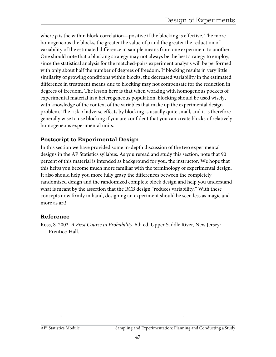where  $\rho$  is the within block correlation—positive if the blocking is effective. The more homogeneous the blocks, the greater the value of  $\rho$  and the greater the reduction of variability of the estimated difference in sample means from one experiment to another. One should note that a blocking strategy may not always be the best strategy to employ, since the statistical analysis for the matched-pairs experiment analysis will be performed with only about half the number of degrees of freedom. If blocking results in very little similarity of growing conditions within blocks, the decreased variability in the estimated difference in treatment means due to blocking may not compensate for the reduction in degrees of freedom. The lesson here is that when working with homogenous pockets of experimental material in a heterogeneous population, blocking should be used wisely, with knowledge of the context of the variables that make up the experimental design problem. The risk of adverse effects by blocking is usually quite small, and it is therefore generally wise to use blocking if you are confident that you can create blocks of relatively homogeneous experimental units.

#### **Postscript to Experimental Design**

In this section we have provided some in-depth discussion of the two experimental designs in the AP Statistics syllabus. As you reread and study this section, note that 90 percent of this material is intended as background for you, the instructor. We hope that this helps you become much more familiar with the terminology of experimental design. It also should help you more fully grasp the differences between the completely randomized design and the randomized complete block design and help you understand what is meant by the assertion that the RCB design "reduces variability." With these concepts now firmly in hand, designing an experiment should be seen less as magic and more as art!

#### **Reference**

Ross, S. 2002. *A First Course in Probability*. 6th ed. Upper Saddle River, New Jersey: Prentice-Hall.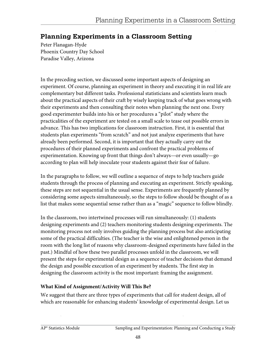# **Planning Experiments in a Classroom Setting**

Peter Flanagan-Hyde Phoenix Country Day School Paradise Valley, Arizona

In the preceding section, we discussed some important aspects of designing an experiment. Of course, planning an experiment in theory and executing it in real life are complementary but different tasks. Professional statisticians and scientists learn much about the practical aspects of their craft by wisely keeping track of what goes wrong with their experiments and then consulting their notes when planning the next one. Every good experimenter builds into his or her procedures a "pilot" study where the practicalities of the experiment are tested on a small scale to tease out possible errors in advance. This has two implications for classroom instruction. First, it is essential that students plan experiments "from scratch" and not just analyze experiments that have already been performed. Second, it is important that they actually carry out the procedures of their planned experiments and confront the practical problems of experimentation. Knowing up front that things don't always—or even usually—go according to plan will help inoculate your students against their fear of failure.

In the paragraphs to follow, we will outline a sequence of steps to help teachers guide students through the process of planning and executing an experiment. Strictly speaking, these steps are not sequential in the usual sense. Experiments are frequently planned by considering some aspects simultaneously, so the steps to follow should be thought of as a list that makes some sequential sense rather than as a "magic" sequence to follow blindly.

In the classroom, two intertwined processes will run simultaneously: (1) students designing experiments and (2) teachers monitoring students designing experiments. The monitoring process not only involves guiding the planning process but also anticipating some of the practical difficulties. (The teacher is the wise and enlightened person in the room with the long list of reasons why classroom-designed experiments have failed in the past.) Mindful of how these two parallel processes unfold in the classroom, we will present the steps for experimental design as a sequence of teacher decisions that demand the design and possible execution of an experiment by students. The first step in designing the classroom activity is the most important: framing the assignment.

#### **What Kind of Assignment/Activity Will This Be?**

We suggest that there are three types of experiments that call for student design, all of which are reasonable for enhancing students' knowledge of experimental design. Let us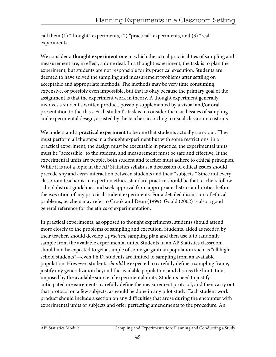call them (1) "thought" experiments, (2) "practical" experiments, and (3) "real" experiments.

We consider a **thought experiment** one in which the actual practicalities of sampling and measurement are, in effect, a done deal. In a thought experiment, the task is to plan the experiment, but students are not responsible for its practical execution. Students are deemed to have solved the sampling and measurement problems after settling on acceptable and appropriate methods. The methods may be very time consuming, expensive, or possibly even impossible, but that is okay because the primary goal of the assignment is that the experiment work in theory. A thought experiment generally involves a student's written product, possibly supplemented by a visual and/or oral presentation to the class. Each student's task is to consider the usual issues of sampling and experimental design, assisted by the teacher according to usual classroom customs.

We understand a **practical experiment** to be one that students actually carry out. They must perform all the steps in a thought experiment but with some restrictions: in a practical experiment, the design must be executable in practice, the experimental units must be "accessible" to the student, and measurement must be safe and effective. If the experimental units are people, both student and teacher must adhere to ethical principles. While it is not a topic in the AP Statistics syllabus, a discussion of ethical issues should precede *any* and *every* interaction between students and their "subjects." Since not every classroom teacher is an expert on ethics, standard practice should be that teachers follow school district guidelines and seek approval from appropriate district authorities before the execution of any practical student experiments. For a detailed discussion of ethical problems, teachers may refer to Crook and Dean (1999). Gould (2002) is also a good general reference for the ethics of experimentation.

In practical experiments, as opposed to thought experiments, students should attend more closely to the problems of sampling and execution. Students, aided as needed by their teacher, should develop a *practical* sampling plan and then use it to randomly sample from the available experimental units. Students in an AP Statistics classroom should not be expected to get a sample of some gargantuan population such as "all high school students"—even Ph.D. students are limited to sampling from an available population. However, students *should* be expected to carefully define a sampling frame, justify any generalization beyond the available population, and discuss the limitations imposed by the available source of experimental units. Students need to justify anticipated measurements, carefully define the measurement protocol, and then carry out that protocol on a few subjects, as would be done in any pilot study. Each student work product should include a section on any difficulties that arose during the encounter with experimental units or subjects and offer perfecting amendments to the procedure. An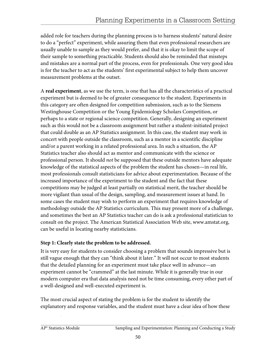added role for teachers during the planning process is to harness students' natural desire to do a "perfect" experiment, while assuring them that even professional researchers are usually unable to sample as they would prefer, and that it is okay to limit the scope of their sample to something practicable. Students should also be reminded that missteps and mistakes are a normal part of the process, even for professionals. One very good idea is for the teacher to act as the students' first experimental subject to help them uncover measurement problems at the outset.

A **real experiment**, as we use the term, is one that has all the characteristics of a practical experiment but is deemed to be of greater consequence to the student. Experiments in this category are often designed for competition submission, such as to the Siemens Westinghouse Competition or the Young Epidemiology Scholars Competition, or perhaps to a state or regional science competition. Generally, designing an experiment such as this would not be a classroom assignment but rather a student-initiated project that could double as an AP Statistics assignment. In this case, the student may work in concert with people outside the classroom, such as a mentor in a scientific discipline and/or a parent working in a related professional area. In such a situation, the AP Statistics teacher also should act as mentor and communicate with the science or professional person. It should *not* be supposed that these outside mentors have adequate knowledge of the statistical aspects of the problem the student has chosen—in real life, most professionals consult statisticians for advice about experimentation. Because of the increased importance of the experiment to the student and the fact that these competitions may be judged at least partially on statistical merit, the teacher should be more vigilant than usual of the design, sampling, and measurement issues at hand. In some cases the student may wish to perform an experiment that requires knowledge of methodology outside the AP Statistics curriculum. This may present more of a challenge, and sometimes the best an AP Statistics teacher can do is ask a professional statistician to consult on the project. The American Statistical Association Web site, www.amstat.org, can be useful in locating nearby statisticians.

#### **Step 1: Clearly state the problem to be addressed.**

It is very easy for students to consider choosing a problem that sounds impressive but is still vague enough that they can "think about it later." It will not occur to most students that the detailed planning for an experiment must take place well in advance—an experiment cannot be "crammed" at the last minute. While it is generally true in our modern computer era that data analysis need not be time consuming, every other part of a well-designed and well-executed experiment is.

The most crucial aspect of stating the problem is for the student to identify the explanatory and response variables, and the student must have a clear idea of how these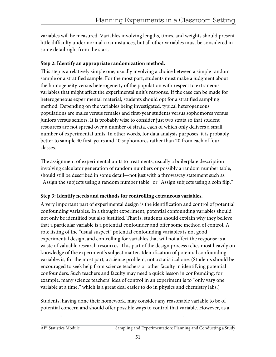variables will be measured. Variables involving lengths, times, and weights should present little difficulty under normal circumstances, but all other variables must be considered in some detail right from the start.

#### **Step 2: Identify an appropriate randomization method.**

This step is a relatively simple one, usually involving a choice between a simple random sample or a stratified sample. For the most part, students must make a judgment about the homogeneity versus heterogeneity of the population with respect to extraneous variables that might affect the experimental unit's response. If the case can be made for heterogeneous experimental material, students should opt for a stratified sampling method. Depending on the variables being investigated, typical heterogeneous populations are males versus females and first-year students versus sophomores versus juniors versus seniors. It is probably wise to consider just two strata so that student resources are not spread over a number of strata, each of which only delivers a small number of experimental units. In other words, for data analysis purposes, it is probably better to sample 40 first-years and 40 sophomores rather than 20 from each of four classes.

The assignment of experimental units to treatments, usually a boilerplate description involving calculator generation of random numbers or possibly a random number table, should still be described in some detail—not just with a throwaway statement such as "Assign the subjects using a random number table" or "Assign subjects using a coin flip."

### **Step 3: Identify needs and methods for controlling extraneous variables.**

A very important part of experimental design is the identification and control of potential confounding variables. In a thought experiment, potential confounding variables should not only be identified but also justified. That is, students should explain why they believe that a particular variable is a potential confounder and offer some method of control. A rote listing of the "usual suspect" potential confounding variables is not good experimental design, and controlling for variables that will not affect the response is a waste of valuable research resources. This part of the design process relies most heavily on knowledge of the experiment's subject matter. Identification of potential confounding variables is, for the most part, a science problem, not a statistical one. (Students should be encouraged to seek help from science teachers or other faculty in identifying potential confounders. Such teachers and faculty may need a quick lesson in confounding; for example, many science teachers' idea of control in an experiment is to "only vary one variable at a time," which is a great deal easier to do in physics and chemistry labs.)

Students, having done their homework, may consider any reasonable variable to be of potential concern and should offer possible ways to control that variable. However, as a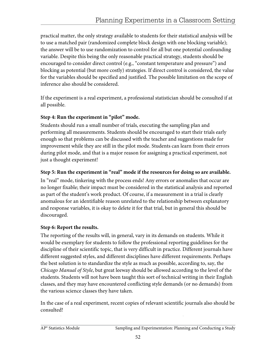practical matter, the only strategy available to students for their statistical analysis will be to use a matched pair (randomized complete block design with one blocking variable); the answer will be to use randomization to control for all but one potential confounding variable. Despite this being the only reasonable practical strategy, students should be encouraged to consider direct control (e.g., "constant temperature and pressure") and blocking as potential (but more costly) strategies. If direct control is considered, the value for the variables should be specified and justified. The possible limitation on the scope of inference also should be considered.

If the experiment is a real experiment, a professional statistician should be consulted if at all possible.

#### **Step 4: Run the experiment in "pilot" mode.**

Students should run a small number of trials, executing the sampling plan and performing all measurements. Students should be encouraged to start their trials early enough so that problems can be discussed with the teacher and suggestions made for improvement while they are still in the pilot mode. Students can learn from their errors during pilot mode, and that is a major reason for assigning a practical experiment, not just a thought experiment!

#### **Step 5: Run the experiment in "real" mode if the resources for doing so are available.**

In "real" mode, tinkering with the process ends! Any errors or anomalies that occur are no longer fixable; their impact must be considered in the statistical analysis and reported as part of the student's work product. Of course, if a measurement in a trial is clearly anomalous for an identifiable reason unrelated to the relationship between explanatory and response variables, it is okay to delete it for that trial, but in general this should be discouraged.

### **Step 6: Report the results.**

The reporting of the results will, in general, vary in its demands on students. While it would be exemplary for students to follow the professional reporting guidelines for the discipline of their scientific topic, that is very difficult in practice. Different journals have different suggested styles, and different disciplines have different requirements. Perhaps the best solution is to standardize the style as much as possible, according to, say, the *Chicago Manual of Style*, but great leeway should be allowed according to the level of the students. Students will not have been taught this sort of technical writing in their English classes, and they may have encountered conflicting style demands (or no demands) from the various science classes they have taken.

In the case of a real experiment, recent copies of relevant scientific journals also should be consulted!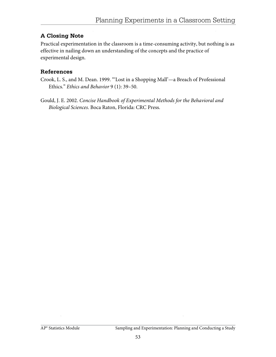### **A Closing Note**

Practical experimentation in the classroom is a time-consuming activity, but nothing is as effective in nailing down an understanding of the concepts and the practice of experimental design.

#### **References**

Crook, L. S., and M. Dean. 1999. "'Lost in a Shopping Mall'—a Breach of Professional Ethics." *Ethics and Behavior* 9 (1): 39–50.

Gould, J. E. 2002. *Concise Handbook of Experimental Methods for the Behavioral and Biological Sciences*. Boca Raton, Florida: CRC Press.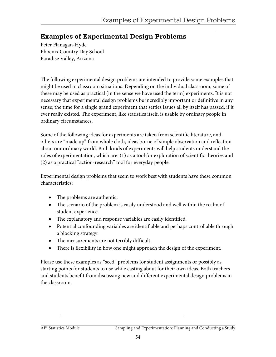# **Examples of Experimental Design Problems**

Peter Flanagan-Hyde Phoenix Country Day School Paradise Valley, Arizona

The following experimental design problems are intended to provide some examples that might be used in classroom situations. Depending on the individual classroom, some of these may be used as practical (in the sense we have used the term) experiments. It is not necessary that experimental design problems be incredibly important or definitive in any sense; the time for a single grand experiment that settles issues all by itself has passed, if it ever really existed. The experiment, like statistics itself, is usable by ordinary people in ordinary circumstances.

Some of the following ideas for experiments are taken from scientific literature, and others are "made up" from whole cloth, ideas borne of simple observation and reflection about our ordinary world. Both kinds of experiments will help students understand the roles of experimentation, which are: (1) as a tool for exploration of scientific theories and (2) as a practical "action-research" tool for everyday people.

Experimental design problems that seem to work best with students have these common characteristics:

- The problems are authentic.
- The scenario of the problem is easily understood and well within the realm of student experience.
- The explanatory and response variables are easily identified.
- Potential confounding variables are identifiable and perhaps controllable through a blocking strategy.
- The measurements are not terribly difficult.
- There is flexibility in how one might approach the design of the experiment.

Please use these examples as "seed" problems for student assignments or possibly as starting points for students to use while casting about for their own ideas. Both teachers and students benefit from discussing new and different experimental design problems in the classroom.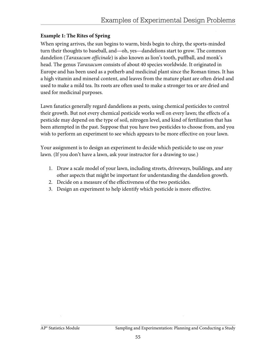#### **Example 1: The Rites of Spring**

When spring arrives, the sun begins to warm, birds begin to chirp, the sports-minded turn their thoughts to baseball, and—oh, yes—dandelions start to grow. The common dandelion (*Taraxacum officinale*) is also known as lion's tooth, puffball, and monk's head. The genus *Taraxacum* consists of about 40 species worldwide. It originated in Europe and has been used as a potherb and medicinal plant since the Roman times. It has a high vitamin and mineral content, and leaves from the mature plant are often dried and used to make a mild tea. Its roots are often used to make a stronger tea or are dried and used for medicinal purposes.

Lawn fanatics generally regard dandelions as pests, using chemical pesticides to control their growth. But not every chemical pesticide works well on every lawn; the effects of a pesticide may depend on the type of soil, nitrogen level, and kind of fertilization that has been attempted in the past. Suppose that you have two pesticides to choose from, and you wish to perform an experiment to see which appears to be more effective on your lawn.

Your assignment is to design an experiment to decide which pesticide to use on *your* lawn. (If you don't have a lawn, ask your instructor for a drawing to use.)

- 1. Draw a scale model of your lawn, including streets, driveways, buildings, and any other aspects that might be important for understanding the dandelion growth.
- 2. Decide on a measure of the effectiveness of the two pesticides.
- 3. Design an experiment to help identify which pesticide is more effective.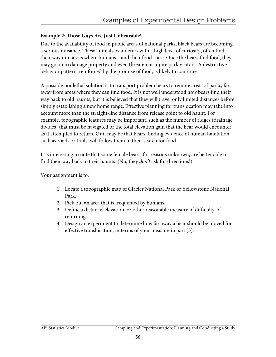#### **Example 2: Those Guys Are Just Unbearable!**

Due to the availability of food in public areas of national parks, black bears are becoming a serious nuisance. These animals, wanderers with a high level of curiosity, often find their way into areas where humans—and their food—are. Once the bears find food, they may go on to damage property and even threaten or injure park visitors. A destructive behavior pattern, reinforced by the promise of food, is likely to continue.

A possible nonlethal solution is to transport problem bears to remote areas of parks, far away from areas where they can find food. It is not well understood how bears find their way back to old haunts, but it is believed that they will travel only limited distances before simply establishing a new home range. Effective planning for translocation may take into account more than the straight-line distance from release point to old haunt. For example, topographic features may be important, such as the number of ridges (drainage divides) that must be navigated or the total elevation gain that the bear would encounter as it attempted to return. Or it may be that bears, finding evidence of human habitation such as roads or trails, will follow them in their search for food.

It is interesting to note that some female bears, for reasons unknown, are better able to find their way back to their haunts. (No, they *don't* ask for directions!)

Your assignment is to:

- 1. Locate a topographic map of Glacier National Park or Yellowstone National Park.
- 2. Pick out an area that is frequented by humans.
- 3. Define a distance, elevation, or other reasonable measure of difficulty-ofreturning.
- 4. Design an experiment to determine how far away a bear should be moved for effective translocation, in terms of your measure in part (3).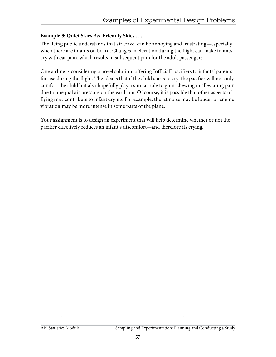#### **Example 3: Quiet Skies** *Are* **Friendly Skies . . .**

The flying public understands that air travel can be annoying and frustrating—especially when there are infants on board. Changes in elevation during the flight can make infants cry with ear pain, which results in subsequent pain for the adult passengers.

One airline is considering a novel solution: offering "official" pacifiers to infants' parents for use during the flight. The idea is that if the child starts to cry, the pacifier will not only comfort the child but also hopefully play a similar role to gum-chewing in alleviating pain due to unequal air pressure on the eardrum. Of course, it is possible that other aspects of flying may contribute to infant crying. For example, the jet noise may be louder or engine vibration may be more intense in some parts of the plane.

Your assignment is to design an experiment that will help determine whether or not the pacifier effectively reduces an infant's discomfort—and therefore its crying.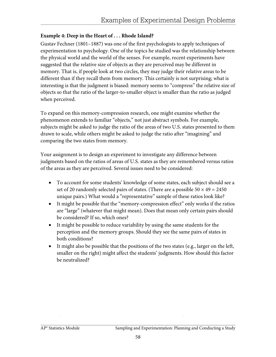#### **Example 4: Deep in the Heart of . . . Rhode Island?**

Gustav Fechner (1801–1887) was one of the first psychologists to apply techniques of experimentation to psychology. One of the topics he studied was the relationship between the physical world and the world of the senses. For example, recent experiments have suggested that the relative size of objects as they are perceived may be different in memory. That is, if people look at two circles, they may judge their relative areas to be different than if they recall them from memory. This certainly is not surprising; what is interesting is that the judgment is biased: memory seems to "compress" the relative size of objects so that the ratio of the larger-to-smaller object is smaller than the ratio as judged when perceived.

To expand on this memory-compression research, one might examine whether the phenomenon extends to familiar "objects," not just abstract symbols. For example, subjects might be asked to judge the ratio of the areas of two U.S. states presented to them drawn to scale, while others might be asked to judge the ratio after "imagining" and comparing the two states from memory.

Your assignment is to design an experiment to investigate any difference between judgments based on the ratios of areas of U.S. states as they are remembered versus ratios of the areas as they are perceived. Several issues need to be considered:

- To account for some students' knowledge of some states, each subject should see a set of 20 randomly selected pairs of states. (There are a possible  $50 \times 49 = 2450$ unique pairs.) What would a "representative" sample of these ratios look like?
- It might be possible that the "memory-compression effect" only works if the ratios are "large" (whatever that might mean). Does that mean only certain pairs should be considered? If so, which ones?
- It might be possible to reduce variability by using the same students for the perception and the memory groups. Should they see the same pairs of states in both conditions?
- It might also be possible that the positions of the two states (e.g., larger on the left, smaller on the right) might affect the students' judgments. How should this factor be neutralized?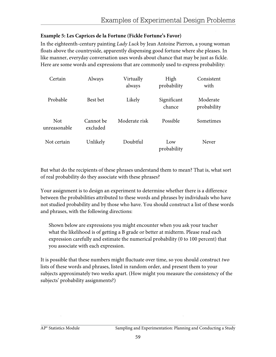#### **Example 5: Les Caprices de la Fortune (Fickle Fortune's Favor)**

In the eighteenth-century painting *Lady Luck* by Jean Antoine Pierron, a young woman floats above the countryside, apparently dispensing good fortune where she pleases. In like manner, everyday conversation uses words about chance that may be just as fickle. Here are some words and expressions that are commonly used to express probability:

| Certain                    | Always                | Virtually<br>always | High<br>probability   | Consistent<br>with      |
|----------------------------|-----------------------|---------------------|-----------------------|-------------------------|
| Probable                   | Best bet              | Likely              | Significant<br>chance | Moderate<br>probability |
| <b>Not</b><br>unreasonable | Cannot be<br>excluded | Moderate risk       | Possible              | Sometimes               |
| Not certain                | Unlikely              | Doubtful            | Low<br>probability    | Never                   |

But what do the recipients of these phrases understand them to mean? That is, what sort of real probability do they associate with these phrases?

Your assignment is to design an experiment to determine whether there is a difference between the probabilities attributed to these words and phrases by individuals who have not studied probability and by those who have. You should construct a list of these words and phrases, with the following directions:

Shown below are expressions you might encounter when you ask your teacher what the likelihood is of getting a B grade or better at midterm. Please read each expression carefully and estimate the numerical probability (0 to 100 percent) that you associate with each expression.

It is possible that these numbers might fluctuate over time, so you should construct *two* lists of these words and phrases, listed in random order, and present them to your subjects approximately two weeks apart. (How might you measure the consistency of the subjects' probability assignments?)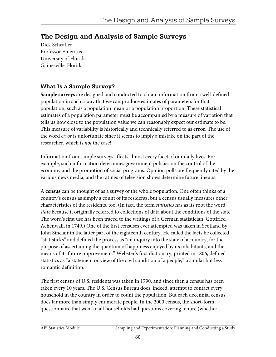# **The Design and Analysis of Sample Surveys**

Dick Scheaffer Professor Emeritus University of Florida Gainesville, Florida

# **What Is a Sample Survey?**

**Sample surveys** are designed and conducted to obtain information from a well-defined population in such a way that we can produce estimates of parameters for that population, such as a population mean or a population proportion. These statistical estimates of a population parameter must be accompanied by a measure of variation that tells us how close to the population value we can reasonably expect our estimate to be. This measure of variability is historically and technically referred to as **error**. The use of the word *error* is unfortunate since it seems to imply a mistake on the part of the researcher, which is *not* the case!

Information from sample surveys affects almost every facet of our daily lives. For example, such information determines government policies on the control of the economy and the promotion of social programs. Opinion polls are frequently cited by the various news media, and the ratings of television shows determine future lineups.

A **census** can be thought of as a survey of the whole population. One often thinks of a country's census as simply a count of its residents, but a census usually measures other characteristics of the residents, too. (In fact, the term *statistics* has as its root the word *state* because it originally referred to collections of data about the conditions of the state. The word's first use has been traced to the writings of a German statistician, Gottfried Achenwall, in 1749.) One of the first censuses ever attempted was taken in Scotland by John Sinclair in the latter part of the eighteenth century. He called the facts he collected "statisticks" and defined the process as "an inquiry into the state of a country, for the purpose of ascertaining the quantum of happiness enjoyed by its inhabitants, and the means of its future improvement." Webster's first dictionary, printed in 1806, defined statistics as "a statement or view of the civil condition of a people," a similar but lessromantic definition.

The first census of U.S. residents was taken in 1790, and since then a census has been taken every 10 years. The U.S. Census Bureau does, indeed, attempt to contact every household in the country in order to count the population. But each decennial census does far more than simply enumerate people. In the 2000 census, the short-form questionnaire that went to all households had questions covering tenure (whether a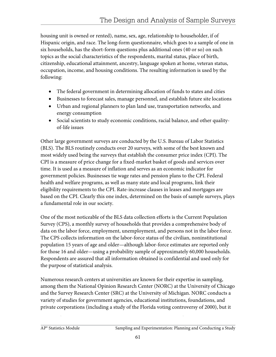housing unit is owned or rented), name, sex, age, relationship to householder, if of Hispanic origin, and race. The long-form questionnaire, which goes to a sample of one in six households, has the short-form questions plus additional ones (40 or so) on such topics as the social characteristics of the respondents, marital status, place of birth, citizenship, educational attainment, ancestry, language spoken at home, veteran status, occupation, income, and housing conditions. The resulting information is used by the following:

- The federal government in determining allocation of funds to states and cities
- Businesses to forecast sales, manage personnel, and establish future site locations
- Urban and regional planners to plan land use, transportation networks, and energy consumption
- Social scientists to study economic conditions, racial balance, and other qualityof-life issues

Other large government surveys are conducted by the U.S. Bureau of Labor Statistics (BLS). The BLS routinely conducts over 20 surveys, with some of the best known and most widely used being the surveys that establish the consumer price index (CPI). The CPI is a measure of price change for a fixed-market basket of goods and services over time. It is used as a measure of inflation and serves as an economic indicator for government policies. Businesses tie wage rates and pension plans to the CPI. Federal health and welfare programs, as well as many state and local programs, link their eligibility requirements to the CPI. Rate-increase clauses in leases and mortgages are based on the CPI. Clearly this one index, determined on the basis of sample surveys, plays a fundamental role in our society.

One of the most noticeable of the BLS data collection efforts is the Current Population Survey (CPS), a monthly survey of households that provides a comprehensive body of data on the labor force, employment, unemployment, and persons not in the labor force. The CPS collects information on the labor-force status of the civilian, noninstitutional population 15 years of age and older—although labor-force estimates are reported only for those 16 and older—using a probability sample of approximately 60,000 households. Respondents are assured that all information obtained is confidential and used only for the purpose of statistical analysis.

Numerous research centers at universities are known for their expertise in sampling, among them the National Opinion Research Center (NORC) at the University of Chicago and the Survey Research Center (SRC) at the University of Michigan. NORC conducts a variety of studies for government agencies, educational institutions, foundations, and private corporations (including a study of the Florida voting controversy of 2000), but it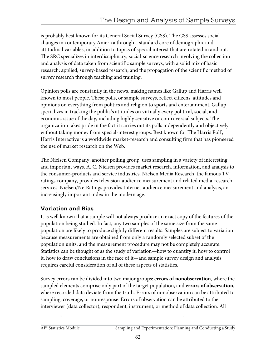is probably best known for its General Social Survey (GSS). The GSS assesses social changes in contemporary America through a standard core of demographic and attitudinal variables, in addition to topics of special interest that are rotated in and out. The SRC specializes in interdisciplinary, social-science research involving the collection and analysis of data taken from scientific sample surveys, with a solid mix of basic research; applied, survey-based research; and the propagation of the scientific method of survey research through teaching and training.

Opinion polls are constantly in the news, making names like Gallup and Harris well known to most people. These polls, or sample surveys, reflect citizens' attitudes and opinions on everything from politics and religion to sports and entertainment. Gallup specializes in tracking the public's attitudes on virtually every political, social, and economic issue of the day, including highly sensitive or controversial subjects. The organization takes pride in the fact it carries out its polls independently and objectively, without taking money from special-interest groups. Best known for The Harris Poll<sup>\*</sup>, Harris Interactive is a worldwide market-research and consulting firm that has pioneered the use of market research on the Web.

The Nielsen Company, another polling group, uses sampling in a variety of interesting and important ways. A. C. Nielsen provides market research, information, and analysis to the consumer-products and service industries. Nielsen Media Research, the famous TV ratings company, provides television-audience measurement and related media-research services. Nielsen/NetRatings provides Internet-audience measurement and analysis, an increasingly important index in the modern age.

### **Variation and Bias**

It is well known that a sample will not always produce an exact copy of the features of the population being studied. In fact, any two samples of the same size from the same population are likely to produce slightly different results. Samples are subject to variation because measurements are obtained from only a randomly selected subset of the population units, and the measurement procedure may not be completely accurate. Statistics can be thought of as the study of variation—how to quantify it, how to control it, how to draw conclusions in the face of it—and sample survey design and analysis requires careful consideration of all of these aspects of statistics.

Survey errors can be divided into two major groups: **errors of nonobservation**, where the sampled elements comprise only part of the target population, and **errors of observation**, where recorded data deviate from the truth. Errors of nonobservation can be attributed to sampling, coverage, or nonresponse. Errors of observation can be attributed to the interviewer (data collector), respondent, instrument, or method of data collection. All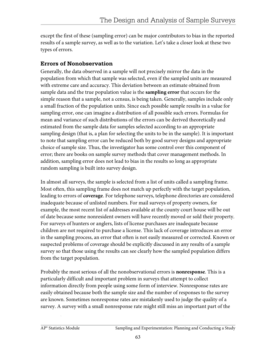except the first of these (sampling error) can be major contributors to bias in the reported results of a sample survey, as well as to the variation. Let's take a closer look at these two types of errors.

# **Errors of Nonobservation**

Generally, the data observed in a sample will not precisely mirror the data in the population from which that sample was selected, even if the sampled units are measured with extreme care and accuracy. This deviation between an estimate obtained from sample data and the true population value is the **sampling error** that occurs for the simple reason that a sample, not a census, is being taken. Generally, samples include only a small fraction of the population units. Since each possible sample results in a value for sampling error, one can imagine a distribution of all possible such errors. Formulas for mean and variance of such distributions of the errors can be derived theoretically and estimated from the sample data for samples selected according to an appropriate sampling design (that is, a plan for selecting the units to be in the sample). It is important to note that sampling error can be reduced both by good survey designs and appropriate choice of sample size. Thus, the investigator has some control over this component of error; there are books on sample survey methods that cover management methods. In addition, sampling error does not lead to bias in the results so long as appropriate random sampling is built into survey design.

In almost all surveys, the sample is selected from a list of units called a sampling frame. Most often, this sampling frame does not match up perfectly with the target population, leading to errors of **coverage**. For telephone surveys, telephone directories are considered inadequate because of unlisted numbers. For mail surveys of property owners, for example, the most recent list of addresses available at the county court house will be out of date because some nonresident owners will have recently moved or sold their property. For surveys of hunters or anglers, lists of license purchases are inadequate because children are not required to purchase a license. This lack of coverage introduces an error in the sampling process, an error that often is not easily measured or corrected. Known or suspected problems of coverage should be explicitly discussed in any results of a sample survey so that those using the results can see clearly how the sampled population differs from the target population.

Probably the most serious of all the nonobservational errors is **nonresponse**. This is a particularly difficult and important problem in surveys that attempt to collect information directly from people using some form of interview. Nonresponse rates are easily obtained because both the sample size and the number of responses to the survey are known. Sometimes nonresponse rates are mistakenly used to judge the quality of a survey. A survey with a small nonresponse rate might still miss an important part of the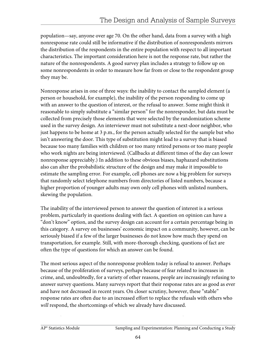population—say, anyone over age 70. On the other hand, data from a survey with a high nonresponse rate could still be informative if the distribution of nonrespondents mirrors the distribution of the respondents in the entire population with respect to all important characteristics. The important consideration here is not the response rate, but rather the nature of the nonrespondents. A good survey plan includes a strategy to follow up on some nonrespondents in order to measure how far from or close to the respondent group they may be.

Nonresponse arises in one of three ways: the inability to contact the sampled element (a person or household, for example), the inability of the person responding to come up with an answer to the question of interest, or the refusal to answer. Some might think it reasonable to simply substitute a "similar person" for the nonresponder, but data must be collected from precisely those elements that were selected by the randomization scheme used in the survey design. An interviewer must not substitute a next-door neighbor, who just happens to be home at 3 p.m., for the person actually selected for the sample but who isn't answering the door. This type of substitution might lead to a survey that is biased because too many families with children or too many retired persons or too many people who work nights are being interviewed. (Callbacks at different times of the day can lower nonresponse appreciably.) In addition to these obvious biases, haphazard substitutions also can alter the probabilistic structure of the design and may make it impossible to estimate the sampling error. For example, cell phones are now a big problem for surveys that randomly select telephone numbers from directories of listed numbers, because a higher proportion of younger adults may own only cell phones with unlisted numbers, skewing the population.

The inability of the interviewed person to answer the question of interest is a serious problem, particularly in questions dealing with fact. A question on opinion can have a "don't know" option, and the survey design can account for a certain percentage being in this category. A survey on businesses' economic impact on a community, however, can be seriously biased if a few of the larger businesses do not know how much they spend on transportation, for example. Still, with more-thorough checking, questions of fact are often the type of questions for which an answer can be found.

The most serious aspect of the nonresponse problem today is refusal to answer. Perhaps because of the proliferation of surveys, perhaps because of fear related to increases in crime, and, undoubtedly, for a variety of other reasons, people are increasingly refusing to answer survey questions. Many surveys report that their response rates are as good as ever and have not decreased in recent years. On closer scrutiny, however, these "stable" response rates are often due to an increased effort to replace the refusals with others who *will* respond, the shortcomings of which we already have discussed.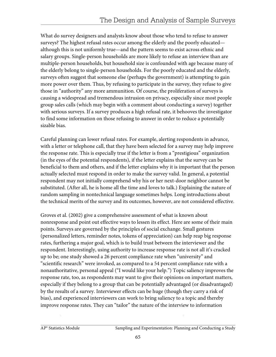What do survey designers and analysts know about those who tend to refuse to answer surveys? The highest refusal rates occur among the elderly and the poorly educated although this is not uniformly true—and the pattern seems to exist across ethnic and salary groups. Single-person households are more likely to refuse an interview than are multiple-person households, but household size is confounded with age because many of the elderly belong to single-person households. For the poorly educated and the elderly, surveys often suggest that someone else (perhaps the government) is attempting to gain more power over them. Thus, by refusing to participate in the survey, they refuse to give those in "authority" any more ammunition. Of course, the proliferation of surveys is causing a widespread and tremendous intrusion on privacy, especially since most people group sales calls (which may begin with a comment about conducting a survey) together with serious surveys. If a survey produces a high refusal rate, it behooves the investigator to find some information on those refusing to answer in order to reduce a potentially sizable bias.

Careful planning can lower refusal rates. For example, alerting respondents in advance, with a letter or telephone call, that they have been selected for a survey may help improve the response rate. This is especially true if the letter is from a "prestigious" organization (in the eyes of the potential respondents), if the letter explains that the survey can be beneficial to them and others, and if the letter explains why it is important that the person actually selected must respond in order to make the survey valid. In general, a potential respondent may not initially comprehend why his or her next-door neighbor cannot be substituted. (After all, he is home all the time and loves to talk.) Explaining the nature of random sampling in nontechnical language sometimes helps. Long introductions about the technical merits of the survey and its outcomes, however, are not considered effective.

Groves et al. (2002) give a comprehensive assessment of what is known about nonresponse and point out effective ways to lessen its effect. Here are some of their main points. Surveys are governed by the principles of social exchange. Small gestures (personalized letters, reminder notes, tokens of appreciation) can help reap big response rates, furthering a major goal, which is to build trust between the interviewer and the respondent. Interestingly, using authority to increase response rate is not all it's cracked up to be; one study showed a 26 percent compliance rate when "university" and "scientific research" were invoked, as compared to a 54 percent compliance rate with a nonauthoritative, personal appeal ("I would like your help.") Topic saliency improves the response rate, too, as respondents may want to give their opinions on important matters, especially if they belong to a group that can be potentially advantaged (or disadvantaged) by the results of a survey. Interviewer effects can be huge (though they carry a risk of bias), and experienced interviewers can work to bring saliency to a topic and thereby improve response rates. They can "tailor" the nature of the interview to information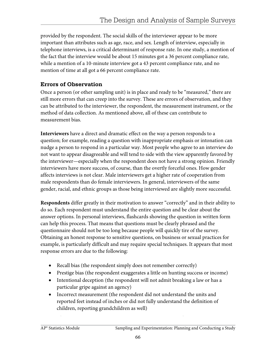provided by the respondent. The social skills of the interviewer appear to be more important than attributes such as age, race, and sex. Length of interview, especially in telephone interviews, is a critical determinant of response rate. In one study, a mention of the fact that the interview would be about 15 minutes got a 36 percent compliance rate, while a mention of a 10-minute interview got a 43 percent compliance rate, and no mention of time at all got a 66 percent compliance rate.

## **Errors of Observation**

Once a person (or other sampling unit) is in place and ready to be "measured," there are still more errors that can creep into the survey. These are errors of observation, and they can be attributed to the interviewer, the respondent, the measurement instrument, or the method of data collection. As mentioned above, all of these can contribute to measurement bias.

**Interviewers** have a direct and dramatic effect on the way a person responds to a question; for example, reading a question with inappropriate emphasis or intonation can nudge a person to respond in a particular way. Most people who agree to an interview do not want to appear disagreeable and will tend to side with the view apparently favored by the interviewer—especially when the respondent does not have a strong opinion. Friendly interviewers have more success, of course, than the overtly forceful ones. How gender affects interviews is not clear. Male interviewers get a higher rate of cooperation from male respondents than do female interviewers. In general, interviewers of the same gender, racial, and ethnic groups as those being interviewed are slightly more successful.

**Respondents** differ greatly in their motivation to answer "correctly" and in their ability to do so. Each respondent must understand the entire question and be clear about the answer options. In personal interviews, flashcards showing the question in written form can help this process. That means that questions must be clearly phrased and the questionnaire should not be too long because people will quickly tire of the survey. Obtaining an honest response to sensitive questions, on business or sexual practices for example, is particularly difficult and may require special techniques. It appears that most response errors are due to the following:

- Recall bias (the respondent simply does not remember correctly)
- Prestige bias (the respondent exaggerates a little on hunting success or income)
- Intentional deception (the respondent will not admit breaking a law or has a particular gripe against an agency)
- Incorrect measurement (the respondent did not understand the units and reported feet instead of inches or did not fully understand the definition of children, reporting grandchildren as well)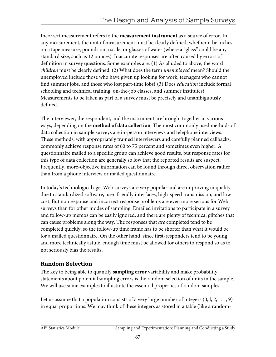Incorrect measurement refers to the **measurement instrument** as a source of error. In any measurement, the unit of measurement must be clearly defined, whether it be inches on a tape measure, pounds on a scale, or glasses of water (where a "glass" could be any standard size, such as 12 ounces). Inaccurate responses are often caused by errors of definition in survey questions. Some examples are: (1) As alluded to above, the word *children* must be clearly defined. (2) What does the term *unemployed* mean? Should the unemployed include those who have given up looking for work, teenagers who cannot find summer jobs, and those who lost part-time jobs? (3) Does *education* include formal schooling and technical training, on-the-job classes, and summer institutes? Measurements to be taken as part of a survey must be precisely and unambiguously defined.

The interviewer, the respondent, and the instrument are brought together in various ways, depending on the **method of data collection**. The most commonly used methods of data collection in sample surveys are in-person interviews and telephone interviews. These methods, with appropriately trained interviewers and carefully planned callbacks, commonly achieve response rates of 60 to 75 percent and sometimes even higher. A questionnaire mailed to a specific group can achieve good results, but response rates for this type of data collection are generally so low that the reported results are suspect. Frequently, more-objective information can be found through direct observation rather than from a phone interview or mailed questionnaire.

In today's technological age, Web surveys are very popular and are improving in quality due to standardized software, user-friendly interfaces, high-speed transmission, and low cost. But nonresponse and incorrect response problems are even more serious for Web surveys than for other modes of sampling. Emailed invitations to participate in a survey and follow-up memos can be easily ignored, and there are plenty of technical glitches that can cause problems along the way. The responses that *are* completed tend to be completed quickly, so the follow-up time frame has to be shorter than what it would be for a mailed questionnaire. On the other hand, since first-responders tend to be young and more technically astute, enough time must be allowed for others to respond so as to not seriously bias the results.

### **Random Selection**

The key to being able to quantify **sampling error** variability and make probability statements about potential sampling errors is the random selection of units in the sample. We will use some examples to illustrate the essential properties of random samples.

Let us assume that a population consists of a very large number of integers  $(0, 1, 2, \ldots, 9)$ in equal proportions. We may think of these integers as stored in a table (like a random-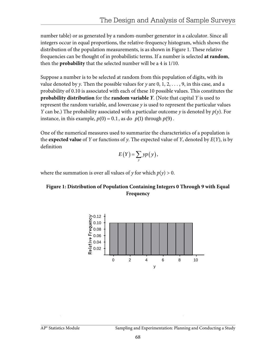number table) or as generated by a random-number generator in a calculator. Since all integers occur in equal proportions, the relative-frequency histogram, which shows the distribution of the population measurements, is as shown in Figure 1. These relative frequencies can be thought of in probabilistic terms. If a number is selected **at random**, then the **probability** that the selected number will be a 4 is 1/10.

Suppose a number is to be selected at random from this population of digits, with its value denoted by *y*. Then the possible values for *y* are 0, 1, 2, . . . , 9, in this case, and a probability of 0.10 is associated with each of these 10 possible values. This constitutes the **probability distribution** for the **random variable** *Y*. (Note that capital *Y* is used to represent the random variable, and lowercase *y* is used to represent the particular values *Y* can be.) The probability associated with a particular outcome *y* is denoted by  $p(y)$ . For instance, in this example,  $p(0) = 0.1$ , as do  $p(1)$  through  $p(9)$ .

One of the numerical measures used to summarize the characteristics of a population is the **expected value** of *Y* or functions of *y*. The expected value of *Y*, denoted by *E*(*Y*), is by definition

$$
E(Y) = \sum_{y} yp(y),
$$

where the summation is over all values of *y* for which  $p(y) > 0$ .

#### **Figure 1: Distribution of Population Containing Integers 0 Through 9 with Equal Frequency**

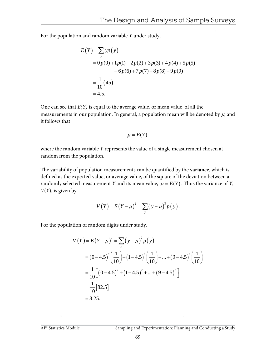For the population and random variable *Y* under study,

$$
E(Y) = \sum_{y} yp(y)
$$
  
= 0p(0)+1p(1)+2p(2)+3p(3)+4p(4)+5p(5)  
+6p(6)+7p(7)+8p(8)+9p(9)  
=  $\frac{1}{10}$ (45)  
= 4.5.

One can see that *E(Y)* is equal to the average value, or mean value, of all the measurements in our population. In general, a population mean will be denoted by  $\mu$ , and it follows that

$$
\mu = E(Y),
$$

where the random variable *Y* represents the value of a single measurement chosen at random from the population.

The variability of population measurements can be quantified by the **variance**, which is defined as the expected value, or average value, of the square of the deviation between a randomly selected measurement *Y* and its mean value,  $\mu = E(Y)$ . Thus the variance of *Y*, *V*(*Y*), is given by

$$
V(Y) = E(Y - \mu)^{2} = \sum_{y} (y - \mu)^{2} p(y).
$$

For the population of random digits under study,

$$
V(Y) = E(Y - \mu)^2 = \sum_{y} (y - \mu)^2 p(y)
$$
  
=  $(0 - 4.5)^2 \left(\frac{1}{10}\right) + (1 - 4.5)^2 \left(\frac{1}{10}\right) + ... + (9 - 4.5)^2 \left(\frac{1}{10}\right)$   
=  $\frac{1}{10} \left[ (0 - 4.5)^2 + (1 - 4.5)^2 + ... + (9 - 4.5)^2 \right]$   
=  $\frac{1}{10} [82.5]$   
= 8.25.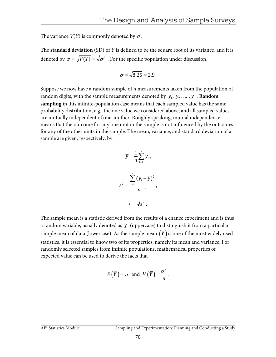The variance  $V(Y)$  is commonly denoted by  $\sigma^2$ .

The **standard deviation** (SD) of *Y* is defined to be the square root of its variance, and it is denoted by  $\sigma = \sqrt{V(Y)} = \sqrt{\sigma^2}$ . For the specific population under discussion,

$$
\sigma = \sqrt{8.25} = 2.9.
$$

Suppose we now have a random sample of *n* measurements taken from the population of random digits, with the sample measurements denoted by  $y_1, y_2, ..., y_n$ . **Random sampling** in this infinite-population case means that each sampled value has the same probability distribution, e.g., the one value we considered above, and all sampled values are mutually independent of one another. Roughly speaking, mutual independence means that the outcome for any one unit in the sample is not influenced by the outcomes for any of the other units in the sample. The mean, variance, and standard deviation of a sample are given, respectively, by

$$
\overline{y} = \frac{1}{n} \sum_{i=1}^{n} y_i,
$$
  

$$
s^2 = \frac{\sum_{i=1}^{n} (y_i - \overline{y})^2}{n-1},
$$
  

$$
s = \sqrt{s^2}.
$$

The sample mean is a statistic derived from the results of a chance experiment and is thus a random variable, usually denoted as  $\bar{Y}$  (uppercase) to distinguish it from a particular sample mean of data (lowercase). As the sample mean  $(\overline{Y})$  is one of the most widely used statistics, it is essential to know two of its properties, namely its mean and variance. For randomly selected samples from infinite populations, mathematical properties of expected value can be used to derive the facts that

$$
E(\overline{Y}) = \mu
$$
 and  $V(\overline{Y}) = \frac{\sigma^2}{n}$ .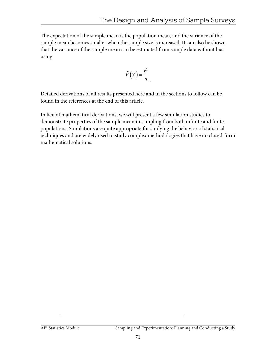The expectation of the sample mean is the population mean, and the variance of the sample mean becomes smaller when the sample size is increased. It can also be shown that the variance of the sample mean can be estimated from sample data without bias using

$$
\hat{V}(\overline{Y}) = \frac{s^2}{n}
$$

Detailed derivations of all results presented here and in the sections to follow can be found in the references at the end of this article.

In lieu of mathematical derivations, we will present a few simulation studies to demonstrate properties of the sample mean in sampling from both infinite and finite populations. Simulations are quite appropriate for studying the behavior of statistical techniques and are widely used to study complex methodologies that have no closed-form mathematical solutions.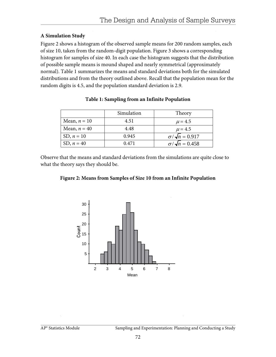### **A Simulation Study**

Figure 2 shows a histogram of the observed sample means for 200 random samples, each of size 10, taken from the random-digit population. Figure 3 shows a corresponding histogram for samples of size 40. In each case the histogram suggests that the distribution of possible sample means is mound shaped and nearly symmetrical (approximately normal). Table 1 summarizes the means and standard deviations both for the simulated distributions and from the theory outlined above. Recall that the population mean for the random digits is 4.5, and the population standard deviation is 2.9.

|                | Simulation | Theory                    |
|----------------|------------|---------------------------|
| Mean, $n = 10$ | 4.51       | $\mu = 4.5$               |
| Mean, $n = 40$ | 4.48       | $\mu = 4.5$               |
| SD, $n = 10$   | 0.945      | $\sigma/\sqrt{n} = 0.917$ |
| SD, $n = 40$   | 0.471      | $\sigma/\sqrt{n} = 0.458$ |

### **Table 1: Sampling from an Infinite Population**

Observe that the means and standard deviations from the simulations are quite close to what the theory says they should be.

### **Figure 2: Means from Samples of Size 10 from an Infinite Population**

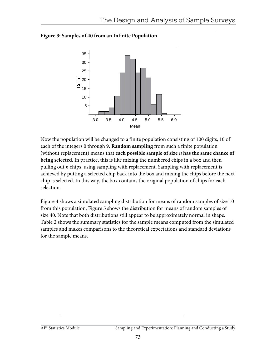

#### **Figure 3: Samples of 40 from an Infinite Population**

Now the population will be changed to a finite population consisting of 100 digits, 10 of each of the integers 0 through 9. **Random sampling** from such a finite population (without replacement) means that **each possible sample of size** *n* **has the same chance of being selected**. In practice, this is like mixing the numbered chips in a box and then pulling out *n* chips, using sampling with replacement. Sampling with replacement is achieved by putting a selected chip back into the box and mixing the chips before the next chip is selected. In this way, the box contains the original population of chips for each selection.

Figure 4 shows a simulated sampling distribution for means of random samples of size 10 from this population; Figure 5 shows the distribution for means of random samples of size 40. Note that both distributions still appear to be approximately normal in shape. Table 2 shows the summary statistics for the sample means computed from the simulated samples and makes comparisons to the theoretical expectations and standard deviations for the sample means.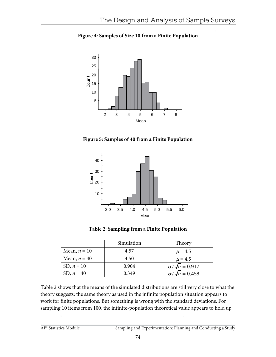

### **Figure 4: Samples of Size 10 from a Finite Population**





### **Table 2: Sampling from a Finite Population**

|                | Simulation | Theory                    |
|----------------|------------|---------------------------|
| Mean, $n = 10$ | 4.57       | $\mu = 4.5$               |
| Mean, $n = 40$ | 4.50       | $\mu = 4.5$               |
| SD, $n = 10$   | 0.904      | $\sigma/\sqrt{n} = 0.917$ |
| SD, $n = 40$   | 0.349      | $\sigma/\sqrt{n} = 0.458$ |

Table 2 shows that the means of the simulated distributions are still very close to what the theory suggests; the same theory as used in the infinite population situation appears to work for finite populations. But something is wrong with the standard deviations. For sampling 10 items from 100, the infinite-population theoretical value appears to hold up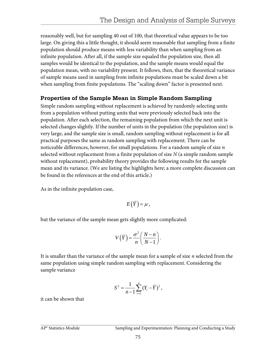reasonably well, but for sampling 40 out of 100, that theoretical value appears to be too large. On giving this a little thought, it should seem reasonable that sampling from a finite population should produce means with less variability than when sampling from an infinite population. After all, if the sample size equaled the population size, then all samples would be identical to the population, and the sample means would equal the population mean, with no variability present. It follows, then, that the theoretical variance of sample means used in sampling from infinite populations must be scaled down a bit when sampling from finite populations. The "scaling down" factor is presented next.

### **Properties of the Sample Mean in Simple Random Sampling**

Simple random sampling without replacement is achieved by randomly selecting units from a population without putting units that were previously selected back into the population. After each selection, the remaining population from which the next unit is selected changes slightly. If the number of units in the population (the population size) is very large, and the sample size is small, random sampling without replacement is for all practical purposes the same as random sampling with replacement. There can be noticeable differences, however, for small populations. For a random sample of size *n* selected without replacement from a finite population of size *N* (a simple random sample without replacement), probability theory provides the following results for the sample mean and its variance. (We are listing the highlights here; a more complete discussion can be found in the references at the end of this article.)

As in the infinite population case,

$$
E(\overline{Y}) = \mu,
$$

but the variance of the sample mean gets slightly more complicated:

$$
V(\overline{Y}) = \frac{\sigma^2}{n} \left( \frac{N-n}{N-1} \right).
$$

It is smaller than the variance of the sample mean for a sample of size *n* selected from the same population using simple random sampling with replacement. Considering the sample variance

$$
S^{2} = \frac{1}{n-1} \sum_{i=1}^{n} (Y_{i} - \overline{Y})^{2},
$$

it can be shown that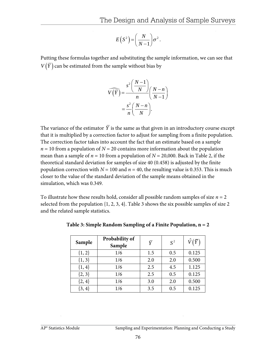$$
E(S^2) = \left(\frac{N}{N-1}\right)\sigma^2.
$$

Putting these formulas together and substituting the sample information, we can see that  $V(\overline{Y})$  can be estimated from the sample without bias by

$$
\widehat{V(\overline{Y})} = \frac{s^2 \left(\frac{N-1}{N}\right)}{n} \left(\frac{N-n}{N-1}\right)
$$

$$
= \frac{s^2}{n} \left(\frac{N-n}{N}\right).
$$

The variance of the estimator  $\overline{Y}$  is the same as that given in an introductory course except that it is multiplied by a correction factor to adjust for sampling from a finite population. The correction factor takes into account the fact that an estimate based on a sample  $n = 10$  from a population of  $N = 20$  contains more information about the population mean than a sample of  $n = 10$  from a population of  $N = 20,000$ . Back in Table 2, if the theoretical standard deviation for samples of size 40 (0.458) is adjusted by the finite population correction with  $N = 100$  and  $n = 40$ , the resulting value is 0.353. This is much closer to the value of the standard deviation of the sample means obtained in the simulation, which was 0.349.

To illustrate how these results hold, consider all possible random samples of size  $n = 2$ selected from the population  $\{1, 2, 3, 4\}$ . Table 3 shows the six possible samples of size 2 and the related sample statistics.

| Sample     | Probability of<br>Sample | $\overline{Y}$ | $S^2$ | $\hat{V}\left(\bar{Y}\right)$ |
|------------|--------------------------|----------------|-------|-------------------------------|
| $\{1, 2\}$ | 1/6                      | 1.5            | 0.5   | 0.125                         |
| $\{1, 3\}$ | 1/6                      | 2.0            | 2.0   | 0.500                         |
| $\{1, 4\}$ | 1/6                      | 2.5            | 4.5   | 1.125                         |
| ${2, 3}$   | 1/6                      | 2.5            | 0.5   | 0.125                         |
| $\{2, 4\}$ | 1/6                      | 3.0            | 2.0   | 0.500                         |
| $\{3, 4\}$ | 1/6                      | 3.5            | 0.5   | 0.125                         |

**Table 3: Simple Random Sampling of a Finite Population, n = 2**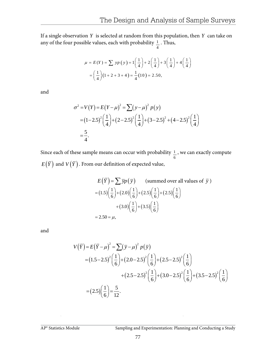If a single observation Y is selected at random from this population, then Y can take on any of the four possible values, each with probability  $1/2$ 4 . Thus,

$$
\mu = E(Y) = \sum yp(y) = 1\left(\frac{1}{4}\right) + 2\left(\frac{1}{4}\right) + 3\left(\frac{1}{4}\right) + 4\left(\frac{1}{4}\right)
$$

$$
= \left(\frac{1}{4}\right)\left(1 + 2 + 3 + 4\right) = \frac{1}{4}\left(10\right) = 2.50,
$$

and

$$
\sigma^2 = V(Y) = E(Y - \mu)^2 = \sum (y - \mu)^2 p(y)
$$
  
=  $(1 - 2.5)^2 \left(\frac{1}{4}\right) + (2 - 2.5)^2 \left(\frac{1}{4}\right) + (3 - 2.5)^2 + (4 - 2.5)^2 \left(\frac{1}{4}\right)$   
=  $\frac{5}{4}$ .

Since each of these sample means can occur with probability  $1/2$ 6 , we can exactly compute  $E\!\left(\vec{Y}\right)$  and  $V\!\left(\vec{Y}\right)$  . From our definition of expected value,

$$
E(\overline{Y}) = \sum \overline{y}p(\overline{y}) \qquad \text{(summed over all values of } \overline{y})
$$
  
= (1.5)  $\left(\frac{1}{6}\right) + (2.0)\left(\frac{1}{6}\right) + (2.5)\left(\frac{1}{6}\right) + (2.5)\left(\frac{1}{6}\right)$   
+ (3.0)  $\left(\frac{1}{6}\right) + (3.5)\left(\frac{1}{6}\right)$   
= 2.50 =  $\mu$ ,

and

$$
V(\overline{Y}) = E(\overline{Y} - \mu)^2 = \sum (\overline{y} - \mu)^2 p(\overline{y})
$$
  
=  $(1.5 - 2.5)^2 \left(\frac{1}{6}\right) + (2.0 - 2.5)^2 \left(\frac{1}{6}\right) + (2.5 - 2.5)^2 \left(\frac{1}{6}\right) + (3.0 - 2.5)^2 \left(\frac{1}{6}\right) + (3.5 - 2.5)^2 \left(\frac{1}{6}\right) = (2.5) \left(\frac{1}{6}\right) = \frac{5}{12}.$ 

AP® Statistics Module Sampling and Experimentation: Planning and Conducting a Study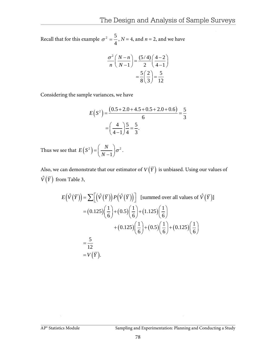Recall that for this example  $\sigma^2 = \frac{3}{4}$  $\sigma^2 = \frac{5}{4}$ , *N* = 4, and *n* = 2, and we have

 $\overline{a}$ 

$$
\frac{\sigma^2}{n} \left( \frac{N-n}{N-1} \right) = \frac{(5/4)}{2} \left( \frac{4-2}{4-1} \right)
$$

$$
= \frac{5}{8} \left( \frac{2}{3} \right) = \frac{5}{12}
$$

Considering the sample variances, we have

$$
E(S2) = \frac{(0.5 + 2.0 + 4.5 + 0.5 + 2.0 + 0.6)}{6} = \frac{5}{3}
$$

$$
= \left(\frac{4}{4-1}\right)\frac{5}{4} = \frac{5}{3}.
$$

Thus we see that  $E(S^2) = \frac{1}{N} \sigma^2$ 1  $E(S^2) = \left(\frac{N}{N}\right)$  $\overline{N-1}$ <sup>o</sup>  $=\left(\frac{N}{N-1}\right)\sigma^2$ .

Also, we can demonstrate that our estimator of  $V(\overline{Y})$  is unbiased. Using our values of  $\hat{V}\left( \overline{Y}\right)$  from Table 3,

$$
E(\hat{V}(\overline{Y})) = \sum [\hat{V}(\hat{V}(\overline{Y})) P(\hat{V}(\overline{Y}))]
$$
 [summed over all values of  $\hat{V}(\overline{Y})$ ]  
= (0.125)  $\left(\frac{1}{6}\right) + (0.5) \left(\frac{1}{6}\right) + (1.125) \left(\frac{1}{6}\right)$   
+ (0.125)  $\left(\frac{1}{6}\right) + (0.5) \left(\frac{1}{6}\right) + (0.125) \left(\frac{1}{6}\right)$   
=  $\frac{5}{12}$   
=  $V(\overline{Y})$ .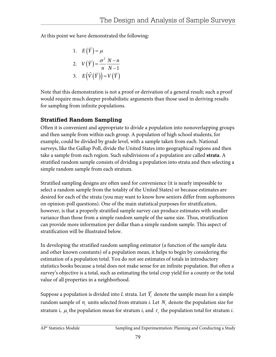At this point we have demonstrated the following:

1. 
$$
E(\overline{Y}) = \mu
$$
  
\n2.  $V(\overline{Y}) = \frac{\sigma^2}{n} \frac{N-n}{N-1}$   
\n3.  $E(\hat{V}(\overline{Y})) = V(\overline{Y})$ 

Note that this demonstration is not a proof or derivation of a general result; such a proof would require much deeper probabilistic arguments than those used in deriving results for sampling from infinite populations.

# **Stratified Random Sampling**

Often it is convenient and appropriate to divide a population into nonoverlapping groups and then sample from within each group. A population of high school students, for example, could be divided by grade level, with a sample taken from each. National surveys, like the Gallup Poll, divide the United States into geographical regions and then take a sample from each region. Such subdivisions of a population are called **strata**. A stratified random sample consists of dividing a population into strata and then selecting a simple random sample from each stratum.

Stratified sampling designs are often used for convenience (it is nearly impossible to select a random sample from the totality of the United States) or because estimates are desired for each of the strata (you may want to know how seniors differ from sophomores on opinion-poll questions). One of the main statistical purposes for stratification, however, is that a properly stratified sample survey can produce estimates with smaller variance than those from a simple random sample of the same size. Thus, stratification can provide more information per dollar than a simple random sample. This aspect of stratification will be illustrated below.

In developing the stratified random sampling estimator (a function of the sample data and other known constants) of a population mean, it helps to begin by considering the estimation of a population total. You do not see estimates of totals in introductory statistics books because a total does not make sense for an infinite population. But often a survey's objective is a total, such as estimating the total crop yield for a county or the total value of all properties in a neighborhood.

Suppose a population is divided into *L* strata. Let  $\overline{Y}_i$  denote the sample mean for a simple random sample of  $n_i$  units selected from stratum *i*. Let  $N_i$  denote the population size for stratum *i*,  $\mu_i$  the population mean for stratum *i*, and  $\tau_i$  the population total for stratum *i*.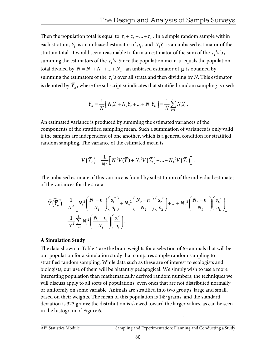Then the population total is equal to  $\tau_1 + \tau_2 + ... + \tau_L$ . In a simple random sample within each stratum,  $\overline{Y}_i$  is an unbiased estimator of  $\mu_i$ , and  $N_i \overline{Y}_i$  is an unbiased estimator of the stratum total. It would seem reasonable to form an estimator of the sum of the  $\tau$ , 's by summing the estimators of the  $\tau_i$ 's. Since the population mean  $\mu$  equals the population total divided by  $N = N_1 + N_2 + ... + N_L$ , an unbiased estimator of  $\mu$  is obtained by summing the estimators of the  $\tau$ , 's over all strata and then dividing by *N*. This estimator is denoted by  $\overline{Y}_{st}$ , where the subscript *st* indicates that stratified random sampling is used:

$$
\overline{Y}_{\hskip-1.2ptst}=\frac{1}{N}\Big[\,N_1\overline{Y}_1+N_2\overline{Y}_2+...+N_L\overline{Y}_L\,\Big]=\frac{1}{N}\sum_{\hskip-1.2pti=1}^L N_{\hskip-1.2pti}\overline{Y}_{\hskip-1.2pti}\;.
$$

An estimated variance is produced by summing the estimated variances of the components of the stratified sampling mean. Such a summation of variances is only valid if the samples are independent of one another, which is a general condition for stratified random sampling. The variance of the estimated mean is

$$
V\left(\overline{Y}_{st}\right) = \frac{1}{N^2} \left[ N_1^2 V(\overline{Y}_1) + N_2^2 V(\overline{Y}_2) + \dots + N_L^2 V(\overline{Y}_L) \right].
$$

The unbiased estimate of this variance is found by substitution of the individual estimates of the variances for the strata:

$$
\widehat{V(\bar{Y}_{st})} = \frac{1}{N^2} \left[ N_1^2 \left( \frac{N_1 - n_1}{N_1} \right) \left( \frac{s_1^2}{n_1} \right) + N_2^2 \left( \frac{N_2 - n_1}{N_2} \right) \left( \frac{s_2^2}{n_2} \right) + \dots + N_L^2 \left( \frac{N_L - n_L}{N_L} \right) \left( \frac{s_L^2}{n_L} \right) \right]
$$
  
=  $\frac{1}{N^2} \sum_{i=1}^L N_i^2 \left( \frac{N_i - n_i}{N_i} \right) \left( \frac{s_i^2}{n_i} \right).$ 

### **A Simulation Study**

The data shown in Table 4 are the brain weights for a selection of 65 animals that will be our population for a simulation study that compares simple random sampling to stratified random sampling. While data such as these are of interest to ecologists and biologists, our use of them will be blatantly pedagogical. We simply wish to use a more interesting population than mathematically derived random numbers; the techniques we will discuss apply to all sorts of populations, even ones that are not distributed normally or uniformly on some variable. Animals are stratified into two groups, large and small, based on their weights. The mean of this population is 149 grams, and the standard deviation is 323 grams; the distribution is skewed toward the larger values, as can be seen in the histogram of Figure 6.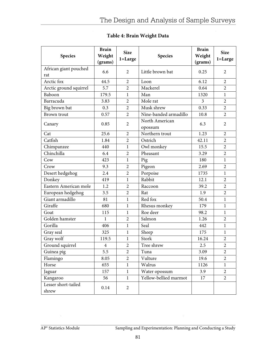#### **Species Brain Weight (grams) Size 1=Large Species Brain Weight (grams) Size 1=Large**  African giant pouched 6.6 2 Little brown bat 0.25 2 Arctic fox 44.5 2 Loon 6.12 2 Arctic ground squirrel  $\begin{array}{|c|c|c|c|c|c|} \hline \quad & 5.7 & 2 & \text{Mackerel} & 0.64 & 2 \\ \hline \end{array}$ Baboon 179.5 1 | Man 1320 | 1 Barracuda 1 3.83 2 Mole rat 1 3 2 Big brown bat  $\begin{array}{|c|c|c|c|c|c|} \hline 0.3 & 2 & \text{Musk shrew} & 0.33 & 2 \\\hline \end{array}$ Brown trout 0.57 2 Nine-banded armadillo 10.8 2 Canary 0.85 2 North American opossum 6.3 2 Cat 25.6 2 Northern trout 1.23 2 Catfish 1.84 2 Ostrich 12.11 2 Chimpanzee 1440 1 Owl monkey 15.5 2 Chinchilla 6.4 2 Pheasant 3.29 2 Cow 1 423 1 Pig 180 1 Crow 19.3 2 Pigeon 2.69 2 Desert hedgehog  $2.4$   $2$  Porpoise 1735 1 Donkey | 419 | 1 | Rabbit | 12.1 | 2 Eastern American mole 1.2 2 Raccoon 39.2 2 European hedgehog 3.5 2 Rat 1.9 2 Giant armadillo  $81 \quad 1 \quad \text{Red}$  fox  $50.4 \quad 1$

Giraffe 680 1 Rhesus monkey 179 1 Goat 115 1 Roe deer 98.2 1 Golden hamster  $\begin{array}{|c|c|c|c|c|c|c|c|} \hline 1 & 2 & \text{Salmon} & 1.26 & 2 \\ \hline \end{array}$ Gorilla 1 406 1 Seal 1 442 1 Gray seal 19325 1 Sheep 175 175 Gray wolf 119.5 1 Stork 16.24 2 Ground squirrel  $\begin{array}{|c|c|c|c|c|c|c|c|c|} \hline \end{array}$  4  $\begin{array}{|c|c|c|c|c|c|c|c|} \hline 2 & \hline 2 & \hline 2 & \hline 2 & \hline 2 & \hline 2 & \hline 2 & \hline 2 & \hline 2 & \hline 2 & \hline 2 & \hline 2 & \hline 2 & \hline 2 & \hline 2 & \hline 2 & \hline 2 & \hline 2 & \hline 2 & \hline 2 & \hline 2 & \hline 2 & \hline 2 & \hline 2$ Guinea pig 5.5 2 Tuna 3.09 2 Flamingo 19.05 | 2 | Vulture 19.6 | 2 Horse 1 655 1 Walrus 1126 1 Jaguar 157 1 Water opossum 3.9 2 Kangaroo 1 56 1 Yellow-bellied marmot 17 2

### **Table 4: Brain Weight Data**

Lesser short-tailed

shrew  $0.14$   $2$ 

rat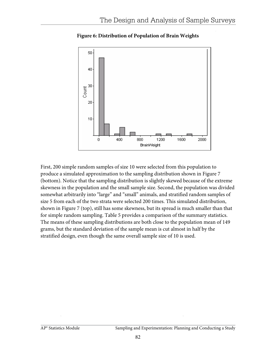

**Figure 6: Distribution of Population of Brain Weights** 

First, 200 simple random samples of size 10 were selected from this population to produce a simulated approximation to the sampling distribution shown in Figure 7 (bottom). Notice that the sampling distribution is slightly skewed because of the extreme skewness in the population and the small sample size. Second, the population was divided somewhat arbitrarily into "large" and "small" animals, and stratified random samples of size 5 from each of the two strata were selected 200 times. This simulated distribution, shown in Figure 7 (top), still has some skewness, but its spread is much smaller than that for simple random sampling. Table 5 provides a comparison of the summary statistics. The means of these sampling distributions are both close to the population mean of 149 grams, but the standard deviation of the sample mean is cut almost in half by the stratified design, even though the same overall sample size of 10 is used.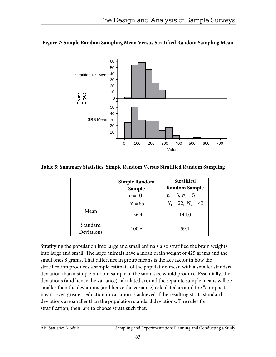

### **Figure 7: Simple Random Sampling Mean Versus Stratified Random Sampling Mean**

**Table 5: Summary Statistics, Simple Random Versus Stratified Random Sampling** 

|                        | <b>Simple Random</b><br>Sample<br>$n=10$<br>$N = 65$ | <b>Stratified</b><br><b>Random Sample</b><br>$n_1 = 5$ , $n_2 = 5$<br>$N_1 = 22, N_2 = 43$ |
|------------------------|------------------------------------------------------|--------------------------------------------------------------------------------------------|
| Mean                   | 156.4                                                | 144.0                                                                                      |
| Standard<br>Deviations | 100.6                                                | 59.1                                                                                       |

Stratifying the population into large and small animals also stratified the brain weights into large and small. The large animals have a mean brain weight of 425 grams and the small ones 8 grams. That difference in group means is the key factor in how the stratification produces a sample estimate of the population mean with a smaller standard deviation than a simple random sample of the same size would produce. Essentially, the deviations (and hence the variance) calculated around the separate sample means will be smaller than the deviations (and hence the variance) calculated around the "composite" mean. Even greater reduction in variation is achieved if the resulting strata standard deviations are smaller than the population standard deviations. The rules for stratification, then, are to choose strata such that: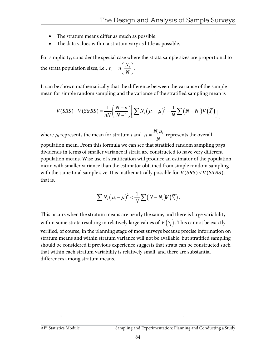- The stratum means differ as much as possible.
- The data values within a stratum vary as little as possible.

For simplicity, consider the special case where the strata sample sizes are proportional to the strata population sizes, i.e.,  $n_i = n \frac{x_i}{M}$  $n_i = n \left( \frac{N}{n_i} \right)$  $n\left(\frac{N_i}{N}\right).$ 

It can be shown mathematically that the difference between the variance of the sample mean for simple random sampling and the variance of the stratified sampling mean is

$$
V(SRS) - V(StrRS) = \frac{1}{nN} \left( \frac{N-n}{N-1} \right) \left[ \sum N_i \left( \mu_i - \mu \right)^2 - \frac{1}{N} \sum (N - N_i) V \left( \overline{Y}_i \right) \right],
$$

where  $\mu_i$  represents the mean for stratum *i* and  $\mu = \frac{N_i \mu_i}{N_i}$ *N*  $\mu = \frac{N_i \mu_i}{N}$  represents the overall population mean. From this formula we can see that stratified random sampling pays dividends in terms of smaller variance if strata are constructed to have very different population means. Wise use of stratification will produce an estimator of the population mean with smaller variance than the estimator obtained from simple random sampling with the same total sample size. It is mathematically possible for  $V(SRS) < V(SrrRS)$ ; that is,

$$
\sum N_i (\mu_i - \mu)^2 < \frac{1}{N} \sum (N - N_i) V(\overline{Y}_i).
$$

This occurs when the stratum means are nearly the same, and there is large variability within some strata resulting in relatively large values of  $V(\overline{Y}_i)$ . This cannot be exactly verified, of course, in the planning stage of most surveys because precise information on stratum means and within stratum variance will not be available, but stratified sampling should be considered if previous experience suggests that strata can be constructed such that within each stratum variability is relatively small, and there are substantial differences among stratum means.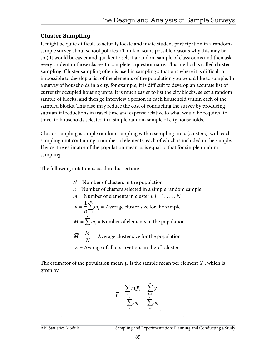# **Cluster Sampling**

It might be quite difficult to actually locate and invite student participation in a randomsample survey about school policies. (Think of some possible reasons why this may be so.) It would be easier and quicker to select a random sample of classrooms and then ask every student in those classes to complete a questionnaire. This method is called **cluster sampling**. Cluster sampling often is used in sampling situations where it is difficult or impossible to develop a list of the elements of the population you would like to sample. In a survey of households in a city, for example, it is difficult to develop an accurate list of currently occupied housing units. It is much easier to list the city blocks, select a random sample of blocks, and then go interview a person in each household within each of the sampled blocks. This also may reduce the cost of conducting the survey by producing substantial reductions in travel time and expense relative to what would be required to travel to households selected in a simple random sample of city households.

Cluster sampling is simple random sampling within sampling units (clusters), with each sampling unit containing a number of elements, each of which is included in the sample. Hence, the estimator of the population mean  $\mu$  is equal to that for simple random sampling.

The following notation is used in this section:

*N* = Number of clusters in the population  $n =$  Number of clusters selected in a simple random sample  $m_i$  = Number of elements in cluster *i*, *i* = 1, ..., *N*  $\overline{m}=\frac{1}{n}$  $\frac{1}{n} \sum_{i=1}^{n} m_i$ *i*=1  $\sum^n m_i =$  Average cluster size for the sample 1 *N*  $M = \sum m_i =$  Number of elements in the population *i* =  $\overline{M} = \frac{M}{N}$  = Average cluster size for the population  $\overline{y}_i$  = Average of all observations in the *i*<sup>th</sup> cluster

The estimator of the population mean  $\mu$  is the sample mean per element  $\overline{Y}$ , which is given by

$$
\overline{Y} = \frac{\sum_{i=1}^{n} m_i \overline{y}_i}{\sum_{i=1}^{n} m_i} = \frac{\sum_{i=1}^{n} y_i}{\sum_{i=1}^{n} m_i}.
$$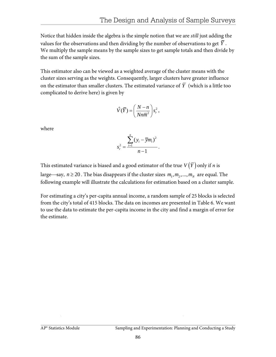Notice that hidden inside the algebra is the simple notion that we are *still* just adding the values for the observations and then dividing by the number of observations to get *Y* . We multiply the sample means by the sample sizes to get sample totals and then divide by the sum of the sample sizes.

This estimator also can be viewed as a weighted average of the cluster means with the cluster sizes serving as the weights. Consequently, larger clusters have greater influence on the estimator than smaller clusters. The estimated variance of  $\overline{Y}$  (which is a little too complicated to derive here) is given by

$$
\hat{V}(\overline{Y}) = \left(\frac{N-n}{Nn\overline{m}^2}\right)s_r^2,
$$

where

$$
s_r^2 = \frac{\sum_{i=1}^n (y_i - \overline{y}m_i)^2}{n-1}.
$$

This estimated variance is biased and a good estimator of the true  $V(\overline{Y})$  only if *n* is large—say,  $n \ge 20$ . The bias disappears if the cluster sizes  $m_1, m_2, ..., m_N$  are equal. The following example will illustrate the calculations for estimation based on a cluster sample.

For estimating a city's per-capita annual income, a random sample of 25 blocks is selected from the city's total of 415 blocks. The data on incomes are presented in Table 6. We want to use the data to estimate the per-capita income in the city and find a margin of error for the estimate.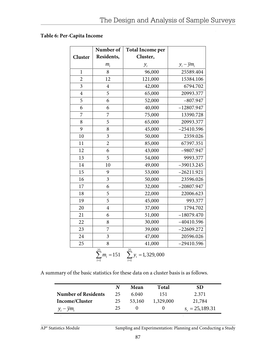# **Table 6: Per-Capita Income**

|                         | Number of      | <b>Total Income per</b>           |                         |
|-------------------------|----------------|-----------------------------------|-------------------------|
| Cluster                 | Residents,     | Cluster,                          |                         |
|                         | $m_i$          | $y_i$                             | $y_i - \overline{y}m_i$ |
| $\mathbf{1}$            | 8              | 96,000                            | 25589.404               |
| $\overline{2}$          | 12             | 121,000                           | 15384.106               |
| $\overline{\mathbf{3}}$ | $\overline{4}$ | 42,000                            | 6794.702                |
| $\overline{4}$          | 5              | 65,000                            | 20993.377               |
| 5                       | 6              | 52,000                            | $-807.947$              |
| 6                       | 6              | 40,000                            | 12807.947               |
| 7                       | 7              | 75,000                            | 13390.728               |
| 8                       | 5              | 65,000                            | 20993.377               |
| 9                       | 8              | 45,000                            | $-25410.596$            |
| 10                      | $\overline{3}$ | 50,000                            | 2359.026                |
| 11                      | $\overline{2}$ | 85,000                            | 67397.351               |
| 12                      | 6              | 43,000                            | $-9807.947$             |
| 13                      | 5              | 54,000                            | 9993.377                |
| 14                      | 10             | 49,000                            | $-39013.245$            |
| 15                      | 9              | 53,000                            | $-26211.921$            |
| 16                      | 3              | 50,000                            | 23596.026               |
| 17                      | 6              | 32,000                            | 20807.947               |
| 18                      | 5              | 22,000                            | 22006.623               |
| 19                      | 5              | 45,000                            | 993.377                 |
| 20                      | $\overline{4}$ | 37,000                            | 1794.702                |
| 21                      | 6              | 51,000                            | $-18079.470$            |
| 22                      | 8              | 30,000                            | $-40410.596$            |
| 23                      | 7              | 39,000                            | -22609.272              |
| 24                      | 3              | 47,000                            | 20596.026               |
| 25                      | 8              | 41,000                            | $-29410.596$            |
|                         | $m_i = 151$    | $\sum_{i=1}^{25} y_i = 1,329,000$ |                         |

A summary of the basic statistics for these data on a cluster basis is as follows.

|                            | N  | Mean   | Total     | <b>SD</b>         |
|----------------------------|----|--------|-----------|-------------------|
| <b>Number of Residents</b> | 25 | 6.040  | 151       | 2.371             |
| Income/Cluster             | 25 | 53,160 | 1,329,000 | 21,784            |
| $y_i - \overline{y}m_i$    | 25 |        |           | $s_r = 25,189.31$ |
|                            |    |        |           |                   |

AP® Statistics Module Sampling and Experimentation: Planning and Conducting a Study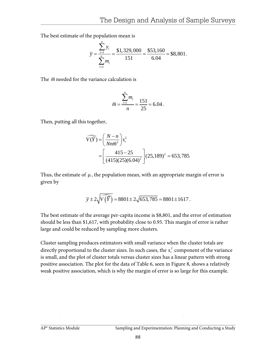The best estimate of the population mean is

$$
\overline{y} = \frac{\sum_{i=1}^{n} y_i}{\sum_{i=1}^{n} m_i} = \frac{\$1,329,000}{151} = \frac{\$53,160}{6.04} = \$8,801.
$$

The *m* needed for the variance calculation is

$$
\overline{m} = \frac{\sum_{i=1}^{n} m_i}{n} = \frac{151}{25} = 6.04 \ .
$$

Then, putting all this together,

$$
\widehat{V(\overline{Y})} = \left(\frac{N-n}{Nn\overline{m}^2}\right) s_r^2
$$
  
= 
$$
\left[\frac{415-25}{(415)(25)(6.04)^2}\right] (25,189)^2 = 653,785
$$

Thus, the estimate of  $\mu$ , the population mean, with an appropriate margin of error is given by

$$
\overline{y} \pm 2\sqrt{\widehat{V(\overline{Y})}} = 8801 \pm 2\sqrt{653,785} = 8801 \pm 1617.
$$

The best estimate of the average per-capita income is \$8,801, and the error of estimation should be less than \$1,617, with probability close to 0.95. This margin of error is rather large and could be reduced by sampling more clusters.

Cluster sampling produces estimators with small variance when the cluster totals are directly proportional to the cluster sizes. In such cases, the  $s_r^2$  component of the variance is small, and the plot of cluster totals versus cluster sizes has a linear pattern with strong positive association. The plot for the data of Table 6, seen in Figure 8, shows a relatively weak positive association, which is why the margin of error is so large for this example.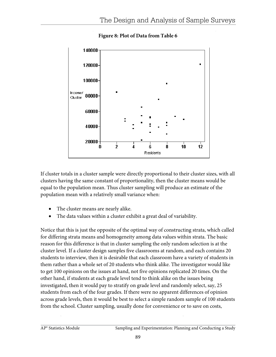

**Figure 8: Plot of Data from Table 6** 

If cluster totals in a cluster sample were directly proportional to their cluster sizes, with all clusters having the same constant of proportionality, then the cluster means would be equal to the population mean. Thus cluster sampling will produce an estimate of the population mean with a relatively small variance when:

- The cluster means are nearly alike.
- The data values within a cluster exhibit a great deal of variability.

Notice that this is just the opposite of the optimal way of constructing strata, which called for differing strata means and homogeneity among data values within strata. The basic reason for this difference is that in cluster sampling the only random selection is at the cluster level. If a cluster design samples five classrooms at random, and each contains 20 students to interview, then it is desirable that each classroom have a variety of students in them rather than a whole set of 20 students who think alike. The investigator would like to get 100 opinions on the issues at hand, not five opinions replicated 20 times. On the other hand, if students at each grade level tend to think alike on the issues being investigated, then it would pay to stratify on grade level and randomly select, say, 25 students from each of the four grades. If there were no apparent differences of opinion across grade levels, then it would be best to select a simple random sample of 100 students from the school. Cluster sampling, usually done for convenience or to save on costs,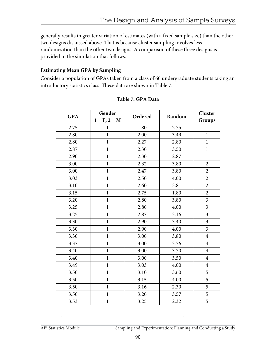generally results in greater variation of estimates (with a fixed sample size) than the other two designs discussed above. That is because cluster sampling involves less randomization than the other two designs. A comparison of these three designs is provided in the simulation that follows.

#### **Estimating Mean GPA by Sampling**

Consider a population of GPAs taken from a class of 60 undergraduate students taking an introductory statistics class. These data are shown in Table 7.

| <b>GPA</b> | Gender<br>$1 = F, 2 = M$ | Ordered | Random | Cluster<br>Groups       |
|------------|--------------------------|---------|--------|-------------------------|
| 2.75       | 1                        | 1.80    | 2.75   | 1                       |
| 2.80       | $\mathbf{1}$             | 2.00    | 3.49   | $\mathbf{1}$            |
| 2.80       | $\mathbf{1}$             | 2.27    | 2.80   | $\mathbf{1}$            |
| 2.87       | $\mathbf{1}$             | 2.30    | 3.50   | $\mathbf{1}$            |
| 2.90       | $\mathbf{1}$             | 2.30    | 2.87   | $\mathbf{1}$            |
| 3.00       | $\mathbf{1}$             | 2.32    | 3.80   | $\overline{2}$          |
| 3.00       | $\mathbf{1}$             | 2.47    | 3.80   | $\overline{2}$          |
| 3.03       | $\mathbf{1}$             | 2.50    | 4.00   | $\overline{2}$          |
| 3.10       | $\mathbf{1}$             | 2.60    | 3.81   | $\overline{c}$          |
| 3.15       | $\mathbf{1}$             | 2.75    | 1.80   | $\overline{c}$          |
| 3.20       | $\mathbf{1}$             | 2.80    | 3.80   | $\overline{\mathbf{3}}$ |
| 3.25       | $\mathbf{1}$             | 2.80    | 4.00   | $\overline{3}$          |
| 3.25       | $\mathbf{1}$             | 2.87    | 3.16   | $\overline{3}$          |
| 3.30       | $\mathbf{1}$             | 2.90    | 3.40   | $\overline{\mathbf{3}}$ |
| 3.30       | $\mathbf{1}$             | 2.90    | 4.00   | $\overline{3}$          |
| 3.30       | $\mathbf{1}$             | 3.00    | 3.80   | $\overline{4}$          |
| 3.37       | $\mathbf{1}$             | 3.00    | 3.76   | $\overline{4}$          |
| 3.40       | $\mathbf{1}$             | 3.00    | 3.70   | $\overline{4}$          |
| 3.40       | $\mathbf{1}$             | 3.00    | 3.50   | $\overline{4}$          |
| 3.49       | $\mathbf{1}$             | 3.03    | 4.00   | $\overline{4}$          |
| 3.50       | $\mathbf{1}$             | 3.10    | 3.60   | 5                       |
| 3.50       | $\mathbf{1}$             | 3.15    | 4.00   | 5                       |
| 3.50       | $\mathbf{1}$             | 3.16    | 2.30   | 5                       |
| 3.50       | $\mathbf{1}$             | 3.20    | 3.57   | 5                       |
| 3.53       | $\mathbf{1}$             | 3.25    | 2.32   | 5                       |

#### **Table 7: GPA Data**

AP® Statistics Module Sampling and Experimentation: Planning and Conducting a Study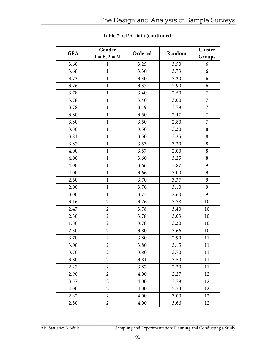| <b>GPA</b> | Gender         | Ordered | Random | Cluster        |
|------------|----------------|---------|--------|----------------|
|            | $1 = F, 2 = M$ |         |        | Groups         |
| 3.60       | $\mathbf{1}$   | 3.25    | 3.50   | 6              |
| 3.66       | $\mathbf{1}$   | 3.30    | 3.73   | 6              |
| 3.73       | $\mathbf{1}$   | 3.30    | 3.20   | 6              |
| 3.76       | $\mathbf{1}$   | 3.37    | 2.90   | 6              |
| 3.78       | $\mathbf{1}$   | 3.40    | 2.50   | $\overline{7}$ |
| 3.78       | $\mathbf{1}$   | 3.40    | 3.00   | 7              |
| 3.78       | $\mathbf{1}$   | 3.49    | 3.78   | 7              |
| 3.80       | $\mathbf{1}$   | 3.50    | 2.47   | $\overline{7}$ |
| 3.80       | $\mathbf{1}$   | 3.50    | 2.80   | 7              |
| 3.80       | $\mathbf{1}$   | 3.50    | 3.30   | 8              |
| 3.81       | $\mathbf{1}$   | 3.50    | 3.25   | $\, 8$         |
| 3.87       | $\mathbf{1}$   | 3.53    | 3.30   | $\, 8$         |
| 4.00       | $\mathbf{1}$   | 3.57    | 2.00   | 8              |
| 4.00       | $\mathbf{1}$   | 3.60    | 3.25   | $\,8\,$        |
| 4.00       | $\mathbf 1$    | 3.66    | 3.87   | 9              |
| 4.00       | $\mathbf{1}$   | 3.66    | 3.00   | $\mathbf{9}$   |
| 2.60       | $\mathbf{1}$   | 3.70    | 3.37   | 9              |
| 2.00       | $\mathbf 1$    | 3.70    | 3.10   | 9              |
| 3.00       | $\mathbf{1}$   | 3.73    | 2.60   | 9              |
| 3.16       | $\overline{2}$ | 3.76    | 3.78   | 10             |
| 2.47       | $\overline{2}$ | 3.78    | 3.40   | 10             |
| 2.30       | $\overline{2}$ | 3.78    | 3.03   | 10             |
| 1.80       | $\overline{2}$ | 3.78    | 3.30   | 10             |
| 2.30       | $\overline{2}$ | 3.80    | 3.66   | 10             |
| 3.70       | $\overline{2}$ | 3.80    | 2.90   | 11             |
| 3.00       | $\overline{2}$ | 3.80    | 3.15   | 11             |
| 3.70       | $\overline{2}$ | 3.80    | 3.70   | 11             |
| 3.80       | $\overline{2}$ | 3.81    | 3.50   | 11             |
| 2.27       | $\overline{2}$ | 3.87    | 2.30   | 11             |
| 2.90       | $\overline{2}$ | 4.00    | 2.27   | 12             |
| 3.57       | $\overline{2}$ | 4.00    | 3.78   | 12             |
| 4.00       | $\overline{2}$ | 4.00    | 3.53   | 12             |
| 2.32       | $\overline{2}$ | 4.00    | 3.00   | 12             |
| 2.50       | $\overline{2}$ | 4.00    | 3.66   | 12             |

# **Table 7: GPA Data (continued)**

AP<sup>®</sup> Statistics Module Sampling and Experimentation: Planning and Conducting a Study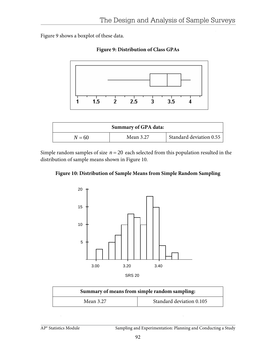Figure 9 shows a boxplot of these data.

**Figure 9: Distribution of Class GPAs** 



| <b>Summary of GPA data:</b> |           |                         |
|-----------------------------|-----------|-------------------------|
| $N = 60$                    | Mean 3.27 | Standard deviation 0.55 |

Simple random samples of size  $n = 20$  each selected from this population resulted in the distribution of sample means shown in Figure 10.

### **Figure 10: Distribution of Sample Means from Simple Random Sampling**



| Summary of means from simple random sampling: |                          |  |
|-----------------------------------------------|--------------------------|--|
| Mean 3.27                                     | Standard deviation 0.105 |  |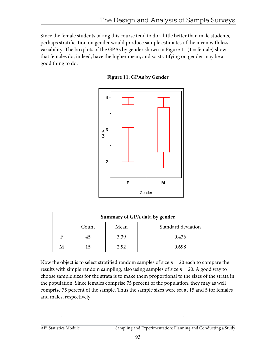Since the female students taking this course tend to do a little better than male students, perhaps stratification on gender would produce sample estimates of the mean with less variability. The boxplots of the GPAs by gender shown in Figure 11 (1 = female) show that females do, indeed, have the higher mean, and so stratifying on gender may be a good thing to do.





| Summary of GPA data by gender       |                |      |       |
|-------------------------------------|----------------|------|-------|
| Standard deviation<br>Count<br>Mean |                |      |       |
| F                                   | 45             | 3.39 | 0.436 |
| Μ                                   | $\overline{5}$ | 2.92 | 0.698 |

Now the object is to select stratified random samples of size *n* = 20 each to compare the results with simple random sampling, also using samples of size *n* = 20. A good way to choose sample sizes for the strata is to make them proportional to the sizes of the strata in the population. Since females comprise 75 percent of the population, they may as well comprise 75 percent of the sample. Thus the sample sizes were set at 15 and 5 for females and males, respectively.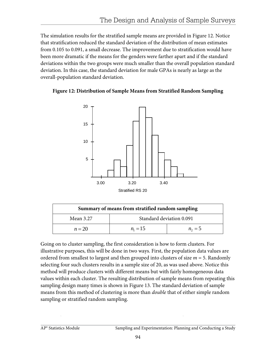The simulation results for the stratified sample means are provided in Figure 12. Notice that stratification reduced the standard deviation of the distribution of mean estimates from 0.105 to 0.091, a small decrease. The improvement due to stratification would have been more dramatic if the means for the genders were farther apart and if the standard deviations within the two groups were much smaller than the overall population standard deviation. In this case, the standard deviation for male GPAs is nearly as large as the overall-population standard deviation.





| Summary of means from stratified random sampling |                               |  |  |
|--------------------------------------------------|-------------------------------|--|--|
| Standard deviation 0.091<br>Mean 3.27            |                               |  |  |
| $n = 20$                                         | $n_{\rm i} = 15$<br>$n_2 = 5$ |  |  |

Going on to cluster sampling, the first consideration is how to form clusters. For illustrative purposes, this will be done in two ways. First, the population data values are ordered from smallest to largest and then grouped into clusters of size *m* = 5. Randomly selecting four such clusters results in a sample size of 20, as was used above. Notice this method will produce clusters with different means but with fairly homogeneous data values within each cluster. The resulting distribution of sample means from repeating this sampling design many times is shown in Figure 13. The standard deviation of sample means from this method of clustering is more than *double* that of either simple random sampling or stratified random sampling.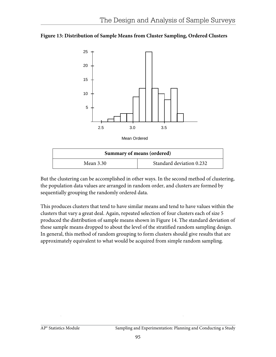

#### **Figure 13: Distribution of Sample Means from Cluster Sampling, Ordered Clusters**

| Summary of means (ordered) |                          |  |
|----------------------------|--------------------------|--|
| Mean 3.30                  | Standard deviation 0.232 |  |

But the clustering can be accomplished in other ways. In the second method of clustering, the population data values are arranged in random order, and clusters are formed by sequentially grouping the randomly ordered data.

This produces clusters that tend to have similar means and tend to have values within the clusters that vary a great deal. Again, repeated selection of four clusters each of size 5 produced the distribution of sample means shown in Figure 14. The standard deviation of these sample means dropped to about the level of the stratified random sampling design. In general, this method of random grouping to form clusters should give results that are approximately equivalent to what would be acquired from simple random sampling.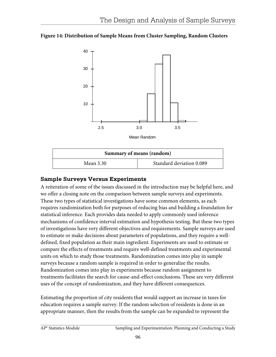

### **Figure 14: Distribution of Sample Means from Cluster Sampling, Random Clusters**

| Summary of means (random) |                          |
|---------------------------|--------------------------|
| Mean 3.30                 | Standard deviation 0.089 |

### **Sample Surveys Versus Experiments**

A reiteration of some of the issues discussed in the introduction may be helpful here, and we offer a closing note on the comparison between sample surveys and experiments. These two types of statistical investigations have some common elements, as each requires randomization both for purposes of reducing bias and building a foundation for statistical inference. Each provides data needed to apply commonly used inference mechanisms of confidence interval estimation and hypothesis testing. But these two types of investigations have very different objectives and requirements. Sample surveys are used to estimate or make decisions about parameters of populations, and they require a welldefined, fixed population as their main ingredient. Experiments are used to estimate or compare the effects of treatments and require well-defined treatments and experimental units on which to study those treatments. Randomization comes into play in sample surveys because a random sample is required in order to generalize the results. Randomization comes into play in experiments because random assignment to treatments facilitates the search for cause-and-effect conclusions. These are very different uses of the concept of randomization, and they have different consequences.

Estimating the proportion of city residents that would support an increase in taxes for education requires a sample survey. If the random selection of residents is done in an appropriate manner, then the results from the sample can be expanded to represent the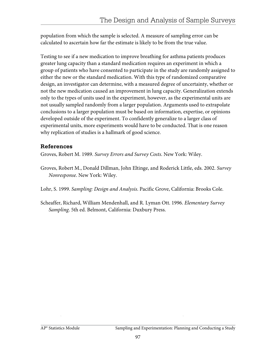population from which the sample is selected. A measure of sampling error can be calculated to ascertain how far the estimate is likely to be from the true value.

Testing to see if a new medication to improve breathing for asthma patients produces greater lung capacity than a standard medication requires an experiment in which a group of patients who have consented to participate in the study are randomly assigned to either the new or the standard medication. With this type of randomized comparative design, an investigator can determine, with a measured degree of uncertainty, whether or not the new medication caused an improvement in lung capacity. Generalization extends only to the types of units used in the experiment, however, as the experimental units are not usually sampled randomly from a larger population. Arguments used to extrapolate conclusions to a larger population must be based on information, expertise, or opinions developed outside of the experiment. To confidently generalize to a larger class of experimental units, more experiments would have to be conducted. That is one reason why replication of studies is a hallmark of good science.

# **References**

Groves, Robert M. 1989. *Survey Errors and Survey Costs*. New York: Wiley.

Groves, Robert M., Donald Dillman, John Eltinge, and Roderick Little, eds. 2002. *Survey Nonresponse*. New York: Wiley.

Lohr, S. 1999. *Sampling: Design and Analysis*. Pacific Grove, California: Brooks Cole.

Scheaffer, Richard, William Mendenhall, and R. Lyman Ott. 1996. *Elementary Survey Sampling*. 5th ed. Belmont, California: Duxbury Press.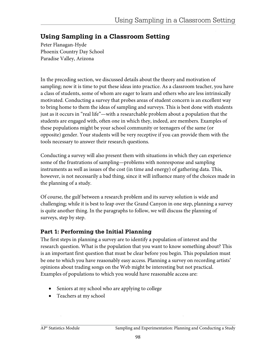# **Using Sampling in a Classroom Setting**

Peter Flanagan-Hyde Phoenix Country Day School Paradise Valley, Arizona

In the preceding section, we discussed details about the theory and motivation of sampling; now it is time to put these ideas into practice. As a classroom teacher, you have a class of students, some of whom are eager to learn and others who are less intrinsically motivated. Conducting a survey that probes areas of student concern is an excellent way to bring home to them the ideas of sampling and surveys. This is best done with students just as it occurs in "real life"—with a researchable problem about a population that the students are engaged with, often one in which they, indeed, are members. Examples of these populations might be your school community or teenagers of the same (or opposite) gender. Your students will be very receptive if you can provide them with the tools necessary to answer their research questions.

Conducting a survey will also present them with situations in which they can experience some of the frustrations of sampling—problems with nonresponse and sampling instruments as well as issues of the cost (in time and energy) of gathering data. This, however, is not necessarily a bad thing, since it will influence many of the choices made in the planning of a study.

Of course, the gulf between a research problem and its survey solution is wide and challenging; while it is best to leap over the Grand Canyon in one step, planning a survey is quite another thing. In the paragraphs to follow, we will discuss the planning of surveys, step by step.

# **Part 1: Performing the Initial Planning**

The first steps in planning a survey are to identify a population of interest and the research question. What is the population that you want to know something about? This is an important first question that must be clear before you begin. This population must be one to which you have reasonably easy access. Planning a survey on recording artists' opinions about trading songs on the Web might be interesting but not practical. Examples of populations to which you would have reasonable access are:

- Seniors at my school who are applying to college
- Teachers at my school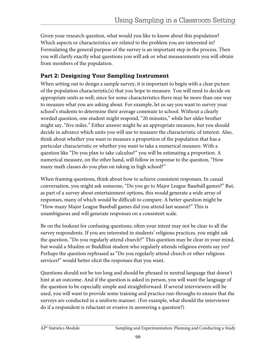Given your research question, what would you like to know about this population? Which aspects or characteristics are related to the problem you are interested in? Formulating the general purpose of the survey is an important step in the process. Then you will clarify exactly what questions you will ask or what measurements you will obtain from members of the population.

# **Part 2: Designing Your Sampling Instrument**

When setting out to design a sample survey, it is important to begin with a clear picture of the population characteristic(s) that you hope to measure. You will need to decide on appropriate units as well, since for some characteristics there may be more than one way to measure what you are asking about. For example, let us say you want to survey your school's students to determine their average commute to school. Without a clearly worded question, one student might respond, "20 minutes," while her older brother might say, "five miles." Either answer might be an appropriate measure, but you should decide in advance which units you will use to measure the characteristic of interest. Also, think about whether you want to measure a proportion of the population that has a particular characteristic or whether you want to take a numerical measure. With a question like "Do you plan to take calculus?" you will be estimating a proportion. A numerical measure, on the other hand, will follow in response to the question, "How many math classes do you plan on taking in high school?"

When framing questions, think about how to achieve consistent responses. In casual conversation, you might ask someone, "Do you go to Major League Baseball games?" But, as part of a survey about entertainment options, this would generate a wide array of responses, many of which would be difficult to compare. A better question might be "How many Major League Baseball games did you attend last season?" This is unambiguous and will generate responses on a consistent scale.

Be on the lookout for confusing questions; often your intent may not be clear to all the survey respondents. If you are interested in students' religious practices, you might ask the question, "Do you regularly attend church?" This question may be clear in your mind, but would a Muslim or Buddhist student who regularly attends religious events say yes? Perhaps the question rephrased as "Do you regularly attend church or other religious services?" would better elicit the responses that you want.

Questions should not be too long and should be phrased in neutral language that doesn't hint at an outcome. And if the question is asked in person, you will want the language of the question to be especially simple and straightforward. If several interviewers will be used, you will want to provide some training and practice run-throughs to ensure that the surveys are conducted in a uniform manner. (For example, what should the interviewer do if a respondent is reluctant or evasive in answering a question?)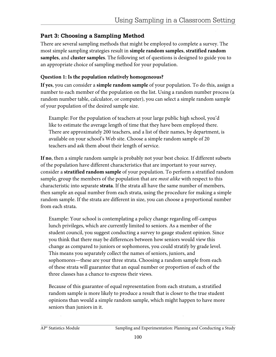# **Part 3: Choosing a Sampling Method**

There are several sampling methods that might be employed to complete a survey. The most simple sampling strategies result in **simple random samples**, **stratified random samples**, and **cluster samples**. The following set of questions is designed to guide you to an appropriate choice of sampling method for your population.

## **Question 1: Is the population relatively homogeneous?**

**If yes**, you can consider a **simple random sample** of your population. To do this, assign a number to each member of the population on the list. Using a random number process (a random number table, calculator, or computer), you can select a simple random sample of your population of the desired sample size.

Example: For the population of teachers at your large public high school, you'd like to estimate the average length of time that they have been employed there. There are approximately 200 teachers, and a list of their names, by department, is available on your school's Web site. Choose a simple random sample of 20 teachers and ask them about their length of service.

**If no**, then a simple random sample is probably not your best choice. If different subsets of the population have different characteristics that are important to your survey, consider a **stratified random sample** of your population. To perform a stratified random sample, group the members of the population that are *most alike* with respect to this characteristic into separate **strata**. If the strata all have the same number of members, then sample an equal number from each strata, using the procedure for making a simple random sample. If the strata are different in size, you can choose a proportional number from each strata.

Example: Your school is contemplating a policy change regarding off-campus lunch privileges, which are currently limited to seniors. As a member of the student council, you suggest conducting a survey to gauge student opinion. Since you think that there may be differences between how seniors would view this change as compared to juniors or sophomores, you could stratify by grade level. This means you separately collect the names of seniors, juniors, and sophomores—these are your three strata. Choosing a random sample from each of these strata will guarantee that an equal number or proportion of each of the three classes has a chance to express their views.

Because of this guarantee of equal representation from each stratum, a stratified random sample is more likely to produce a result that is closer to the true student opinions than would a simple random sample, which might happen to have more seniors than juniors in it.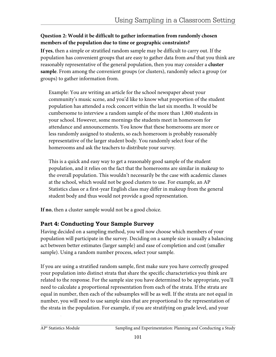### **Question 2: Would it be difficult to gather information from randomly chosen members of the population due to time or geographic constraints?**

**If yes**, then a simple or stratified random sample may be difficult to carry out. If the population has convenient groups that are easy to gather data from *and* that you think are reasonably representative of the general population, then you may consider a **cluster sample**. From among the convenient groups (or clusters), randomly select a group (or groups) to gather information from.

Example: You are writing an article for the school newspaper about your community's music scene, and you'd like to know what proportion of the student population has attended a rock concert within the last six months. It would be cumbersome to interview a random sample of the more than 1,800 students in your school. However, some mornings the students meet in homeroom for attendance and announcements. You know that these homerooms are more or less randomly assigned to students, so each homeroom is probably reasonably representative of the larger student body. You randomly select four of the homerooms and ask the teachers to distribute your survey.

This is a quick and easy way to get a reasonably good sample of the student population, and it relies on the fact that the homerooms are similar in makeup to the overall population. This wouldn't necessarily be the case with academic classes at the school, which would not be good clusters to use. For example, an AP Statistics class or a first-year English class may differ in makeup from the general student body and thus would not provide a good representation.

**If no**, then a cluster sample would not be a good choice.

# **Part 4: Conducting Your Sample Survey**

Having decided on a sampling method, you will now choose which members of your population will participate in the survey. Deciding on a sample size is usually a balancing act between better estimates (larger sample) and ease of completion and cost (smaller sample). Using a random number process, select your sample.

If you are using a stratified random sample, first make sure you have correctly grouped your population into distinct strata that share the specific characteristics you think are related to the response. For the sample size you have determined to be appropriate, you'll need to calculate a proportional representation from each of the strata. If the strata are equal in number, then each of the subsamples will be as well. If the strata are not equal in number, you will need to use sample sizes that are proportional to the representation of the strata in the population. For example, if you are stratifying on grade level, and your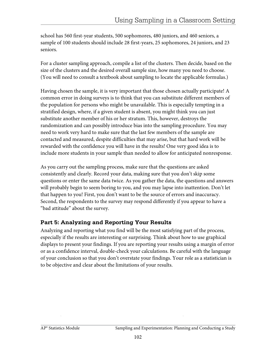school has 560 first-year students, 500 sophomores, 480 juniors, and 460 seniors, a sample of 100 students should include 28 first-years, 25 sophomores, 24 juniors, and 23 seniors.

For a cluster sampling approach, compile a list of the clusters. Then decide, based on the size of the clusters and the desired overall sample size, how many you need to choose. (You will need to consult a textbook about sampling to locate the applicable formulas.)

Having chosen the sample, it is very important that those chosen actually participate! A common error in doing surveys is to think that you can substitute different members of the population for persons who might be unavailable. This is especially tempting in a stratified design, where, if a given student is absent, you might think you can just substitute another member of his or her stratum. This, however, destroys the randomization and can possibly introduce bias into the sampling procedure. You may need to work very hard to make sure that the last few members of the sample are contacted and measured, despite difficulties that may arise, but that hard work will be rewarded with the confidence you will have in the results! One very good idea is to include more students in your sample than needed to allow for anticipated nonresponse.

As you carry out the sampling process, make sure that the questions are asked consistently and clearly. Record your data, making sure that you don't skip some questions or enter the same data twice. As you gather the data, the questions and answers will probably begin to seem boring to you, and you may lapse into inattention. Don't let that happen to you! First, you don't want to be the source of errors and inaccuracy. Second, the respondents to the survey may respond differently if you appear to have a "bad attitude" about the survey.

# **Part 5: Analyzing and Reporting Your Results**

Analyzing and reporting what you find will be the most satisfying part of the process, especially if the results are interesting or surprising. Think about how to use graphical displays to present your findings. If you are reporting your results using a margin of error or as a confidence interval, double-check your calculations. Be careful with the language of your conclusion so that you don't overstate your findings. Your role as a statistician is to be objective and clear about the limitations of your results.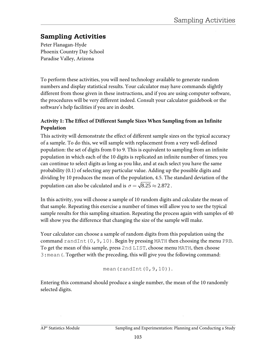# **Sampling Activities**

Peter Flanagan-Hyde Phoenix Country Day School Paradise Valley, Arizona

To perform these activities, you will need technology available to generate random numbers and display statistical results. Your calculator may have commands slightly different from those given in these instructions, and if you are using computer software, the procedures will be very different indeed. Consult your calculator guidebook or the software's help facilities if you are in doubt.

### **Activity 1: The Effect of Different Sample Sizes When Sampling from an Infinite Population**

This activity will demonstrate the effect of different sample sizes on the typical accuracy of a sample. To do this, we will sample with replacement from a very well-defined population: the set of digits from 0 to 9. This is equivalent to sampling from an infinite population in which each of the 10 digits is replicated an infinite number of times; you can continue to select digits as long as you like, and at each select you have the same probability (0.1) of selecting any particular value. Adding up the possible digits and dividing by 10 produces the mean of the population, 4.5. The standard deviation of the population can also be calculated and is  $\sigma = \sqrt{8.25} \approx 2.872$ .

In this activity, you will choose a sample of 10 random digits and calculate the mean of that sample. Repeating this exercise a number of times will allow you to see the typical sample results for this sampling situation. Repeating the process again with samples of 40 will show you the difference that changing the size of the sample will make.

Your calculator can choose a sample of random digits from this population using the command randInt  $(0, 9, 10)$ . Begin by pressing MATH then choosing the menu PRB. To get the mean of this sample, press 2nd LIST, choose menu MATH, then choose 3:mean(. Together with the preceding, this will give you the following command:

mean( $randInt(0, 9, 10)$ ).

Entering this command should produce a single number, the mean of the 10 randomly selected digits.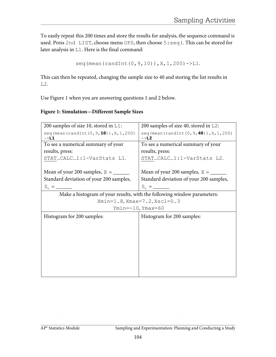To easily repeat this 200 times and store the results for analysis, the sequence command is used. Press 2nd LIST, choose menu OPS, then choose 5:seq(. This can be stored for later analysis in L1. Here is the final command:

```
seq(mean(randInt(0,9,10)),X,1,200)->L1.
```
This can then be repeated, changing the sample size to 40 and storing the list results in L2.

Use Figure 1 when you are answering questions 1 and 2 below.

#### **Figure 1: Simulation—Different Sample Sizes**

| 200 samples of size 10, stored in L1:                                   | 200 samples of size 40, stored in L2:                 |
|-------------------------------------------------------------------------|-------------------------------------------------------|
| $seq$ (mean(randInt(0,9,10)), $X, 1, 200$ )<br>$->L1$                   | $seq$ (mean(randInt(0,9,40)), $X, 1, 200$ )<br>$->L2$ |
| To see a numerical summary of your                                      | To see a numerical summary of your                    |
| results, press:                                                         | results, press:                                       |
| STATCALC1:1-VarStats L1.                                                | STATCALC1:1-VarStats L2.                              |
|                                                                         |                                                       |
| Standard deviation of your 200 samples,                                 | Standard deviation of your 200 samples,               |
| $S_x =$                                                                 | $S_{y} = \underline{\qquad}$                          |
| Make a histogram of your results, with the following window parameters: |                                                       |
| Xmin=1.8, Xmax=7.2, Xscl=0.3                                            |                                                       |
| $Ymin=-10, Ymax=60$                                                     |                                                       |
| Histogram for 200 samples:                                              | Histogram for 200 samples:                            |
|                                                                         |                                                       |
|                                                                         |                                                       |
|                                                                         |                                                       |
|                                                                         |                                                       |
|                                                                         |                                                       |
|                                                                         |                                                       |
|                                                                         |                                                       |
|                                                                         |                                                       |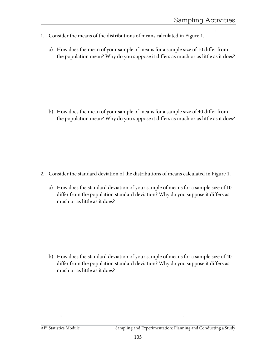- 1. Consider the means of the distributions of means calculated in Figure 1.
	- a) How does the mean of your sample of means for a sample size of 10 differ from the population mean? Why do you suppose it differs as much or as little as it does?

b) How does the mean of your sample of means for a sample size of 40 differ from the population mean? Why do you suppose it differs as much or as little as it does?

- 2. Consider the standard deviation of the distributions of means calculated in Figure 1.
	- a) How does the standard deviation of your sample of means for a sample size of 10 differ from the population standard deviation? Why do you suppose it differs as much or as little as it does?

b) How does the standard deviation of your sample of means for a sample size of 40 differ from the population standard deviation? Why do you suppose it differs as much or as little as it does?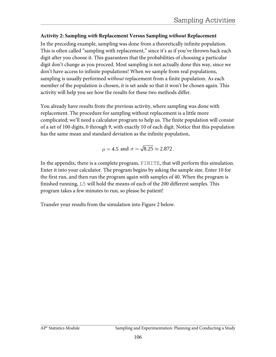#### **Activity 2: Sampling** *with* **Replacement Versus Sampling** *without* **Replacement**

In the preceding example, sampling was done from a theoretically infinite population. This is often called "sampling with replacement," since it's as if you've thrown back each digit after you choose it. This guarantees that the probabilities of choosing a particular digit don't change as you proceed. Most sampling is not actually done this way, since we don't have access to infinite populations! When we sample from real populations, sampling is usually performed *without* replacement from a finite population. As each member of the population is chosen, it is set aside so that it won't be chosen again. This activity will help you see how the results for these two methods differ.

You already have results from the previous activity, where sampling was done with replacement. The procedure for sampling without replacement is a little more complicated; we'll need a calculator program to help us. The finite population will consist of a set of 100 digits, 0 through 9, with exactly 10 of each digit. Notice that this population has the same mean and standard deviation as the infinite population,

$$
\mu = 4.5 \text{ and } \sigma = \sqrt{8.25} \approx 2.872 \, .
$$

In the appendix, there is a complete program, FINITE, that will perform this simulation. Enter it into your calculator. The program begins by asking the sample size. Enter 10 for the first run, and then run the program again with samples of 40. When the program is finished running, L5 will hold the means of each of the 200 different samples. This program takes a few minutes to run, so please be patient!

Transfer your results from the simulation into Figure 2 below.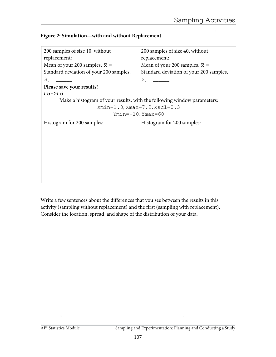| 200 samples of size 10, without                                         | 200 samples of size 40, without               |  |  |  |
|-------------------------------------------------------------------------|-----------------------------------------------|--|--|--|
| replacement:                                                            | replacement:                                  |  |  |  |
| Mean of your 200 samples, $\bar{x} =$ _____                             | Mean of your 200 samples, $\bar{x} =$ _______ |  |  |  |
| Standard deviation of your 200 samples,                                 | Standard deviation of your 200 samples,       |  |  |  |
| $S_{y} = \underline{\qquad \qquad }$                                    |                                               |  |  |  |
| Please save your results!                                               |                                               |  |  |  |
| $L5 - > L6$                                                             |                                               |  |  |  |
| Make a histogram of your results, with the following window parameters: |                                               |  |  |  |
| Xmin=1.8, Xmax=7.2, Xscl=0.3                                            |                                               |  |  |  |
| $Ymin=-10, Ymax=60$                                                     |                                               |  |  |  |
| Histogram for 200 samples:                                              | Histogram for 200 samples:                    |  |  |  |
|                                                                         |                                               |  |  |  |
|                                                                         |                                               |  |  |  |
|                                                                         |                                               |  |  |  |
|                                                                         |                                               |  |  |  |
|                                                                         |                                               |  |  |  |
|                                                                         |                                               |  |  |  |
|                                                                         |                                               |  |  |  |
|                                                                         |                                               |  |  |  |
|                                                                         |                                               |  |  |  |

## **Figure 2: Simulation—with and without Replacement**

Write a few sentences about the differences that you see between the results in this activity (sampling without replacement) and the first (sampling with replacement). Consider the location, spread, and shape of the distribution of your data.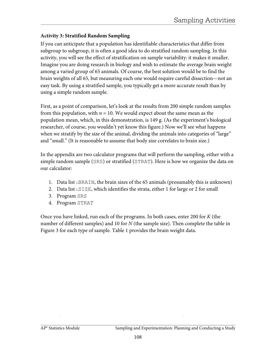## **Activity 3: Stratified Random Sampling**

If you can anticipate that a population has identifiable characteristics that differ from subgroup to subgroup, it is often a good idea to do stratified random sampling. In this activity, you will see the effect of stratification on sample variability: it makes it smaller. Imagine you are doing research in biology and wish to estimate the average brain weight among a varied group of 65 animals. Of course, the best solution would be to find the brain weights of all 65, but measuring each one would require careful dissection—not an easy task. By using a stratified sample, you typically get a more accurate result than by using a simple random sample.

First, as a point of comparison, let's look at the results from 200 simple random samples from this population, with  $n = 10$ . We would expect about the same mean as the population mean, which, in this demonstration, is 149 g. (As the experiment's biological researcher, of course, you wouldn't yet know this figure.) Now we'll see what happens when we stratify by the size of the animal, dividing the animals into categories of "large" and "small." (It is reasonable to assume that body size correlates to brain size.)

In the appendix are two calculator programs that will perform the sampling, either with a simple random sample (SRS) or stratified (STRAT). Here is how we organize the data on our calculator:

- 1. Data list LBRAIN, the brain sizes of the 65 animals (presumably this is unknown)
- 2. Data list  $LSTZE$ , which identifies the strata, either 1 for large or 2 for small
- 3. Program SRS
- 4. Program STRAT

Once you have linked, run each of the programs. In both cases, enter 200 for *K* (the number of different samples) and 10 for *N* (the sample size). Then complete the table in Figure 3 for each type of sample. Table 1 provides the brain weight data.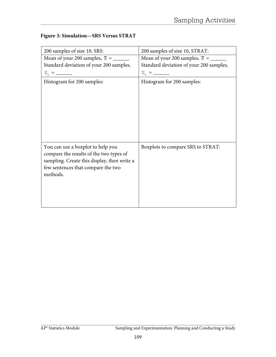| 200 samples of size 10, SRS:                                                                                                                                                  | 200 samples of size 10, STRAT:          |  |
|-------------------------------------------------------------------------------------------------------------------------------------------------------------------------------|-----------------------------------------|--|
| Mean of your 200 samples, $\bar{x} =$                                                                                                                                         | Mean of your 200 samples, $\bar{x}$ =   |  |
| Standard deviation of your 200 samples,                                                                                                                                       | Standard deviation of your 200 samples, |  |
|                                                                                                                                                                               |                                         |  |
| Histogram for 200 samples:                                                                                                                                                    | Histogram for 200 samples:              |  |
| You can use a boxplot to help you<br>compare the results of the two types of<br>sampling. Create this display, then write a<br>few sentences that compare the two<br>methods. | Boxplots to compare SRS to STRAT:       |  |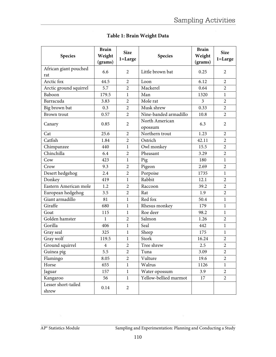| <b>Species</b>               | <b>Brain</b><br>Weight<br>(grams) | <b>Size</b><br>1=Large | <b>Species</b>            | <b>Brain</b><br>Weight<br>(grams) | <b>Size</b><br>$1 = Large$ |
|------------------------------|-----------------------------------|------------------------|---------------------------|-----------------------------------|----------------------------|
| African giant pouched<br>rat | 6.6                               | 2                      | Little brown bat          | 0.25                              | 2                          |
| Arctic fox                   | 44.5                              | $\overline{c}$         | Loon                      | 6.12                              | $\overline{2}$             |
| Arctic ground squirrel       | 5.7                               | $\overline{2}$         | Mackerel                  | 0.64                              | $\overline{2}$             |
| Baboon                       | 179.5                             | 1                      | Man                       | 1320                              | $\mathbf{1}$               |
| Barracuda                    | 3.83                              | $\overline{2}$         | Mole rat                  | $\overline{3}$                    | $\overline{2}$             |
| Big brown bat                | 0.3                               | $\overline{2}$         | Musk shrew                | 0.33                              | $\overline{2}$             |
| Brown trout                  | 0.57                              | 2                      | Nine-banded armadillo     | 10.8                              | 2                          |
| Canary                       | 0.85                              | 2                      | North American<br>opossum | 6.3                               | $\overline{2}$             |
| Cat                          | 25.6                              | $\overline{2}$         | Northern trout            | 1.23                              | $\overline{2}$             |
| Catfish                      | 1.84                              | $\overline{2}$         | Ostrich                   | 42.11                             | $\overline{2}$             |
| Chimpanzee                   | 440                               | $\mathbf{1}$           | Owl monkey                | 15.5                              | $\overline{2}$             |
| Chinchilla                   | 6.4                               | $\overline{2}$         | Pheasant                  | 3.29                              | 2                          |
| Cow                          | 423                               | $\mathbf{1}$           | Pig                       | 180                               | $\mathbf{1}$               |
| Crow                         | 9.3                               | $\overline{2}$         | Pigeon                    | 2.69                              | $\overline{2}$             |
| Desert hedgehog              | 2.4                               | $\overline{c}$         | Porpoise                  | 1735                              | 1                          |
| Donkey                       | 419                               | $\mathbf{1}$           | Rabbit                    | 12.1                              | $\overline{2}$             |
| Eastern American mole        | 1.2                               | $\overline{2}$         | Raccoon                   | 39.2                              | $\overline{2}$             |
| European hedgehog            | 3.5                               | $\overline{2}$         | Rat                       | 1.9                               | $\overline{2}$             |
| Giant armadillo              | 81                                | $\mathbf{1}$           | Red fox                   | 50.4                              | $\mathbf{1}$               |
| Giraffe                      | 680                               | $\mathbf{1}$           | Rhesus monkey             | 179                               | $\mathbf{1}$               |
| Goat                         | 115                               | $\mathbf{1}$           | Roe deer                  | 98.2                              | $\mathbf{1}$               |
| Golden hamster               | 1                                 | 2                      | Salmon                    | 1.26                              | 2                          |
| Gorilla                      | 406                               | $\mathbf{1}$           | Seal                      | 442                               | $\mathbf{1}$               |
| Gray seal                    | 325                               | $\mathbf{1}$           | Sheep                     | 175                               | $\mathbf{1}$               |
| Gray wolf                    | 119.5                             | $\mathbf{1}$           | Stork                     | 16.24                             | $\overline{2}$             |
| Ground squirrel              | $\overline{4}$                    | $\overline{2}$         | Tree shrew                | 2.5                               | $\overline{2}$             |
| Guinea pig                   | 5.5                               | $\overline{2}$         | Tuna                      | 3.09                              | $\overline{2}$             |
| Flamingo                     | 8.05                              | $\overline{c}$         | Vulture                   | 19.6                              | $\overline{2}$             |
| Horse                        | 655                               | $\mathbf{1}$           | Walrus                    | 1126                              | $\mathbf{1}$               |
| Jaguar                       | 157                               | $\mathbf{1}$           | Water opossum             | 3.9                               | $\overline{2}$             |
| Kangaroo                     | 56                                | $\mathbf{1}$           | Yellow-bellied marmot     | 17                                | $\overline{2}$             |
| Lesser short-tailed<br>shrew | 0.14                              | $\overline{c}$         |                           |                                   |                            |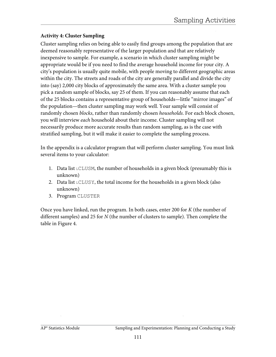### **Activity 4: Cluster Sampling**

Cluster sampling relies on being able to easily find groups among the population that are deemed reasonably representative of the larger population and that are relatively inexpensive to sample. For example, a scenario in which cluster sampling might be appropriate would be if you need to find the average household income for your city. A city's population is usually quite mobile, with people moving to different geographic areas within the city. The streets and roads of the city are generally parallel and divide the city into (say) 2,000 city blocks of approximately the same area. With a cluster sample you pick a random sample of blocks, say 25 of them. If you can reasonably assume that each of the 25 blocks contains a representative group of households—little "mirror images" of the population—then cluster sampling may work well. Your sample will consist of randomly chosen *blocks*, rather than randomly chosen *households*. For each block chosen, you will interview *each* household about their income. Cluster sampling will not necessarily produce more accurate results than random sampling, as is the case with stratified sampling, but it will make it easier to complete the sampling process.

In the appendix is a calculator program that will perform cluster sampling. You must link several items to your calculator:

- 1. Data list  $LCLUSM$ , the number of households in a given block (presumably this is unknown)
- 2. Data list  $LCLUSY$ , the total income for the households in a given block (also unknown)
- 3. Program CLUSTER

Once you have linked, run the program. In both cases, enter 200 for *K* (the number of different samples) and 25 for *N* (the number of clusters to sample). Then complete the table in Figure 4.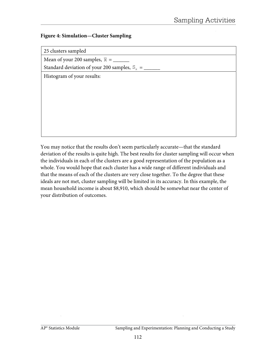#### **Figure 4: Simulation—Cluster Sampling**

25 clusters sampled

Mean of your 200 samples,  $\bar{x} =$ 

Standard deviation of your 200 samples,  $S_x =$ 

Histogram of your results:

You may notice that the results don't seem particularly accurate—that the standard deviation of the results is quite high. The best results for cluster sampling will occur when the individuals in each of the clusters are a good representation of the population as a whole. You would hope that each cluster has a wide range of different individuals and that the means of each of the clusters are very close together. To the degree that these ideals are not met, cluster sampling will be limited in its accuracy. In this example, the mean household income is about \$8,910, which should be somewhat near the center of your distribution of outcomes.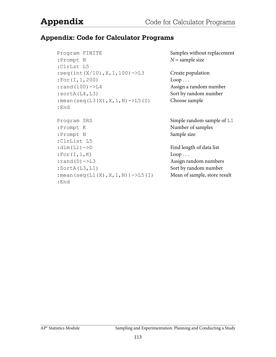# **Appendix: Code for Calculator Programs**

```
Program FINITE Samples without replacement
: Prompt N N = sample size
:ClrLst L5 
: seq (int (X/10), X, 1, 100) ->L3 Create population
\text{For } (I, 1, 200) Loop...
: rand (100) ->L4 Assign a random number
:sortA(L4,L3) Sort by random number
: mean (seq(L3(X), X, 1, N) ->L5(I) Choose sample
:End 
Program SRS Simple random sample of L1
: Prompt K Number of samples
: Prompt N Sample size
:ClrList L5 
: dim (L1) ->D Find length of data list
:For(I,1,K) Loop...
:rand(D)->L3 Assign random numbers
: SortA(L3, L1) Sort by random number
: mean (seq(L1(X), X, 1, N)) ->L5(I) Mean of sample, store result
:End
```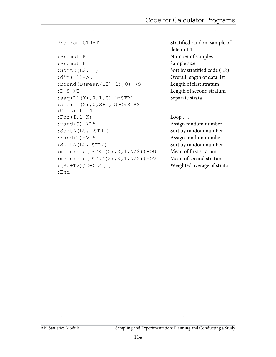```
Program STRAT Stratified random sample of
: Prompt K Number of samples
: Prompt N Sample size
: Sort D(L2, L1) Sort by stratified code (L2)
:dim(L1)->D Overall length of data list 
:round(D(mean(L2)-1),0)->S Length of first stratum 
:D-S->T Length of second stratum
: seq(L1(X), X, 1, S) ->LSTR1 Separate strata
: seq(L1(X), X, S+1, D) ->LSTR2
:ClrList L4 
:For(I,1,K) Loop...: rand (S) ->L5 Assign random number
: SortA(L5, LSTR1) Sort by random number
: rand (T) ->L5 Assign random number
: SortA(L5, LSTR2) Sort by random number
: mean (seq (LSTR1(X), X, 1, N/2)) ->U Mean of first stratum
: mean (seq (LSTR2(X), X, 1, N/2)) ->V Mean of second stratum
:(SU+TV)/D->L4(I) Weighted average of strata
:End
```

```
data in L1
```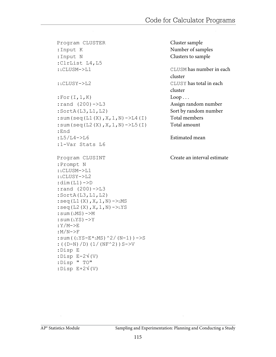```
Program CLUSTER Cluster sample
: Input K Number of samples
: Input N Clusters to sample
:ClrList L4,L5 
:LCLUSM->L1 CLUSM has number in each 
: LCLUSY->L2 CLUSY has total in each
:For (I, 1, K) Loop ...:rand (200)->L3 Assign random number
: SortA(L3, L1, L2) Sort by random number
: sum (seq (L1(X), X, 1, N) ->L4(I) Total members
: sum (seq (L2(X), X, 1, N) \rightarrow L5(I) Total amount
:End 
:L5/L4->L6 Estimated mean
:1-Var Stats L6 
Program CLUSINT Create an interval estimate
:Prompt N 
:LCLUSM->L1 
:LCLUSY->L2 
:dim(L1)->D 
:rand (200)->L3 
:SortA(L3,L1,L2) 
: seq(L1(X), X, 1, N) ->LMS
: seq(L2(X), X, 1, N) ->LYS
:sum(LMS)->M 
:sum(LYS) ->Y
:Y/M->E 
:M/N->F:sum((LYS-E*LMS)^2/(N-1))->S 
: ( (D-N)/D) (1/ (NF^2) ) S->V:Disp E 
:Disp E-2√(V) 
:Disp " TO" 
:Disp E+2√(V)
```
cluster cluster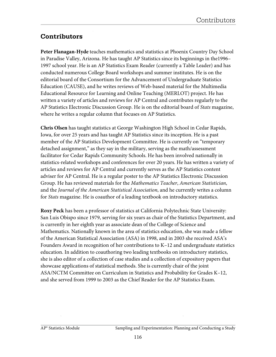# **Contributors**

**Peter Flanagan-Hyde** teaches mathematics and statistics at Phoenix Country Day School in Paradise Valley, Arizona. He has taught AP Statistics since its beginnings in the1996– 1997 school year. He is an AP Statistics Exam Reader (currently a Table Leader) and has conducted numerous College Board workshops and summer institutes. He is on the editorial board of the Consortium for the Advancement of Undergraduate Statistics Education (CAUSE), and he writes reviews of Web-based material for the Multimedia Educational Resource for Learning and Online Teaching (MERLOT) project. He has written a variety of articles and reviews for AP Central and contributes regularly to the AP Statistics Electronic Discussion Group. He is on the editorial board of *Stats* magazine, where he writes a regular column that focuses on AP Statistics.

**Chris Olsen** has taught statistics at George Washington High School in Cedar Rapids, Iowa, for over 25 years and has taught AP Statistics since its inception. He is a past member of the AP Statistics Development Committee. He is currently on "temporary detached assignment," as they say in the military, serving as the math/assessment facilitator for Cedar Rapids Community Schools. He has been involved nationally in statistics-related workshops and conferences for over 20 years. He has written a variety of articles and reviews for AP Central and currently serves as the AP Statistics content adviser for AP Central. He is a regular poster to the AP Statistics Electronic Discussion Group. He has reviewed materials for the *Mathematics Teacher*, *American Statistician*, and the *Journal of the American Statistical Association*, and he currently writes a column for *Stats* magazine. He is coauthor of a leading textbook on introductory statistics.

**Roxy Peck** has been a professor of statistics at California Polytechnic State University: San Luis Obispo since 1979, serving for six years as chair of the Statistics Department, and is currently in her eighth year as associate dean of the College of Science and Mathematics. Nationally known in the area of statistics education, she was made a fellow of the American Statistical Association (ASA) in 1998, and in 2003 she received ASA's Founders Award in recognition of her contributions to K–12 and undergraduate statistics education. In addition to coauthoring two leading textbooks on introductory statistics, she is also editor of a collection of case studies and a collection of expository papers that showcase applications of statistical methods. She is currently chair of the joint ASA/NCTM Committee on Curriculum in Statistics and Probability for Grades K–12, and she served from 1999 to 2003 as the Chief Reader for the AP Statistics Exam.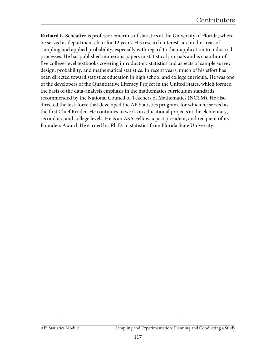**Richard L. Scheaffer** is professor emeritus of statistics at the University of Florida, where he served as department chair for 12 years. His research interests are in the areas of sampling and applied probability, especially with regard to their application to industrial processes. He has published numerous papers in statistical journals and is coauthor of five college-level textbooks covering introductory statistics and aspects of sample survey design, probability, and mathematical statistics. In recent years, much of his effort has been directed toward statistics education in high school and college curricula. He was one of the developers of the Quantitative Literacy Project in the United States, which formed the basis of the data-analysis emphasis in the mathematics curriculum standards recommended by the National Council of Teachers of Mathematics (NCTM). He also directed the task force that developed the AP Statistics program, for which he served as the first Chief Reader. He continues to work on educational projects at the elementary, secondary, and college levels. He is an ASA Fellow, a past president, and recipient of its Founders Award. He earned his Ph.D. in statistics from Florida State University.